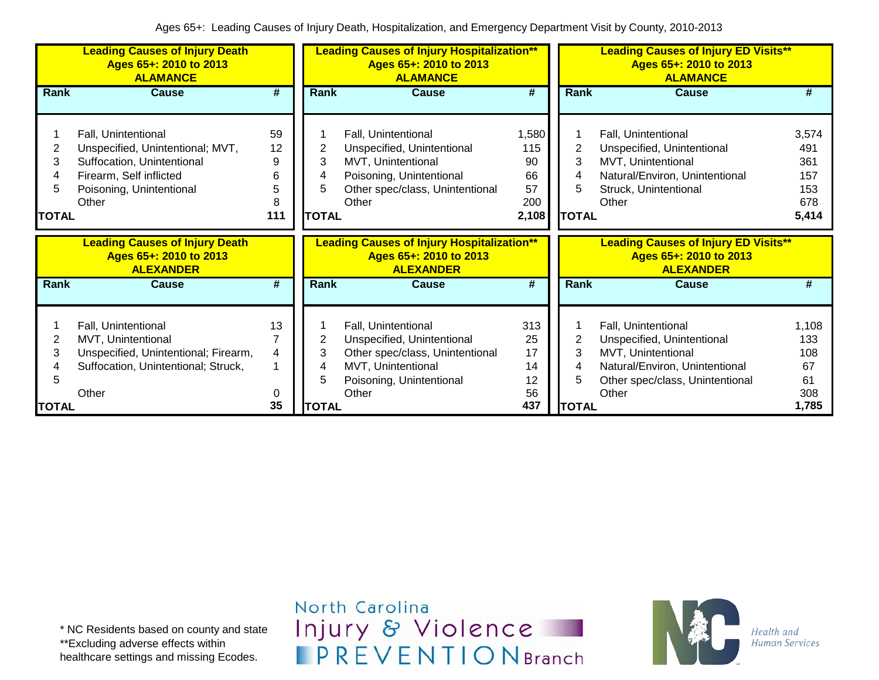|                             | <b>Leading Causes of Injury Death</b><br>Ages 65+: 2010 to 2013<br><b>ALAMANCE</b>                                                                    |                                     |                             | <b>Leading Causes of Injury Hospitalization**</b><br>Ages 65+: 2010 to 2013<br><b>ALAMANCE</b>                                                  |                                                |                             | <b>Leading Causes of Injury ED Visits**</b><br>Ages 65+: 2010 to 2013<br><b>ALAMANCE</b>                                                              |                                                   |
|-----------------------------|-------------------------------------------------------------------------------------------------------------------------------------------------------|-------------------------------------|-----------------------------|-------------------------------------------------------------------------------------------------------------------------------------------------|------------------------------------------------|-----------------------------|-------------------------------------------------------------------------------------------------------------------------------------------------------|---------------------------------------------------|
| Rank                        | <b>Cause</b>                                                                                                                                          | #                                   | <b>Rank</b>                 | <b>Cause</b>                                                                                                                                    | #                                              | <b>Rank</b>                 | <b>Cause</b>                                                                                                                                          | #                                                 |
| 2<br>3<br>5<br><b>TOTAL</b> | Fall, Unintentional<br>Unspecified, Unintentional; MVT,<br>Suffocation, Unintentional<br>Firearm, Self inflicted<br>Poisoning, Unintentional<br>Other | 59<br>12<br>9<br>6<br>5<br>8<br>111 | 2<br>3<br>5<br><b>TOTAL</b> | Fall, Unintentional<br>Unspecified, Unintentional<br>MVT, Unintentional<br>Poisoning, Unintentional<br>Other spec/class, Unintentional<br>Other | 1,580<br>115<br>90<br>66<br>57<br>200<br>2,108 | 2<br>3<br>5<br><b>TOTAL</b> | Fall, Unintentional<br>Unspecified, Unintentional<br>MVT, Unintentional<br>Natural/Environ, Unintentional<br>Struck, Unintentional<br>Other           | 3,574<br>491<br>361<br>157<br>153<br>678<br>5,414 |
|                             | <b>Leading Causes of Injury Death</b><br>Ages 65+: 2010 to 2013<br><b>ALEXANDER</b>                                                                   |                                     |                             | <b>Leading Causes of Injury Hospitalization**</b><br>Ages 65+: 2010 to 2013<br><b>ALEXANDER</b>                                                 |                                                |                             | <b>Leading Causes of Injury ED Visits**</b><br>Ages 65+: 2010 to 2013<br><b>ALEXANDER</b>                                                             |                                                   |
| Rank                        | <b>Cause</b>                                                                                                                                          | #                                   | Rank                        | Cause                                                                                                                                           | #                                              | Rank                        | Cause                                                                                                                                                 | #                                                 |
| 2<br>3                      | Fall, Unintentional<br>MVT, Unintentional<br>Unspecified, Unintentional; Firearm,<br>Suffocation, Unintentional; Struck,<br>Other                     | 13<br>4<br>0                        | 2<br>3                      | Fall, Unintentional<br>Unspecified, Unintentional<br>Other spec/class, Unintentional<br>MVT, Unintentional<br>Poisoning, Unintentional<br>Other | 313<br>25<br>17<br>14<br>12<br>56              | 2<br>3<br>5                 | Fall, Unintentional<br>Unspecified, Unintentional<br>MVT, Unintentional<br>Natural/Environ, Unintentional<br>Other spec/class, Unintentional<br>Other | 1,108<br>133<br>108<br>67<br>61<br>308            |
| <b>TOTAL</b>                |                                                                                                                                                       | 35                                  | <b>TOTAL</b>                |                                                                                                                                                 | 437                                            | <b>TOTAL</b>                |                                                                                                                                                       | 1.785                                             |

North Carolina Injury & Violence **IPREVENTIONBranch** 

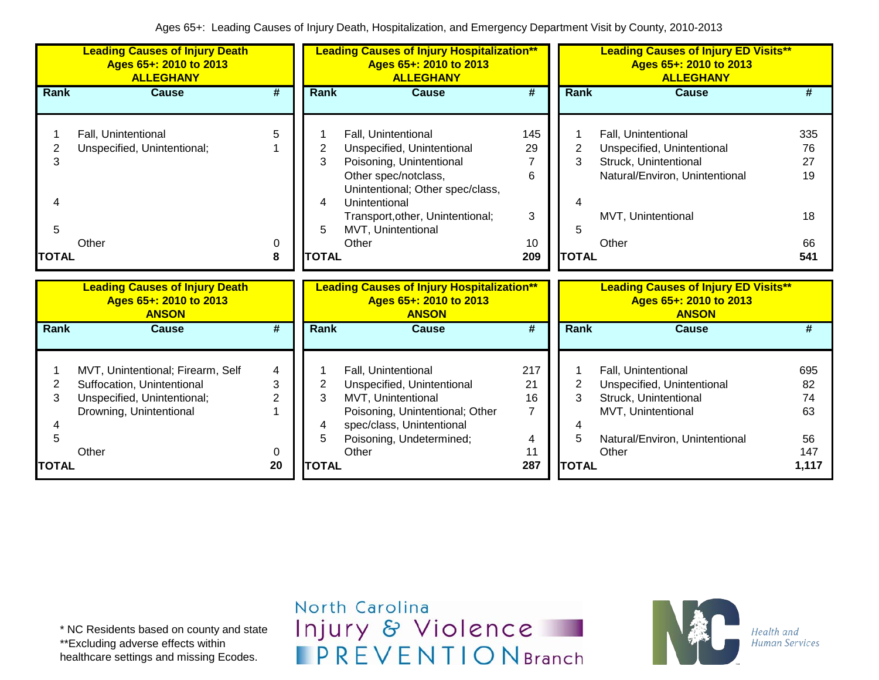|                             | <b>Leading Causes of Injury Death</b><br>Ages 65+: 2010 to 2013<br><b>ALLEGHANY</b>                                                |                                     |                                               | <b>Leading Causes of Injury Hospitalization**</b><br>Ages 65+: 2010 to 2013<br><b>ALLEGHANY</b>                                                                                                                               |                                                     |                                          | <b>Leading Causes of Injury ED Visits**</b><br>Ages 65+: 2010 to 2013<br><b>ALLEGHANY</b>                                                   |                                             |
|-----------------------------|------------------------------------------------------------------------------------------------------------------------------------|-------------------------------------|-----------------------------------------------|-------------------------------------------------------------------------------------------------------------------------------------------------------------------------------------------------------------------------------|-----------------------------------------------------|------------------------------------------|---------------------------------------------------------------------------------------------------------------------------------------------|---------------------------------------------|
| Rank                        | <b>Cause</b>                                                                                                                       | $\overline{\boldsymbol{t}}$         | <b>Rank</b>                                   | <b>Cause</b>                                                                                                                                                                                                                  | $\overline{\boldsymbol{t}}$                         | <b>Rank</b>                              | <b>Cause</b>                                                                                                                                | #                                           |
| 2<br>3<br>5<br><b>TOTAL</b> | Fall, Unintentional<br>Unspecified, Unintentional;<br>Other                                                                        | 5<br>0<br>8                         | 2<br>3<br>4<br>5<br><b>TOTAL</b>              | Fall, Unintentional<br>Unspecified, Unintentional<br>Poisoning, Unintentional<br>Other spec/notclass,<br>Unintentional; Other spec/class,<br>Unintentional<br>Transport, other, Unintentional;<br>MVT, Unintentional<br>Other | 145<br>29<br>7<br>6<br>3<br>10<br>209               | $\overline{2}$<br>3<br>5<br><b>TOTAL</b> | Fall, Unintentional<br>Unspecified, Unintentional<br>Struck, Unintentional<br>Natural/Environ, Unintentional<br>MVT, Unintentional<br>Other | 335<br>76<br>27<br>19<br>18<br>66<br>541    |
|                             | <b>Leading Causes of Injury Death</b><br>Ages 65+: 2010 to 2013<br><b>ANSON</b>                                                    |                                     |                                               | <b>Leading Causes of Injury Hospitalization**</b><br>Ages 65+: 2010 to 2013<br><b>ANSON</b>                                                                                                                                   |                                                     |                                          | <b>Leading Causes of Injury ED Visits**</b><br>Ages 65+: 2010 to 2013<br><b>ANSON</b>                                                       |                                             |
| <b>Rank</b>                 | <b>Cause</b>                                                                                                                       | #                                   | <b>Rank</b>                                   | <b>Cause</b>                                                                                                                                                                                                                  | #                                                   | <b>Rank</b>                              | Cause                                                                                                                                       | #                                           |
| 2<br>3<br>5<br><b>TOTAL</b> | MVT, Unintentional; Firearm, Self<br>Suffocation, Unintentional<br>Unspecified, Unintentional;<br>Drowning, Unintentional<br>Other | 4<br>3<br>$\overline{2}$<br>0<br>20 | $\overline{2}$<br>3<br>4<br>5<br><b>TOTAL</b> | Fall, Unintentional<br>Unspecified, Unintentional<br>MVT, Unintentional<br>Poisoning, Unintentional; Other<br>spec/class, Unintentional<br>Poisoning, Undetermined;<br>Other                                                  | 217<br>21<br>16<br>$\overline{7}$<br>4<br>11<br>287 | 2<br>3<br>5<br><b>TOTAL</b>              | Fall, Unintentional<br>Unspecified, Unintentional<br>Struck, Unintentional<br>MVT, Unintentional<br>Natural/Environ, Unintentional<br>Other | 695<br>82<br>74<br>63<br>56<br>147<br>1,117 |

\* NC Residents based on county and state \*\*Excluding adverse effects within healthcare settings and missing Ecodes.

North Carolina Injury & Violence **IPREVENTIONBranch** 

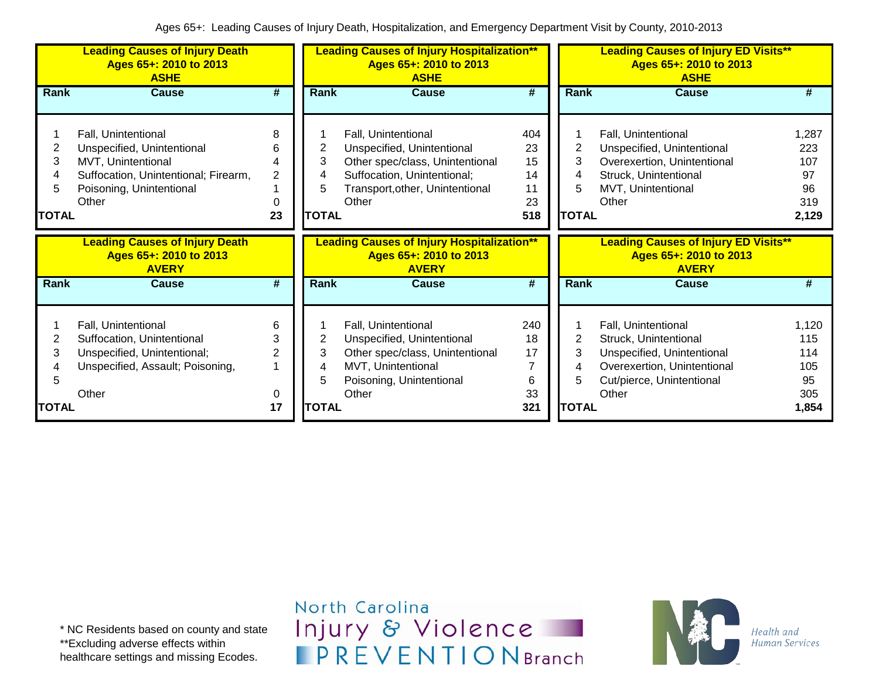|                                  | <b>Leading Causes of Injury Death</b><br>Ages 65+: 2010 to 2013<br><b>ASHE</b>                                                                       |                               |                                  | <b>Leading Causes of Injury Hospitalization**</b><br>Ages 65+: 2010 to 2013<br><b>ASHE</b>                                                                      |                                          |                                  | <b>Leading Causes of Injury ED Visits**</b><br>Ages 65+: 2010 to 2013<br><b>ASHE</b>                                                            |                                                 |
|----------------------------------|------------------------------------------------------------------------------------------------------------------------------------------------------|-------------------------------|----------------------------------|-----------------------------------------------------------------------------------------------------------------------------------------------------------------|------------------------------------------|----------------------------------|-------------------------------------------------------------------------------------------------------------------------------------------------|-------------------------------------------------|
| Rank                             | Cause                                                                                                                                                | #                             | Rank                             | <b>Cause</b>                                                                                                                                                    | #                                        | Rank                             | <b>Cause</b>                                                                                                                                    | #                                               |
| 2<br>3<br>4<br>5<br><b>TOTAL</b> | Fall, Unintentional<br>Unspecified, Unintentional<br>MVT, Unintentional<br>Suffocation, Unintentional; Firearm,<br>Poisoning, Unintentional<br>Other | 8<br>6<br>4<br>2<br>0<br>23   | 2<br>3<br>4<br>5<br><b>TOTAL</b> | Fall, Unintentional<br>Unspecified, Unintentional<br>Other spec/class, Unintentional<br>Suffocation, Unintentional;<br>Transport, other, Unintentional<br>Other | 404<br>23<br>15<br>14<br>11<br>23<br>518 | 2<br>3<br>4<br>5<br><b>TOTAL</b> | Fall, Unintentional<br>Unspecified, Unintentional<br>Overexertion, Unintentional<br>Struck, Unintentional<br>MVT, Unintentional<br>Other        | 1,287<br>223<br>107<br>97<br>96<br>319<br>2,129 |
|                                  | <b>Leading Causes of Injury Death</b><br>Ages 65+: 2010 to 2013<br><b>AVERY</b>                                                                      |                               |                                  | <b>Leading Causes of Injury Hospitalization**</b><br>Ages 65+: 2010 to 2013<br><b>AVERY</b>                                                                     |                                          |                                  | <b>Leading Causes of Injury ED Visits**</b><br>Ages 65+: 2010 to 2013<br><b>AVERY</b>                                                           |                                                 |
| <b>Rank</b>                      | <b>Cause</b>                                                                                                                                         | #                             | Rank                             | <b>Cause</b>                                                                                                                                                    | $\overline{\boldsymbol{t}}$              | <b>Rank</b>                      | <b>Cause</b>                                                                                                                                    | #                                               |
| 2<br>3<br>5                      | Fall, Unintentional<br>Suffocation, Unintentional<br>Unspecified, Unintentional;<br>Unspecified, Assault; Poisoning,<br>Other                        | 6<br>3<br>$\overline{2}$<br>0 | 2<br>3<br>4<br>5                 | Fall, Unintentional<br>Unspecified, Unintentional<br>Other spec/class, Unintentional<br>MVT, Unintentional<br>Poisoning, Unintentional<br>Other                 | 240<br>18<br>17<br>7<br>6<br>33          | 2<br>5                           | Fall, Unintentional<br>Struck, Unintentional<br>Unspecified, Unintentional<br>Overexertion, Unintentional<br>Cut/pierce, Unintentional<br>Other | 1,120<br>115<br>114<br>105<br>95<br>305         |
| <b>TOTAL</b>                     |                                                                                                                                                      | 17                            | <b>TOTAL</b>                     |                                                                                                                                                                 | 321                                      | <b>TOTAL</b>                     |                                                                                                                                                 | 1,854                                           |

North Carolina Injury & Violence **IPREVENTIONBranch** 

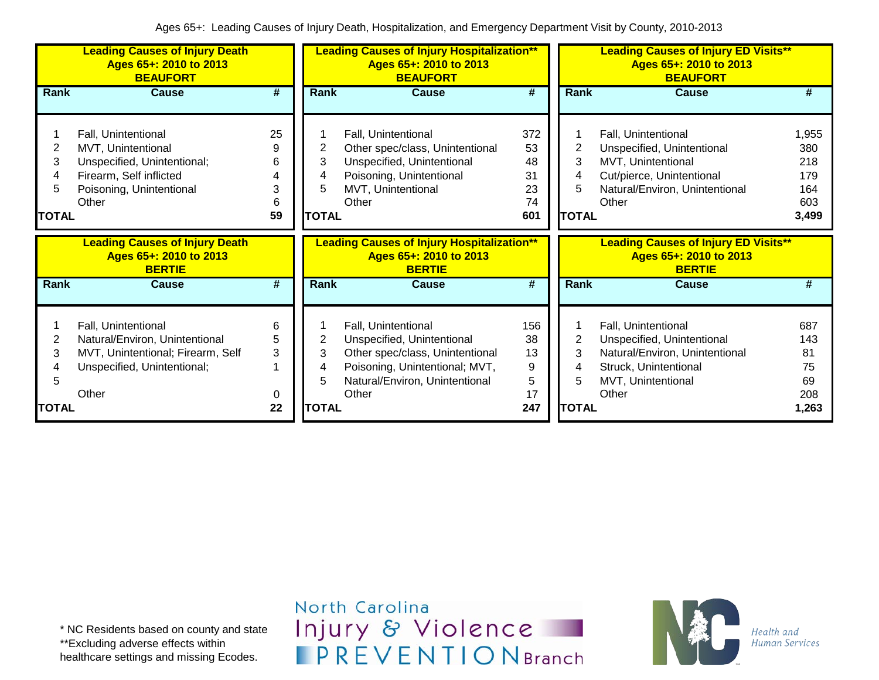|                                                                                                                                                                              | <b>BEAUFORT</b>                   |                                  | Ages 65+: 2010 to 2013<br><b>BEAUFORT</b>                                                                                                                         |                                          | <b>Leading Causes of Injury ED Visits**</b><br>Ages 65+: 2010 to 2013<br><b>BEAUFORT</b><br><b>Cause</b><br>Rank<br># |                                                                                                                                                 |                                                   |  |
|------------------------------------------------------------------------------------------------------------------------------------------------------------------------------|-----------------------------------|----------------------------------|-------------------------------------------------------------------------------------------------------------------------------------------------------------------|------------------------------------------|-----------------------------------------------------------------------------------------------------------------------|-------------------------------------------------------------------------------------------------------------------------------------------------|---------------------------------------------------|--|
| <b>Cause</b><br>Rank                                                                                                                                                         | #                                 | Rank                             | <b>Cause</b>                                                                                                                                                      | #                                        |                                                                                                                       |                                                                                                                                                 |                                                   |  |
| Fall, Unintentional<br>MVT, Unintentional<br>2<br>Unspecified, Unintentional;<br>3<br>Firearm, Self inflicted<br>4<br>Poisoning, Unintentional<br>5<br>Other<br><b>TOTAL</b> | 25<br>9<br>6<br>4<br>3<br>6<br>59 | 2<br>3<br>4<br>5<br><b>TOTAL</b> | Fall, Unintentional<br>Other spec/class, Unintentional<br>Unspecified, Unintentional<br>Poisoning, Unintentional<br>MVT, Unintentional<br>Other                   | 372<br>53<br>48<br>31<br>23<br>74<br>601 | 2<br>3<br><b>TOTAL</b>                                                                                                | Fall, Unintentional<br>Unspecified, Unintentional<br>MVT, Unintentional<br>Cut/pierce, Unintentional<br>Natural/Environ, Unintentional<br>Other | 1,955<br>380<br>218<br>179<br>164<br>603<br>3,499 |  |
| <b>Leading Causes of Injury Death</b><br>Ages 65+: 2010 to 2013<br><b>BERTIE</b>                                                                                             |                                   |                                  | <b>Leading Causes of Injury Hospitalization**</b><br>Ages 65+: 2010 to 2013<br><b>BERTIE</b>                                                                      |                                          |                                                                                                                       | <b>Leading Causes of Injury ED Visits**</b><br>Ages 65+: 2010 to 2013<br><b>BERTIE</b>                                                          |                                                   |  |
| Rank<br>Cause                                                                                                                                                                | #                                 | <b>Rank</b>                      | <b>Cause</b>                                                                                                                                                      | #                                        | <b>Rank</b>                                                                                                           | Cause                                                                                                                                           | #                                                 |  |
| Fall, Unintentional<br>2<br>Natural/Environ, Unintentional<br>MVT, Unintentional; Firearm, Self<br>3<br>Unspecified, Unintentional;<br>5<br>Other<br><b>TOTAL</b>            | 6<br>5<br>3<br>0<br>22            | 2<br>3<br>4<br>5<br><b>TOTAL</b> | Fall, Unintentional<br>Unspecified, Unintentional<br>Other spec/class, Unintentional<br>Poisoning, Unintentional; MVT,<br>Natural/Environ, Unintentional<br>Other | 156<br>38<br>13<br>9<br>5<br>17<br>247   | 2<br>3<br>5<br><b>TOTAL</b>                                                                                           | Fall, Unintentional<br>Unspecified, Unintentional<br>Natural/Environ, Unintentional<br>Struck, Unintentional<br>MVT, Unintentional<br>Other     | 687<br>143<br>81<br>75<br>69<br>208<br>1,263      |  |

North Carolina Injury & Violence **IPREVENTIONBranch** 

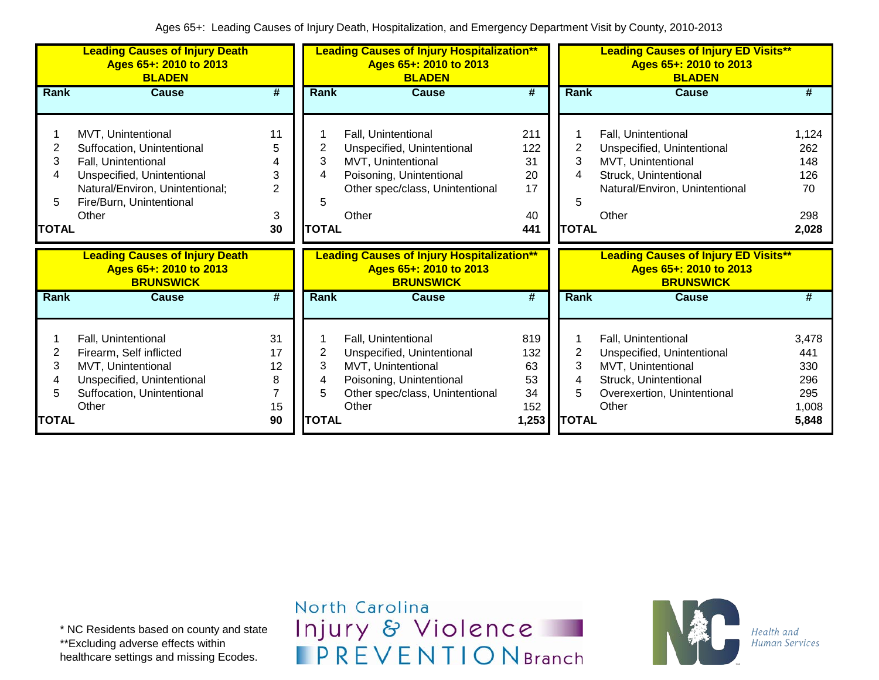|              | <b>Leading Causes of Injury Death</b><br>Ages 65+: 2010 to 2013<br><b>BLADEN</b>    |        |              | <b>Leading Causes of Injury Hospitalization**</b><br>Ages 65+: 2010 to 2013<br><b>BLADEN</b>    |                             |              | <b>Leading Causes of Injury ED Visits**</b><br>Ages 65+: 2010 to 2013<br><b>BLADEN</b>    |              |
|--------------|-------------------------------------------------------------------------------------|--------|--------------|-------------------------------------------------------------------------------------------------|-----------------------------|--------------|-------------------------------------------------------------------------------------------|--------------|
| <b>Rank</b>  | <b>Cause</b>                                                                        | #      | Rank         | <b>Cause</b>                                                                                    | $\overline{\boldsymbol{t}}$ | Rank         | <b>Cause</b>                                                                              | #            |
|              |                                                                                     |        |              |                                                                                                 |                             |              |                                                                                           |              |
|              | MVT, Unintentional                                                                  | 11     |              | Fall, Unintentional                                                                             | 211                         |              | Fall, Unintentional                                                                       | 1,124        |
| 2            | Suffocation, Unintentional                                                          | 5      | 2            | Unspecified, Unintentional                                                                      | 122                         | 2            | Unspecified, Unintentional                                                                | 262          |
| 3            | Fall, Unintentional                                                                 | 4      | 3            | MVT, Unintentional                                                                              | 31                          | 3            | MVT, Unintentional                                                                        | 148          |
| 4            | Unspecified, Unintentional                                                          | 3      | 4            | Poisoning, Unintentional                                                                        | 20                          | 4            | Struck, Unintentional                                                                     | 126          |
|              | Natural/Environ, Unintentional;                                                     | 2      |              | Other spec/class, Unintentional                                                                 | 17                          |              | Natural/Environ, Unintentional                                                            | 70           |
| 5            | Fire/Burn, Unintentional                                                            |        | 5            |                                                                                                 |                             | 5            |                                                                                           |              |
|              | Other                                                                               | 3      |              | Other                                                                                           | 40                          |              | Other                                                                                     | 298          |
| <b>TOTAL</b> |                                                                                     | 30     | <b>TOTAL</b> |                                                                                                 | 441                         | <b>TOTAL</b> |                                                                                           | 2,028        |
|              |                                                                                     |        |              |                                                                                                 |                             |              |                                                                                           |              |
|              | <b>Leading Causes of Injury Death</b><br>Ages 65+: 2010 to 2013<br><b>BRUNSWICK</b> |        |              | <b>Leading Causes of Injury Hospitalization**</b><br>Ages 65+: 2010 to 2013<br><b>BRUNSWICK</b> |                             |              | <b>Leading Causes of Injury ED Visits**</b><br>Ages 65+: 2010 to 2013<br><b>BRUNSWICK</b> |              |
| <b>Rank</b>  | <b>Cause</b>                                                                        | #      | Rank         | <b>Cause</b>                                                                                    | #                           | Rank         | <b>Cause</b>                                                                              | #            |
|              |                                                                                     |        |              |                                                                                                 |                             |              |                                                                                           |              |
|              | Fall, Unintentional                                                                 | 31     |              | Fall, Unintentional                                                                             | 819                         |              | Fall, Unintentional                                                                       | 3,478        |
| 2            | Firearm, Self inflicted                                                             | 17     | 2            | Unspecified, Unintentional                                                                      | 132                         | 2            | Unspecified, Unintentional                                                                | 441          |
| 3            | MVT, Unintentional                                                                  | 12     | 3            | MVT, Unintentional                                                                              | 63                          | 3            | MVT, Unintentional                                                                        | 330          |
| 4            | Unspecified, Unintentional                                                          | 8<br>7 | 4            | Poisoning, Unintentional                                                                        | 53                          | 4            | Struck, Unintentional                                                                     | 296          |
| 5            | Suffocation, Unintentional<br>Other                                                 | 15     | 5            | Other spec/class, Unintentional<br>Other                                                        | 34<br>152                   | 5            | Overexertion, Unintentional<br>Other                                                      | 295<br>1,008 |

\* NC Residents based on county and state \*\*Excluding adverse effects within healthcare settings and missing Ecodes.

North Carolina Injury & Violence **IPREVENTIONBranch** 

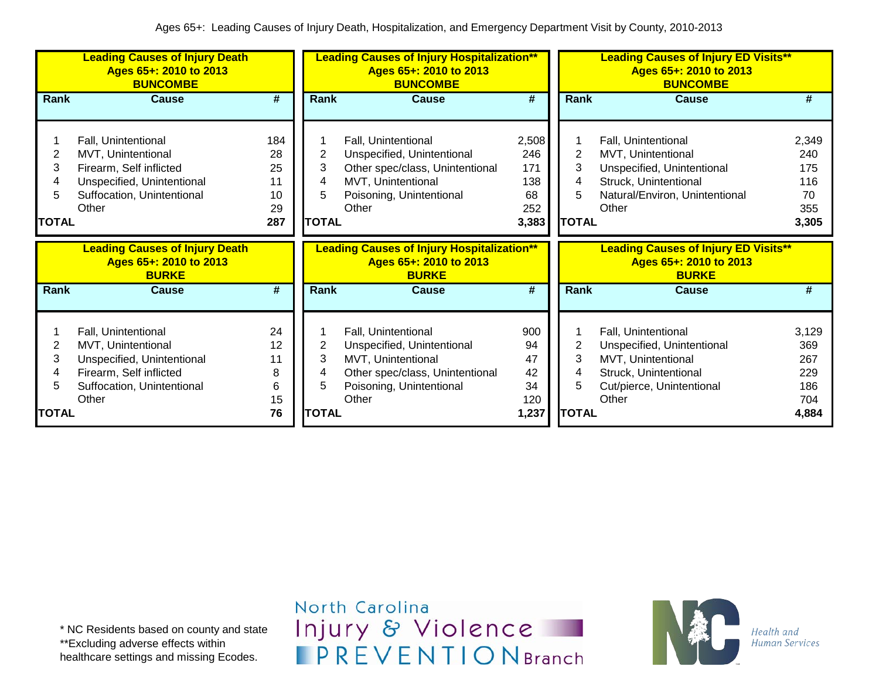|                                  | <b>Leading Causes of Injury Death</b><br>Ages 65+: 2010 to 2013<br><b>BUNCOMBE</b>                                                        |                                          |                                  | <b>Leading Causes of Injury Hospitalization**</b><br>Ages 65+: 2010 to 2013<br><b>BUNCOMBE</b>                                                  |                                                  |                                  | <b>Leading Causes of Injury ED Visits**</b><br>Ages 65+: 2010 to 2013<br><b>BUNCOMBE</b><br><b>Rank</b><br><b>Cause</b><br>#                |                                                   |  |
|----------------------------------|-------------------------------------------------------------------------------------------------------------------------------------------|------------------------------------------|----------------------------------|-------------------------------------------------------------------------------------------------------------------------------------------------|--------------------------------------------------|----------------------------------|---------------------------------------------------------------------------------------------------------------------------------------------|---------------------------------------------------|--|
| Rank                             | <b>Cause</b>                                                                                                                              | #                                        | Rank                             | <b>Cause</b>                                                                                                                                    | #                                                |                                  |                                                                                                                                             |                                                   |  |
| 2<br>3<br>4<br>5<br><b>TOTAL</b> | Fall, Unintentional<br>MVT, Unintentional<br>Firearm, Self inflicted<br>Unspecified, Unintentional<br>Suffocation, Unintentional<br>Other | 184<br>28<br>25<br>11<br>10<br>29<br>287 | 2<br>3<br>4<br>5<br><b>TOTAL</b> | Fall, Unintentional<br>Unspecified, Unintentional<br>Other spec/class, Unintentional<br>MVT, Unintentional<br>Poisoning, Unintentional<br>Other | 2,508<br>246<br>171<br>138<br>68<br>252<br>3,383 | 2<br>3<br>4<br>5<br><b>TOTAL</b> | Fall, Unintentional<br>MVT, Unintentional<br>Unspecified, Unintentional<br>Struck, Unintentional<br>Natural/Environ, Unintentional<br>Other | 2,349<br>240<br>175<br>116<br>70<br>355<br>3,305  |  |
|                                  | <b>Leading Causes of Injury Death</b><br>Ages 65+: 2010 to 2013<br><b>BURKE</b>                                                           |                                          |                                  | <b>Leading Causes of Injury Hospitalization**</b><br>Ages 65+: 2010 to 2013<br><b>BURKE</b>                                                     |                                                  |                                  | <b>Leading Causes of Injury ED Visits**</b><br>Ages 65+: 2010 to 2013<br><b>BURKE</b>                                                       |                                                   |  |
| Rank                             | <b>Cause</b>                                                                                                                              | #                                        | Rank                             | <b>Cause</b>                                                                                                                                    | #                                                | Rank                             | <b>Cause</b>                                                                                                                                | #                                                 |  |
| 2<br>3<br>4<br>5<br><b>TOTAL</b> | Fall, Unintentional<br>MVT, Unintentional<br>Unspecified, Unintentional<br>Firearm, Self inflicted<br>Suffocation, Unintentional<br>Other | 24<br>12<br>11<br>8<br>6<br>15<br>76     | 2<br>3<br>4<br>5<br><b>TOTAL</b> | Fall, Unintentional<br>Unspecified, Unintentional<br>MVT, Unintentional<br>Other spec/class, Unintentional<br>Poisoning, Unintentional<br>Other | 900<br>94<br>47<br>42<br>34<br>120<br>1,237      | 2<br>3<br>4<br>5<br><b>TOTAL</b> | Fall, Unintentional<br>Unspecified, Unintentional<br>MVT, Unintentional<br>Struck, Unintentional<br>Cut/pierce, Unintentional<br>Other      | 3,129<br>369<br>267<br>229<br>186<br>704<br>4,884 |  |

\* NC Residents based on county and state \*\*Excluding adverse effects within healthcare settings and missing Ecodes.

North Carolina Injury & Violence **IPREVENTIONBranch** 

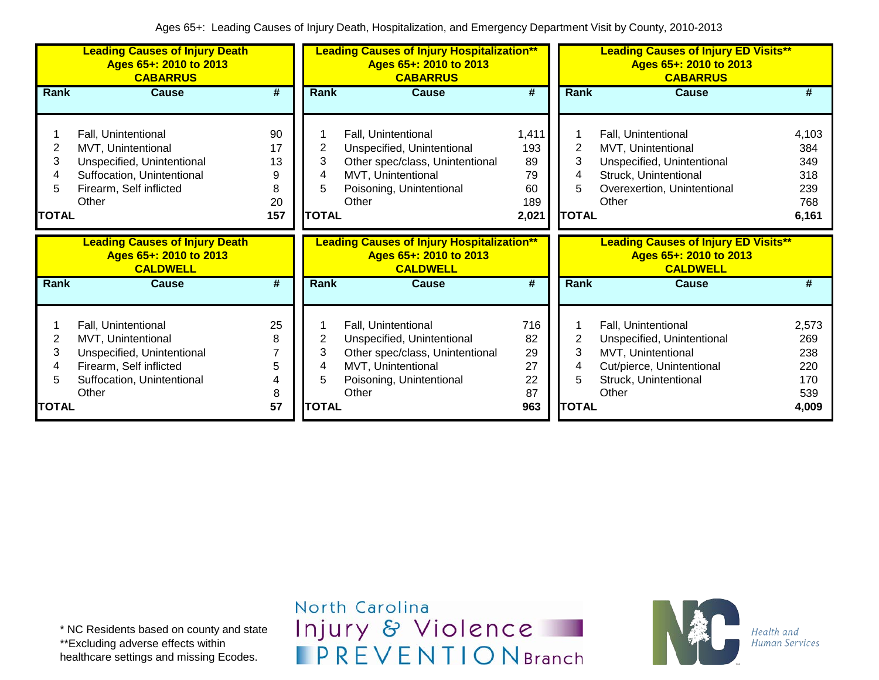|                                  | <b>Leading Causes of Injury Death</b><br>Ages 65+: 2010 to 2013<br><b>CABARRUS</b>                                                        |                                       |                                  | <b>Leading Causes of Injury Hospitalization**</b><br>Ages 65+: 2010 to 2013<br><b>CABARRUS</b>                                                  |                                                |                                  | <b>Leading Causes of Injury ED Visits**</b><br>Ages 65+: 2010 to 2013<br><b>CABARRUS</b>                                                 |                                                   |
|----------------------------------|-------------------------------------------------------------------------------------------------------------------------------------------|---------------------------------------|----------------------------------|-------------------------------------------------------------------------------------------------------------------------------------------------|------------------------------------------------|----------------------------------|------------------------------------------------------------------------------------------------------------------------------------------|---------------------------------------------------|
| <b>Rank</b>                      | <b>Cause</b>                                                                                                                              | #                                     | Rank                             | <b>Cause</b>                                                                                                                                    | #                                              | Rank                             | <b>Cause</b>                                                                                                                             | #                                                 |
| 2<br>3<br>4<br>5<br><b>TOTAL</b> | Fall, Unintentional<br>MVT, Unintentional<br>Unspecified, Unintentional<br>Suffocation, Unintentional<br>Firearm, Self inflicted<br>Other | 90<br>17<br>13<br>9<br>8<br>20<br>157 | 2<br>3<br>4<br>5<br><b>TOTAL</b> | Fall, Unintentional<br>Unspecified, Unintentional<br>Other spec/class, Unintentional<br>MVT, Unintentional<br>Poisoning, Unintentional<br>Other | 1,411<br>193<br>89<br>79<br>60<br>189<br>2,021 | 2<br>3<br>4<br>5<br><b>TOTAL</b> | Fall, Unintentional<br>MVT, Unintentional<br>Unspecified, Unintentional<br>Struck, Unintentional<br>Overexertion, Unintentional<br>Other | 4,103<br>384<br>349<br>318<br>239<br>768<br>6,161 |
|                                  |                                                                                                                                           |                                       |                                  |                                                                                                                                                 |                                                |                                  |                                                                                                                                          |                                                   |
|                                  | <b>Leading Causes of Injury Death</b><br>Ages 65+: 2010 to 2013<br><b>CALDWELL</b>                                                        |                                       |                                  | <b>Leading Causes of Injury Hospitalization**</b><br>Ages 65+: 2010 to 2013<br><b>CALDWELL</b>                                                  |                                                |                                  | <b>Leading Causes of Injury ED Visits**</b><br>Ages 65+: 2010 to 2013<br><b>CALDWELL</b>                                                 |                                                   |
| <b>Rank</b>                      | <b>Cause</b>                                                                                                                              | #                                     | Rank                             | <b>Cause</b>                                                                                                                                    | #                                              | Rank                             | <b>Cause</b>                                                                                                                             | #                                                 |
| 2<br>3<br>4<br>5<br><b>TOTAL</b> | Fall, Unintentional<br>MVT, Unintentional<br>Unspecified, Unintentional<br>Firearm, Self inflicted<br>Suffocation, Unintentional<br>Other | 25<br>8<br>7<br>5<br>4<br>8<br>57     | 2<br>3<br>4<br>5<br><b>TOTAL</b> | Fall, Unintentional<br>Unspecified, Unintentional<br>Other spec/class, Unintentional<br>MVT, Unintentional<br>Poisoning, Unintentional<br>Other | 716<br>82<br>29<br>27<br>22<br>87<br>963       | 2<br>3<br>5<br><b>TOTAL</b>      | Fall, Unintentional<br>Unspecified, Unintentional<br>MVT, Unintentional<br>Cut/pierce, Unintentional<br>Struck, Unintentional<br>Other   | 2,573<br>269<br>238<br>220<br>170<br>539<br>4,009 |

North Carolina Injury & Violence **IPREVENTIONBranch** 

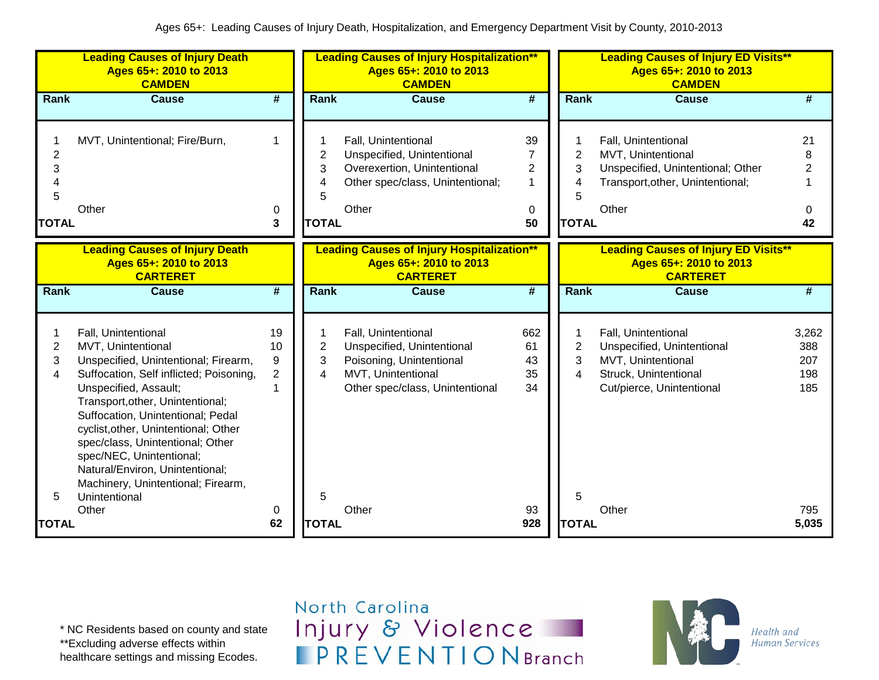|                                               | <b>Leading Causes of Injury Death</b><br>Ages 65+: 2010 to 2013<br><b>CAMDEN</b>                                                                                                                                                                                                                                                                                                                                                 |                                      |                                               | <b>Leading Causes of Injury Hospitalization**</b><br>Ages 65+: 2010 to 2013<br><b>CAMDEN</b>                                           |                                                    |                                          | <b>Leading Causes of Injury ED Visits**</b><br>Ages 65+: 2010 to 2013<br><b>CAMDEN</b>                                        |                                      |
|-----------------------------------------------|----------------------------------------------------------------------------------------------------------------------------------------------------------------------------------------------------------------------------------------------------------------------------------------------------------------------------------------------------------------------------------------------------------------------------------|--------------------------------------|-----------------------------------------------|----------------------------------------------------------------------------------------------------------------------------------------|----------------------------------------------------|------------------------------------------|-------------------------------------------------------------------------------------------------------------------------------|--------------------------------------|
| Rank                                          | <b>Cause</b>                                                                                                                                                                                                                                                                                                                                                                                                                     | #                                    | Rank                                          | <b>Cause</b>                                                                                                                           | $\overline{\#}$                                    | <b>Rank</b>                              | <b>Cause</b>                                                                                                                  | #                                    |
| $\overline{2}$<br>3<br>4<br>5<br><b>TOTAL</b> | MVT, Unintentional; Fire/Burn,<br>Other                                                                                                                                                                                                                                                                                                                                                                                          | 1<br>0<br>3                          | $\overline{2}$<br>3<br>4<br>5<br><b>TOTAL</b> | Fall, Unintentional<br>Unspecified, Unintentional<br>Overexertion, Unintentional<br>Other spec/class, Unintentional;<br>Other          | 39<br>7<br>$\overline{2}$<br>-1<br>$\pmb{0}$<br>50 | $\overline{2}$<br>3<br>5<br><b>TOTAL</b> | Fall, Unintentional<br>MVT, Unintentional<br>Unspecified, Unintentional; Other<br>Transport, other, Unintentional;<br>Other   | 21<br>8<br>$\overline{2}$<br>0<br>42 |
|                                               | <b>Leading Causes of Injury Death</b><br>Ages 65+: 2010 to 2013<br><b>CARTERET</b>                                                                                                                                                                                                                                                                                                                                               |                                      |                                               | <b>Leading Causes of Injury Hospitalization**</b><br>Ages 65+: 2010 to 2013<br><b>CARTERET</b>                                         |                                                    |                                          | <b>Leading Causes of Injury ED Visits**</b><br>Ages 65+: 2010 to 2013<br><b>CARTERET</b>                                      |                                      |
| Rank                                          | <b>Cause</b>                                                                                                                                                                                                                                                                                                                                                                                                                     | $\overline{\#}$                      | Rank                                          | <b>Cause</b>                                                                                                                           | $\overline{\boldsymbol{t}}$                        | <b>Rank</b>                              | <b>Cause</b>                                                                                                                  | $\overline{\#}$                      |
| 2<br>3<br>4<br>5                              | Fall, Unintentional<br>MVT, Unintentional<br>Unspecified, Unintentional; Firearm,<br>Suffocation, Self inflicted; Poisoning,<br>Unspecified, Assault;<br>Transport, other, Unintentional;<br>Suffocation, Unintentional; Pedal<br>cyclist, other, Unintentional; Other<br>spec/class, Unintentional; Other<br>spec/NEC, Unintentional;<br>Natural/Environ, Unintentional;<br>Machinery, Unintentional; Firearm,<br>Unintentional | 19<br>10<br>9<br>$\overline{2}$<br>1 | $\overline{2}$<br>3<br>4<br>5                 | Fall, Unintentional<br>Unspecified, Unintentional<br>Poisoning, Unintentional<br>MVT, Unintentional<br>Other spec/class, Unintentional | 662<br>61<br>43<br>35<br>34                        | 2<br>3<br>4<br>5                         | Fall, Unintentional<br>Unspecified, Unintentional<br>MVT, Unintentional<br>Struck, Unintentional<br>Cut/pierce, Unintentional | 3,262<br>388<br>207<br>198<br>185    |
| <b>TOTAL</b>                                  | Other                                                                                                                                                                                                                                                                                                                                                                                                                            | 0<br>62                              | <b>TOTAL</b>                                  | Other                                                                                                                                  | 93<br>928                                          | <b>TOTAL</b>                             | Other                                                                                                                         | 795<br>5,035                         |

\* NC Residents based on county and state \*\*Excluding adverse effects within healthcare settings and missing Ecodes.

North Carolina Injury & Violence **IPREVENTIONBranch** 

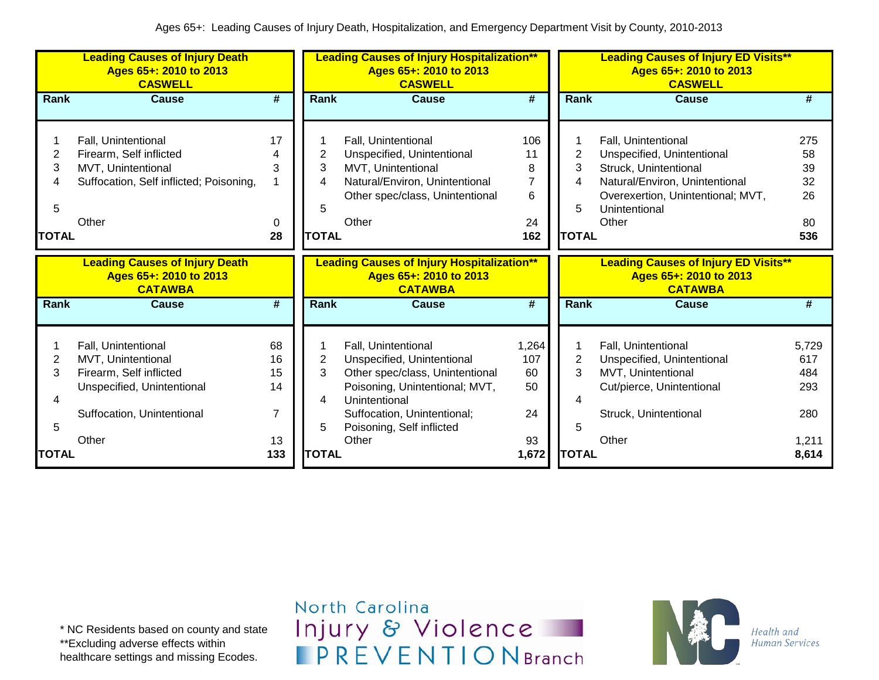|                                       | <b>Leading Causes of Injury Death</b><br>Ages 65+: 2010 to 2013<br><b>CASWELL</b>                                                |                                        |                                  | <b>Leading Causes of Injury Hospitalization**</b><br>Ages 65+: 2010 to 2013<br><b>CASWELL</b>                                                                                                       |                                                    |                                  | <b>Leading Causes of Injury ED Visits**</b><br>Ages 65+: 2010 to 2013<br><b>CASWELL</b>                                                                                     |                                          |
|---------------------------------------|----------------------------------------------------------------------------------------------------------------------------------|----------------------------------------|----------------------------------|-----------------------------------------------------------------------------------------------------------------------------------------------------------------------------------------------------|----------------------------------------------------|----------------------------------|-----------------------------------------------------------------------------------------------------------------------------------------------------------------------------|------------------------------------------|
| Rank                                  | <b>Cause</b>                                                                                                                     | $\overline{\boldsymbol{r}}$            | Rank                             | <b>Cause</b>                                                                                                                                                                                        | $\overline{\boldsymbol{H}}$                        | Rank                             | <b>Cause</b>                                                                                                                                                                | #                                        |
| 1<br>2<br>3<br>4<br>5<br><b>TOTAL</b> | Fall, Unintentional<br>Firearm, Self inflicted<br>MVT, Unintentional<br>Suffocation, Self inflicted; Poisoning,<br>Other         | 17<br>3<br>0<br>28                     | 2<br>3<br>4<br>5<br><b>TOTAL</b> | Fall, Unintentional<br>Unspecified, Unintentional<br>MVT, Unintentional<br>Natural/Environ, Unintentional<br>Other spec/class, Unintentional<br>Other                                               | 106<br>11<br>8<br>$\overline{7}$<br>6<br>24<br>162 | 2<br>3<br>4<br>5<br><b>TOTAL</b> | Fall, Unintentional<br>Unspecified, Unintentional<br>Struck, Unintentional<br>Natural/Environ, Unintentional<br>Overexertion, Unintentional; MVT,<br>Unintentional<br>Other | 275<br>58<br>39<br>32<br>26<br>80<br>536 |
|                                       | <b>Leading Causes of Injury Death</b><br>Ages 65+: 2010 to 2013<br><b>CATAWBA</b>                                                |                                        |                                  | <b>Leading Causes of Injury Hospitalization**</b><br>Ages 65+: 2010 to 2013<br><b>CATAWBA</b>                                                                                                       |                                                    |                                  | <b>Leading Causes of Injury ED Visits**</b><br>Ages 65+: 2010 to 2013<br><b>CATAWBA</b>                                                                                     |                                          |
| <b>Rank</b>                           | <b>Cause</b>                                                                                                                     | #                                      | <b>Rank</b>                      | <b>Cause</b>                                                                                                                                                                                        | #                                                  | <b>Rank</b>                      | <b>Cause</b>                                                                                                                                                                | #                                        |
| 2<br>3<br>5                           | Fall, Unintentional<br>MVT, Unintentional<br>Firearm, Self inflicted<br>Unspecified, Unintentional<br>Suffocation, Unintentional | 68<br>16<br>15<br>14<br>$\overline{7}$ | 2<br>3<br>4<br>5                 | Fall, Unintentional<br>Unspecified, Unintentional<br>Other spec/class, Unintentional<br>Poisoning, Unintentional; MVT,<br>Unintentional<br>Suffocation, Unintentional;<br>Poisoning, Self inflicted | 1,264<br>107<br>60<br>50<br>24                     | 2<br>3<br>5                      | Fall, Unintentional<br>Unspecified, Unintentional<br>MVT, Unintentional<br>Cut/pierce, Unintentional<br>Struck, Unintentional                                               | 5,729<br>617<br>484<br>293<br>280        |
| <b>TOTAL</b>                          | Other                                                                                                                            | 13<br>133                              | <b>TOTAL</b>                     | Other                                                                                                                                                                                               | 93<br>1,672                                        | <b>TOTAL</b>                     | Other                                                                                                                                                                       | 1,211<br>8,614                           |

\* NC Residents based on county and state \*\*Excluding adverse effects within healthcare settings and missing Ecodes.

North Carolina Injury & Violence **IPREVENTIONBranch** 

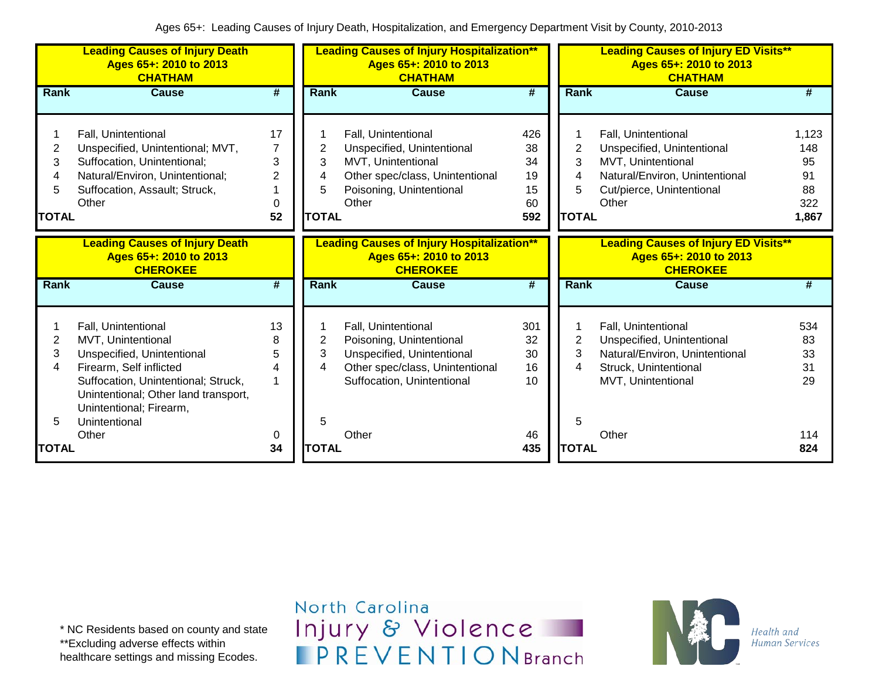|                                  | <b>Leading Causes of Injury Death</b><br>Ages 65+: 2010 to 2013<br><b>CHATHAM</b>                                                                                                                            |                                           |                                  | <b>Leading Causes of Injury Hospitalization**</b><br>Ages 65+: 2010 to 2013<br><b>CHATHAM</b>                                                   |                                          |                                  | <b>Leading Causes of Injury ED Visits**</b><br>Ages 65+: 2010 to 2013<br><b>CHATHAM</b>                                                         |                                                |
|----------------------------------|--------------------------------------------------------------------------------------------------------------------------------------------------------------------------------------------------------------|-------------------------------------------|----------------------------------|-------------------------------------------------------------------------------------------------------------------------------------------------|------------------------------------------|----------------------------------|-------------------------------------------------------------------------------------------------------------------------------------------------|------------------------------------------------|
| <b>Rank</b>                      | <b>Cause</b>                                                                                                                                                                                                 | #                                         | <b>Rank</b>                      | <b>Cause</b>                                                                                                                                    | #                                        | Rank                             | <b>Cause</b>                                                                                                                                    | #                                              |
| 2<br>3<br>4<br>5<br><b>TOTAL</b> | Fall, Unintentional<br>Unspecified, Unintentional; MVT,<br>Suffocation, Unintentional;<br>Natural/Environ, Unintentional;<br>Suffocation, Assault; Struck,<br>Other                                          | 17<br>$\overline{7}$<br>3<br>2<br>0<br>52 | 2<br>3<br>4<br>5<br><b>TOTAL</b> | Fall, Unintentional<br>Unspecified, Unintentional<br>MVT, Unintentional<br>Other spec/class, Unintentional<br>Poisoning, Unintentional<br>Other | 426<br>38<br>34<br>19<br>15<br>60<br>592 | 2<br>3<br>4<br>5<br><b>TOTAL</b> | Fall, Unintentional<br>Unspecified, Unintentional<br>MVT, Unintentional<br>Natural/Environ, Unintentional<br>Cut/pierce, Unintentional<br>Other | 1,123<br>148<br>95<br>91<br>88<br>322<br>1,867 |
|                                  | <b>Leading Causes of Injury Death</b><br>Ages 65+: 2010 to 2013<br><b>CHEROKEE</b>                                                                                                                           |                                           |                                  | <b>Leading Causes of Injury Hospitalization**</b><br>Ages 65+: 2010 to 2013<br><b>CHEROKEE</b>                                                  |                                          |                                  | <b>Leading Causes of Injury ED Visits**</b><br>Ages 65+: 2010 to 2013<br><b>CHEROKEE</b>                                                        |                                                |
| <b>Rank</b>                      | <b>Cause</b>                                                                                                                                                                                                 | $\overline{\boldsymbol{t}}$               | Rank                             | <b>Cause</b>                                                                                                                                    | $\overline{\boldsymbol{t}}$              | Rank                             | <b>Cause</b>                                                                                                                                    | #                                              |
| 2<br>3<br>4                      | Fall, Unintentional<br>MVT, Unintentional<br>Unspecified, Unintentional<br>Firearm, Self inflicted<br>Suffocation, Unintentional; Struck,<br>Unintentional; Other land transport,<br>Unintentional; Firearm, | 13<br>8<br>5<br>4<br>1                    | 2<br>3<br>4                      | Fall, Unintentional<br>Poisoning, Unintentional<br>Unspecified, Unintentional<br>Other spec/class, Unintentional<br>Suffocation, Unintentional  | 301<br>32<br>30<br>16<br>10              | 2<br>3<br>4                      | Fall, Unintentional<br>Unspecified, Unintentional<br>Natural/Environ, Unintentional<br>Struck, Unintentional<br>MVT, Unintentional              | 534<br>83<br>33<br>31<br>29                    |
| 5<br><b>TOTAL</b>                | Unintentional<br>Other                                                                                                                                                                                       | 0<br>34                                   | 5<br><b>TOTAL</b>                | Other                                                                                                                                           | 46<br>435                                | 5<br><b>TOTAL</b>                | Other                                                                                                                                           | 114<br>824                                     |

North Carolina Injury & Violence **IPREVENTIONBranch** 

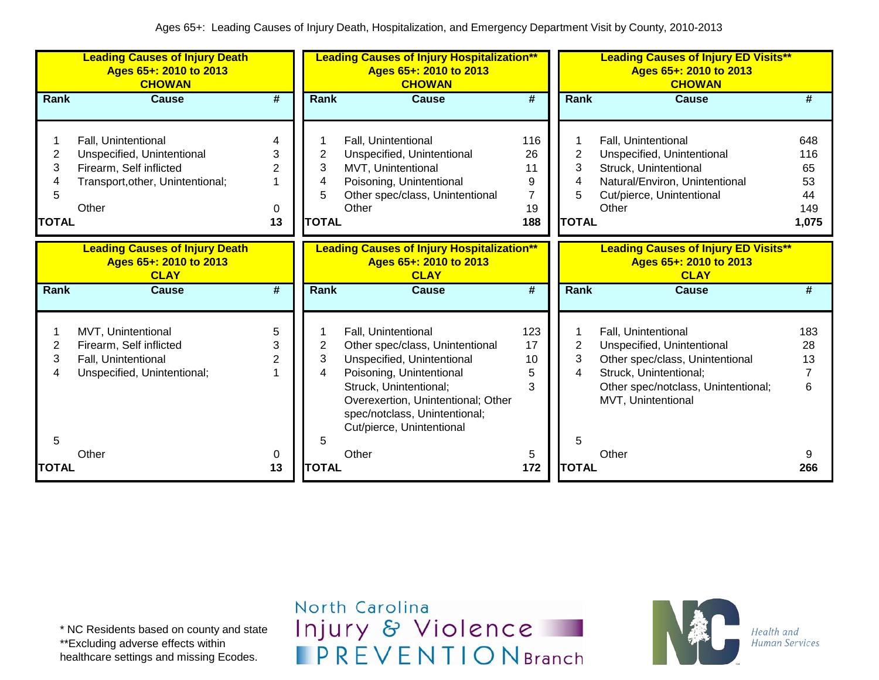|                             | <b>Leading Causes of Injury Death</b><br>Ages 65+: 2010 to 2013<br><b>CHOWAN</b>                                          |                                     |                                  | <b>Leading Causes of Injury Hospitalization**</b><br>Ages 65+: 2010 to 2013<br><b>CHOWAN</b>                                                                                                                                                   |                                                     |                                  | <b>Leading Causes of Injury ED Visits**</b><br>Ages 65+: 2010 to 2013<br><b>CHOWAN</b>                                                                                      |                                              |
|-----------------------------|---------------------------------------------------------------------------------------------------------------------------|-------------------------------------|----------------------------------|------------------------------------------------------------------------------------------------------------------------------------------------------------------------------------------------------------------------------------------------|-----------------------------------------------------|----------------------------------|-----------------------------------------------------------------------------------------------------------------------------------------------------------------------------|----------------------------------------------|
| Rank                        | <b>Cause</b>                                                                                                              | #                                   | Rank                             | <b>Cause</b>                                                                                                                                                                                                                                   | #                                                   | Rank                             | <b>Cause</b>                                                                                                                                                                | #                                            |
| 2<br>3<br>5<br><b>TOTAL</b> | Fall, Unintentional<br>Unspecified, Unintentional<br>Firearm, Self inflicted<br>Transport, other, Unintentional;<br>Other | 4<br>3<br>$\overline{2}$<br>0<br>13 | 2<br>3<br>4<br>5<br><b>TOTAL</b> | Fall, Unintentional<br>Unspecified, Unintentional<br>MVT, Unintentional<br>Poisoning, Unintentional<br>Other spec/class, Unintentional<br>Other                                                                                                | 116<br>26<br>11<br>9<br>$\overline{7}$<br>19<br>188 | 2<br>3<br>4<br>5<br><b>TOTAL</b> | Fall, Unintentional<br>Unspecified, Unintentional<br>Struck, Unintentional<br>Natural/Environ, Unintentional<br>Cut/pierce, Unintentional<br>Other                          | 648<br>116<br>65<br>53<br>44<br>149<br>1,075 |
|                             | <b>Leading Causes of Injury Death</b><br>Ages 65+: 2010 to 2013<br><b>CLAY</b>                                            |                                     |                                  | <b>Leading Causes of Injury Hospitalization**</b><br>Ages 65+: 2010 to 2013<br><b>CLAY</b>                                                                                                                                                     |                                                     |                                  | <b>Leading Causes of Injury ED Visits**</b><br>Ages 65+: 2010 to 2013<br><b>CLAY</b>                                                                                        |                                              |
| <b>Rank</b>                 | <b>Cause</b>                                                                                                              | $\overline{\boldsymbol{t}}$         | Rank                             | <b>Cause</b>                                                                                                                                                                                                                                   | #                                                   | Rank                             | <b>Cause</b>                                                                                                                                                                | #                                            |
| 2<br>3<br>4<br>5            | MVT, Unintentional<br>Firearm, Self inflicted<br>Fall, Unintentional<br>Unspecified, Unintentional;                       | 5<br>3<br>$\overline{2}$            | 2<br>3<br>4<br>5                 | Fall, Unintentional<br>Other spec/class, Unintentional<br>Unspecified, Unintentional<br>Poisoning, Unintentional<br>Struck, Unintentional;<br>Overexertion, Unintentional; Other<br>spec/notclass, Unintentional;<br>Cut/pierce, Unintentional | 123<br>17<br>10<br>5<br>3                           | $\overline{2}$<br>3<br>4<br>5    | Fall, Unintentional<br>Unspecified, Unintentional<br>Other spec/class, Unintentional<br>Struck, Unintentional;<br>Other spec/notclass, Unintentional;<br>MVT, Unintentional | 183<br>28<br>13<br>7<br>6                    |
| TOTAL                       | Other                                                                                                                     | 0<br>13                             | <b>TOTAL</b>                     | Other                                                                                                                                                                                                                                          | 5<br>172                                            | <b>TOTAL</b>                     | Other                                                                                                                                                                       | 9<br>266                                     |

\* NC Residents based on county and state \*\*Excluding adverse effects within healthcare settings and missing Ecodes.

North Carolina Injury & Violence **IPREVENTIONBranch** 

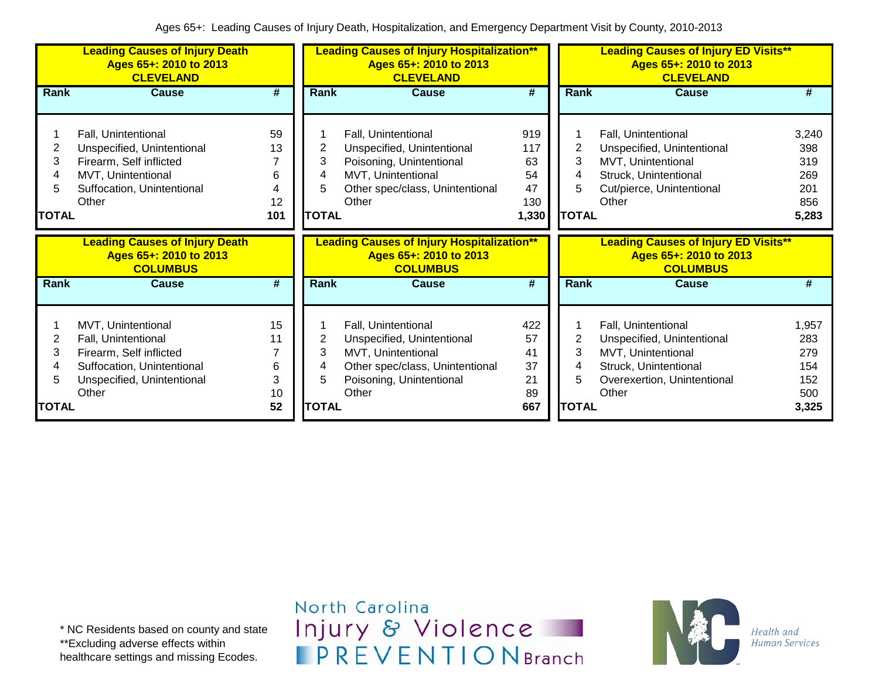|                                  | <b>Leading Causes of Injury Death</b><br>Ages 65+: 2010 to 2013<br><b>CLEVELAND</b>                                                       |                                 |                                  | <b>Leading Causes of Injury Hospitalization**</b><br>Ages 65+: 2010 to 2013<br><b>CLEVELAND</b>                                                 |                                              | <b>Leading Causes of Injury ED Visits**</b><br>Ages 65+: 2010 to 2013<br><b>CLEVELAND</b><br><b>Cause</b><br>Rank |                                                                                                                                          |                                                   |
|----------------------------------|-------------------------------------------------------------------------------------------------------------------------------------------|---------------------------------|----------------------------------|-------------------------------------------------------------------------------------------------------------------------------------------------|----------------------------------------------|-------------------------------------------------------------------------------------------------------------------|------------------------------------------------------------------------------------------------------------------------------------------|---------------------------------------------------|
| <b>Rank</b>                      | <b>Cause</b>                                                                                                                              | #                               | Rank                             | <b>Cause</b>                                                                                                                                    | #                                            |                                                                                                                   |                                                                                                                                          | #                                                 |
| 2<br>3<br>4<br>5<br><b>TOTAL</b> | Fall, Unintentional<br>Unspecified, Unintentional<br>Firearm, Self inflicted<br>MVT, Unintentional<br>Suffocation, Unintentional<br>Other | 59<br>13<br>6<br>4<br>12<br>101 | 2<br>3<br>4<br>5<br><b>TOTAL</b> | Fall, Unintentional<br>Unspecified, Unintentional<br>Poisoning, Unintentional<br>MVT, Unintentional<br>Other spec/class, Unintentional<br>Other | 919<br>117<br>63<br>54<br>47<br>130<br>1,330 | 2<br>3<br>4<br><b>TOTAL</b>                                                                                       | Fall, Unintentional<br>Unspecified, Unintentional<br>MVT, Unintentional<br>Struck, Unintentional<br>Cut/pierce, Unintentional<br>Other   | 3,240<br>398<br>319<br>269<br>201<br>856<br>5,283 |
|                                  |                                                                                                                                           |                                 |                                  |                                                                                                                                                 |                                              |                                                                                                                   |                                                                                                                                          |                                                   |
|                                  | <b>Leading Causes of Injury Death</b><br>Ages 65+: 2010 to 2013<br><b>COLUMBUS</b>                                                        |                                 |                                  | <b>Leading Causes of Injury Hospitalization**</b><br>Ages 65+: 2010 to 2013<br><b>COLUMBUS</b>                                                  |                                              |                                                                                                                   | <b>Leading Causes of Injury ED Visits**</b><br>Ages 65+: 2010 to 2013<br><b>COLUMBUS</b>                                                 |                                                   |
| <b>Rank</b>                      | <b>Cause</b>                                                                                                                              | #                               | Rank                             | <b>Cause</b>                                                                                                                                    | #                                            | Rank                                                                                                              | Cause                                                                                                                                    | #                                                 |
| 2<br>3<br>4<br>5                 | MVT, Unintentional<br>Fall, Unintentional<br>Firearm, Self inflicted<br>Suffocation, Unintentional<br>Unspecified, Unintentional<br>Other | 15<br>11<br>7<br>6<br>3<br>10   | 2<br>3<br>4<br>5                 | Fall, Unintentional<br>Unspecified, Unintentional<br>MVT, Unintentional<br>Other spec/class, Unintentional<br>Poisoning, Unintentional<br>Other | 422<br>57<br>41<br>37<br>21<br>89            | 2<br>3                                                                                                            | Fall, Unintentional<br>Unspecified, Unintentional<br>MVT, Unintentional<br>Struck, Unintentional<br>Overexertion, Unintentional<br>Other | 1,957<br>283<br>279<br>154<br>152<br>500          |

North Carolina Injury & Violence **IPREVENTIONBranch** 

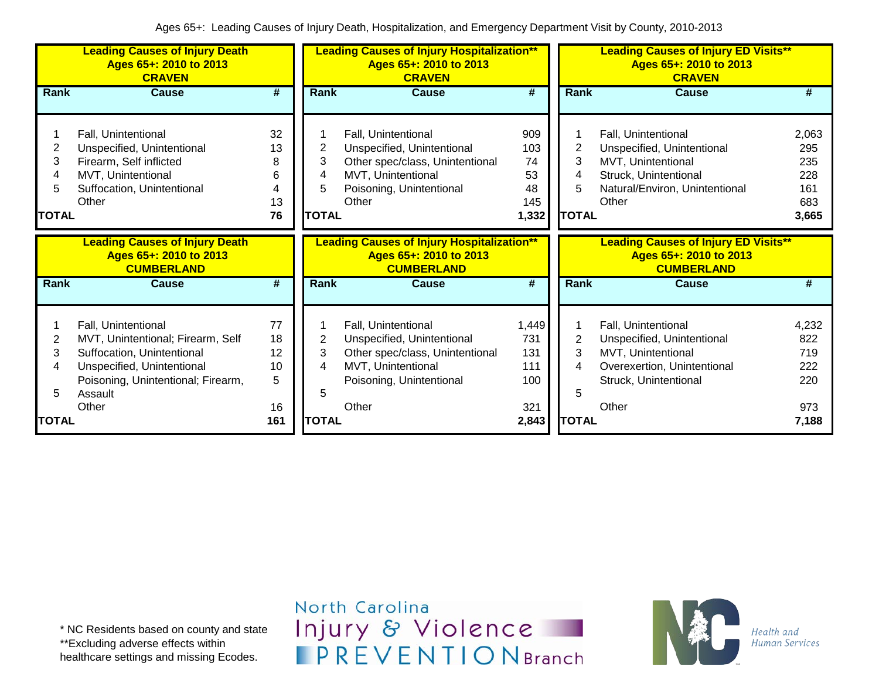|                             | <b>Leading Causes of Injury Death</b><br>Ages 65+: 2010 to 2013<br><b>CRAVEN</b>                                                                                               |                                     |                                  | <b>Leading Causes of Injury Hospitalization**</b><br>Ages 65+: 2010 to 2013<br><b>CRAVEN</b>                                                    |                                              |                                  | <b>Leading Causes of Injury ED Visits**</b><br>Ages 65+: 2010 to 2013<br><b>CRAVEN</b>                                                      |                                                   |
|-----------------------------|--------------------------------------------------------------------------------------------------------------------------------------------------------------------------------|-------------------------------------|----------------------------------|-------------------------------------------------------------------------------------------------------------------------------------------------|----------------------------------------------|----------------------------------|---------------------------------------------------------------------------------------------------------------------------------------------|---------------------------------------------------|
| Rank                        | <b>Cause</b>                                                                                                                                                                   | #                                   | Rank                             | <b>Cause</b>                                                                                                                                    | #                                            | Rank                             | <b>Cause</b>                                                                                                                                | #                                                 |
| 2<br>3<br>5<br><b>TOTAL</b> | Fall, Unintentional<br>Unspecified, Unintentional<br>Firearm, Self inflicted<br>MVT, Unintentional<br>Suffocation, Unintentional<br>Other                                      | 32<br>13<br>8<br>6<br>4<br>13<br>76 | 2<br>3<br>4<br>5<br><b>TOTAL</b> | Fall, Unintentional<br>Unspecified, Unintentional<br>Other spec/class, Unintentional<br>MVT, Unintentional<br>Poisoning, Unintentional<br>Other | 909<br>103<br>74<br>53<br>48<br>145<br>1,332 | 2<br>3<br>4<br>5<br><b>TOTAL</b> | Fall, Unintentional<br>Unspecified, Unintentional<br>MVT, Unintentional<br>Struck, Unintentional<br>Natural/Environ, Unintentional<br>Other | 2,063<br>295<br>235<br>228<br>161<br>683<br>3,665 |
|                             | <b>Leading Causes of Injury Death</b><br>Ages 65+: 2010 to 2013<br><b>CUMBERLAND</b>                                                                                           |                                     |                                  | <b>Leading Causes of Injury Hospitalization**</b><br>Ages 65+: 2010 to 2013<br><b>CUMBERLAND</b>                                                |                                              |                                  | <b>Leading Causes of Injury ED Visits**</b><br>Ages 65+: 2010 to 2013<br><b>CUMBERLAND</b>                                                  |                                                   |
| Rank                        | Cause                                                                                                                                                                          | #                                   | Rank                             | <b>Cause</b>                                                                                                                                    | #                                            | Rank                             | <b>Cause</b>                                                                                                                                | #                                                 |
| 2<br>3<br>4                 | Fall, Unintentional<br>MVT, Unintentional; Firearm, Self<br>Suffocation, Unintentional<br>Unspecified, Unintentional<br>Poisoning, Unintentional; Firearm,<br>Assault<br>Other | 77<br>18<br>12<br>10<br>5<br>16     | 2<br>3<br>4<br>5                 | Fall, Unintentional<br>Unspecified, Unintentional<br>Other spec/class, Unintentional<br>MVT, Unintentional<br>Poisoning, Unintentional<br>Other | 1,449<br>731<br>131<br>111<br>100<br>321     | 2<br>3<br>4<br>5                 | Fall, Unintentional<br>Unspecified, Unintentional<br>MVT, Unintentional<br>Overexertion, Unintentional<br>Struck, Unintentional<br>Other    | 4,232<br>822<br>719<br>222<br>220<br>973          |
| <b>TOTAL</b>                |                                                                                                                                                                                | 161                                 | <b>TOTAL</b>                     |                                                                                                                                                 | 2,843                                        | <b>TOTAL</b>                     |                                                                                                                                             | 7,188                                             |

North Carolina Injury & Violence **IPREVENTIONBranch** 

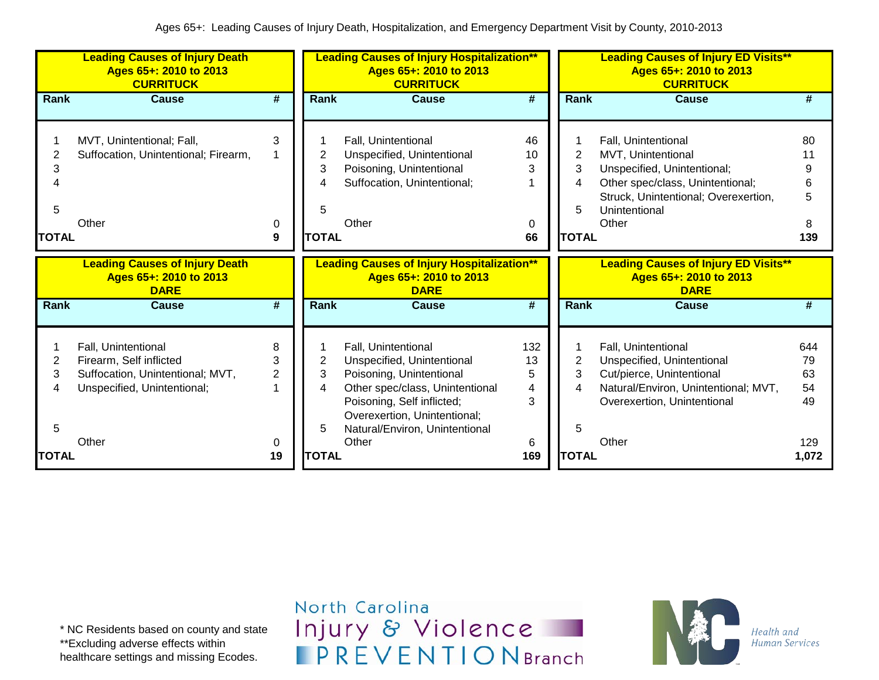|                             | <b>Leading Causes of Injury Death</b><br>Ages 65+: 2010 to 2013<br><b>CURRITUCK</b>                                        |                               |                                  | <b>Leading Causes of Injury Hospitalization**</b><br>Ages 65+: 2010 to 2013<br><b>CURRITUCK</b>                                                                                                                           |                               |                                  | <b>Leading Causes of Injury ED Visits**</b><br>Ages 65+: 2010 to 2013<br><b>CURRITUCK</b>                                                                                      |                                    |
|-----------------------------|----------------------------------------------------------------------------------------------------------------------------|-------------------------------|----------------------------------|---------------------------------------------------------------------------------------------------------------------------------------------------------------------------------------------------------------------------|-------------------------------|----------------------------------|--------------------------------------------------------------------------------------------------------------------------------------------------------------------------------|------------------------------------|
| Rank                        | <b>Cause</b>                                                                                                               | #                             | Rank                             | <b>Cause</b>                                                                                                                                                                                                              | #                             | <b>Rank</b>                      | <b>Cause</b>                                                                                                                                                                   | #                                  |
| 2<br>3<br>5<br><b>TOTAL</b> | MVT, Unintentional; Fall,<br>Suffocation, Unintentional; Firearm,<br>Other                                                 | 3<br>0<br>9                   | 2<br>3<br>4<br>5<br><b>TOTAL</b> | Fall, Unintentional<br>Unspecified, Unintentional<br>Poisoning, Unintentional<br>Suffocation, Unintentional;<br>Other                                                                                                     | 46<br>10<br>3<br>0<br>66      | 2<br>3<br>4<br>5<br><b>TOTAL</b> | Fall, Unintentional<br>MVT, Unintentional<br>Unspecified, Unintentional;<br>Other spec/class, Unintentional;<br>Struck, Unintentional; Overexertion,<br>Unintentional<br>Other | 80<br>11<br>6<br>5<br>8<br>139     |
|                             | <b>Leading Causes of Injury Death</b><br>Ages 65+: 2010 to 2013<br><b>DARE</b>                                             |                               |                                  | <b>Leading Causes of Injury Hospitalization**</b><br>Ages 65+: 2010 to 2013<br><b>DARE</b>                                                                                                                                |                               |                                  | <b>Leading Causes of Injury ED Visits**</b><br>Ages 65+: 2010 to 2013<br><b>DARE</b>                                                                                           |                                    |
| Rank                        | <b>Cause</b>                                                                                                               | #                             | Rank                             | <b>Cause</b>                                                                                                                                                                                                              | #                             | <b>Rank</b>                      | <b>Cause</b>                                                                                                                                                                   | #                                  |
| 2<br>3<br>4<br>5            | Fall, Unintentional<br>Firearm, Self inflicted<br>Suffocation, Unintentional; MVT,<br>Unspecified, Unintentional;<br>Other | 8<br>3<br>$\overline{2}$<br>0 | 2<br>3<br>4<br>5                 | Fall, Unintentional<br>Unspecified, Unintentional<br>Poisoning, Unintentional<br>Other spec/class, Unintentional<br>Poisoning, Self inflicted;<br>Overexertion, Unintentional;<br>Natural/Environ, Unintentional<br>Other | 132<br>13<br>5<br>4<br>3<br>6 | 2<br>3<br>4<br>5                 | Fall, Unintentional<br>Unspecified, Unintentional<br>Cut/pierce, Unintentional<br>Natural/Environ, Unintentional; MVT,<br>Overexertion, Unintentional<br>Other                 | 644<br>79<br>63<br>54<br>49<br>129 |
| <b>TOTAL</b>                |                                                                                                                            | 19                            | <b>TOTAL</b>                     |                                                                                                                                                                                                                           | 169                           | <b>TOTAL</b>                     |                                                                                                                                                                                | 1,072                              |

\* NC Residents based on county and state \*\*Excluding adverse effects within healthcare settings and missing Ecodes.

North Carolina Injury & Violence **IPREVENTIONBranch** 

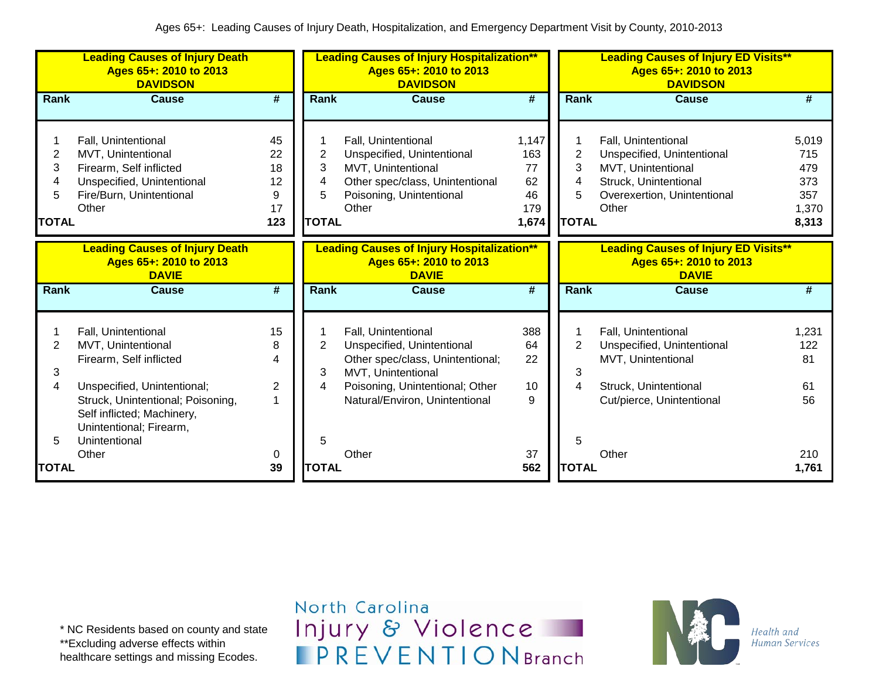|                        | <b>Leading Causes of Injury Death</b><br>Ages 65+: 2010 to 2013<br><b>DAVIDSON</b>                                   |                                               |                          | <b>Leading Causes of Injury Hospitalization**</b><br>Ages 65+: 2010 to 2013<br><b>DAVIDSON</b>                                                 |                          |                        | <b>Leading Causes of Injury ED Visits**</b><br>Ages 65+: 2010 to 2013<br><b>DAVIDSON</b>              |                              |
|------------------------|----------------------------------------------------------------------------------------------------------------------|-----------------------------------------------|--------------------------|------------------------------------------------------------------------------------------------------------------------------------------------|--------------------------|------------------------|-------------------------------------------------------------------------------------------------------|------------------------------|
| Rank<br>2<br>3         | <b>Cause</b><br>Fall, Unintentional<br>MVT, Unintentional<br>Firearm, Self inflicted                                 | $\overline{\boldsymbol{t}}$<br>45<br>22<br>18 | Rank<br>2<br>3           | <b>Cause</b><br>Fall, Unintentional<br>Unspecified, Unintentional<br>MVT, Unintentional                                                        | #<br>1,147<br>163<br>77  | Rank<br>2<br>3         | <b>Cause</b><br>Fall, Unintentional<br>Unspecified, Unintentional<br>MVT, Unintentional               | #<br>5,019<br>715<br>479     |
| 4<br>5<br><b>TOTAL</b> | Unspecified, Unintentional<br>Fire/Burn, Unintentional<br>Other                                                      | 12<br>9<br>17<br>123                          | 4<br>5<br><b>TOTAL</b>   | Other spec/class, Unintentional<br>Poisoning, Unintentional<br>Other                                                                           | 62<br>46<br>179<br>1,674 | 4<br>5<br><b>TOTAL</b> | Struck, Unintentional<br>Overexertion, Unintentional<br>Other                                         | 373<br>357<br>1,370<br>8,313 |
| Rank                   | <b>Leading Causes of Injury Death</b><br>Ages 65+: 2010 to 2013<br><b>DAVIE</b><br><b>Cause</b>                      | $\overline{\boldsymbol{t}}$                   | Rank                     | <b>Leading Causes of Injury Hospitalization**</b><br>Ages 65+: 2010 to 2013<br><b>DAVIE</b><br><b>Cause</b>                                    | #                        | Rank                   | <b>Leading Causes of Injury ED Visits**</b><br>Ages 65+: 2010 to 2013<br><b>DAVIE</b><br><b>Cause</b> | #                            |
|                        |                                                                                                                      |                                               |                          |                                                                                                                                                |                          |                        |                                                                                                       |                              |
| 2<br>3<br>4            | Fall, Unintentional<br>MVT, Unintentional<br>Firearm, Self inflicted<br>Unspecified, Unintentional;                  | 15<br>8<br>4<br>$\overline{2}$                | $\overline{2}$<br>3<br>4 | Fall, Unintentional<br>Unspecified, Unintentional<br>Other spec/class, Unintentional;<br>MVT, Unintentional<br>Poisoning, Unintentional; Other | 388<br>64<br>22<br>10    | 2<br>3<br>4            | Fall, Unintentional<br>Unspecified, Unintentional<br>MVT, Unintentional<br>Struck, Unintentional      | 1,231<br>122<br>81<br>61     |
| 5                      | Struck, Unintentional; Poisoning,<br>Self inflicted; Machinery,<br>Unintentional; Firearm,<br>Unintentional<br>Other | 0                                             | 5                        | Natural/Environ, Unintentional<br>Other                                                                                                        | 9<br>37                  | 5                      | Cut/pierce, Unintentional<br>Other                                                                    | 56<br>210                    |
| TOTAL                  |                                                                                                                      | 39                                            | <b>TOTAL</b>             |                                                                                                                                                | 562                      | <b>TOTAL</b>           |                                                                                                       | 1,761                        |

\* NC Residents based on county and state \*\*Excluding adverse effects within healthcare settings and missing Ecodes.

North Carolina Injury & Violence **IPREVENTIONBranch** 

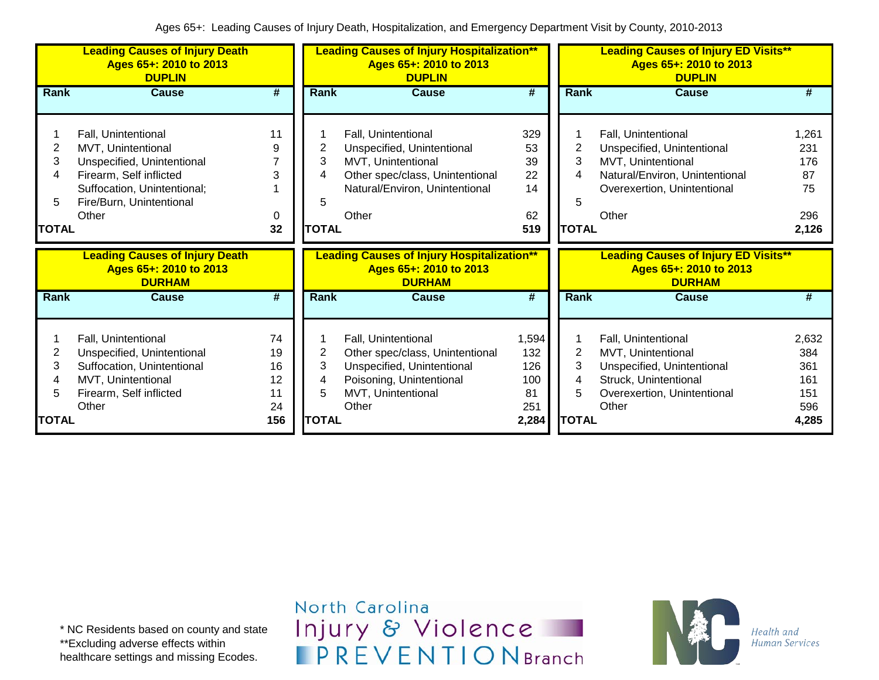|                                               | <b>Leading Causes of Injury Death</b><br>Ages 65+: 2010 to 2013<br><b>DUPLIN</b>                                                                                       |                                         |                                  | <b>Leading Causes of Injury Hospitalization**</b><br>Ages 65+: 2010 to 2013<br><b>DUPLIN</b>                                                          |                                                  |                                  | <b>Leading Causes of Injury ED Visits**</b><br>Ages 65+: 2010 to 2013<br><b>DUPLIN</b>                                                            |                                                   |
|-----------------------------------------------|------------------------------------------------------------------------------------------------------------------------------------------------------------------------|-----------------------------------------|----------------------------------|-------------------------------------------------------------------------------------------------------------------------------------------------------|--------------------------------------------------|----------------------------------|---------------------------------------------------------------------------------------------------------------------------------------------------|---------------------------------------------------|
| Rank                                          | <b>Cause</b>                                                                                                                                                           | #                                       | Rank                             | <b>Cause</b>                                                                                                                                          | #                                                | Rank                             | <b>Cause</b>                                                                                                                                      | #                                                 |
| $\overline{2}$<br>3<br>4<br>5<br><b>TOTAL</b> | Fall, Unintentional<br>MVT, Unintentional<br>Unspecified, Unintentional<br>Firearm, Self inflicted<br>Suffocation, Unintentional;<br>Fire/Burn, Unintentional<br>Other | 11<br>9<br>3<br>0<br>32                 | 2<br>3<br>4<br>5<br><b>TOTAL</b> | Fall, Unintentional<br>Unspecified, Unintentional<br>MVT, Unintentional<br>Other spec/class, Unintentional<br>Natural/Environ, Unintentional<br>Other | 329<br>53<br>39<br>22<br>14<br>62<br>519         | 2<br>3<br>4<br>5<br><b>TOTAL</b> | Fall, Unintentional<br>Unspecified, Unintentional<br>MVT, Unintentional<br>Natural/Environ, Unintentional<br>Overexertion, Unintentional<br>Other | 1,261<br>231<br>176<br>87<br>75<br>296<br>2,126   |
|                                               |                                                                                                                                                                        |                                         |                                  |                                                                                                                                                       |                                                  |                                  |                                                                                                                                                   |                                                   |
|                                               | <b>Leading Causes of Injury Death</b><br>Ages 65+: 2010 to 2013<br><b>DURHAM</b>                                                                                       |                                         |                                  | <b>Leading Causes of Injury Hospitalization**</b><br>Ages 65+: 2010 to 2013<br><b>DURHAM</b>                                                          |                                                  |                                  | <b>Leading Causes of Injury ED Visits**</b><br>Ages 65+: 2010 to 2013<br><b>DURHAM</b>                                                            |                                                   |
| <b>Rank</b>                                   | <b>Cause</b>                                                                                                                                                           | #                                       | Rank                             | <b>Cause</b>                                                                                                                                          | #                                                | <b>Rank</b>                      | <b>Cause</b>                                                                                                                                      | #                                                 |
| 2<br>3<br>4<br>5<br><b>TOTAL</b>              | Fall, Unintentional<br>Unspecified, Unintentional<br>Suffocation, Unintentional<br>MVT, Unintentional<br>Firearm, Self inflicted<br>Other                              | 74<br>19<br>16<br>12<br>11<br>24<br>156 | 2<br>3<br>4<br>5<br><b>TOTAL</b> | Fall, Unintentional<br>Other spec/class, Unintentional<br>Unspecified, Unintentional<br>Poisoning, Unintentional<br>MVT, Unintentional<br>Other       | 1,594<br>132<br>126<br>100<br>81<br>251<br>2,284 | 2<br>3<br>4<br>5<br><b>TOTAL</b> | Fall, Unintentional<br>MVT, Unintentional<br>Unspecified, Unintentional<br>Struck, Unintentional<br>Overexertion, Unintentional<br>Other          | 2,632<br>384<br>361<br>161<br>151<br>596<br>4,285 |

North Carolina Injury & Violence **IPREVENTIONBranch** 

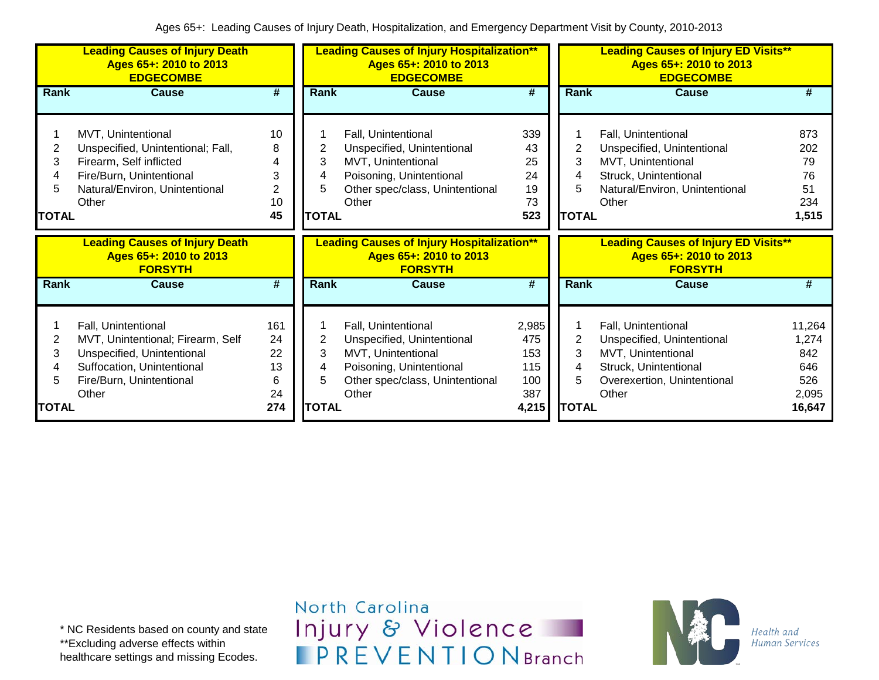|                |                                                                                                                                                                                                                                                                                                                                                                         |                  | Ages 65+: 2010 to 2013<br><b>EDGECOMBE</b>                                                                                                      |                                                          |                                                            | Ages 65+: 2010 to 2013<br><b>EDGECOMBE</b>                                                                                                  | <b>Leading Causes of Injury ED Visits**</b>                                 |
|----------------|-------------------------------------------------------------------------------------------------------------------------------------------------------------------------------------------------------------------------------------------------------------------------------------------------------------------------------------------------------------------------|------------------|-------------------------------------------------------------------------------------------------------------------------------------------------|----------------------------------------------------------|------------------------------------------------------------|---------------------------------------------------------------------------------------------------------------------------------------------|-----------------------------------------------------------------------------|
| <b>Cause</b>   | #                                                                                                                                                                                                                                                                                                                                                                       | Rank             | <b>Cause</b>                                                                                                                                    | #                                                        | Rank                                                       | <b>Cause</b>                                                                                                                                | #                                                                           |
|                | 10<br>8<br>4<br>3<br>$\overline{2}$<br>10<br>45                                                                                                                                                                                                                                                                                                                         | 2<br>3<br>4<br>5 | Fall, Unintentional<br>Unspecified, Unintentional<br>MVT, Unintentional<br>Poisoning, Unintentional<br>Other spec/class, Unintentional<br>Other | 339<br>43<br>25<br>24<br>19<br>73<br>523                 | 2<br>3                                                     | Fall, Unintentional<br>Unspecified, Unintentional<br>MVT, Unintentional<br>Struck, Unintentional<br>Natural/Environ, Unintentional<br>Other | 873<br>202<br>79<br>76<br>51<br>234<br>1,515                                |
| <b>FORSYTH</b> |                                                                                                                                                                                                                                                                                                                                                                         |                  | Ages 65+: 2010 to 2013<br><b>FORSYTH</b>                                                                                                        |                                                          |                                                            | Ages 65+: 2010 to 2013<br><b>FORSYTH</b>                                                                                                    |                                                                             |
| <b>Cause</b>   | #                                                                                                                                                                                                                                                                                                                                                                       | Rank             | <b>Cause</b>                                                                                                                                    | #                                                        | Rank                                                       | Cause                                                                                                                                       | #                                                                           |
|                | 161<br>24<br>22<br>13<br>6<br>24                                                                                                                                                                                                                                                                                                                                        | 2<br>3<br>4<br>5 | Fall, Unintentional<br>Unspecified, Unintentional<br>MVT, Unintentional<br>Other spec/class, Unintentional<br>Other                             | 2,985<br>475<br>153<br>115<br>100<br>387                 | 2<br>3<br>4<br>5                                           | Fall, Unintentional<br>Unspecified, Unintentional<br>MVT, Unintentional<br>Struck, Unintentional<br>Overexertion, Unintentional<br>Other    | 11,264<br>1,274<br>842<br>646<br>526<br>2,095<br>16,647                     |
|                | MVT, Unintentional<br>Unspecified, Unintentional; Fall,<br>Firearm, Self inflicted<br>Fire/Burn, Unintentional<br>Natural/Environ, Unintentional<br><b>Leading Causes of Injury Death</b><br>Ages 65+: 2010 to 2013<br>Fall, Unintentional<br>MVT, Unintentional; Firearm, Self<br>Unspecified, Unintentional<br>Suffocation, Unintentional<br>Fire/Burn, Unintentional | 274              |                                                                                                                                                 | <b>TOTAL</b><br>Poisoning, Unintentional<br><b>TOTAL</b> | <b>Leading Causes of Injury Hospitalization**</b><br>4,215 |                                                                                                                                             | <b>TOTAL</b><br><b>Leading Causes of Injury ED Visits**</b><br><b>TOTAL</b> |

North Carolina Injury & Violence **IPREVENTIONBranch** 

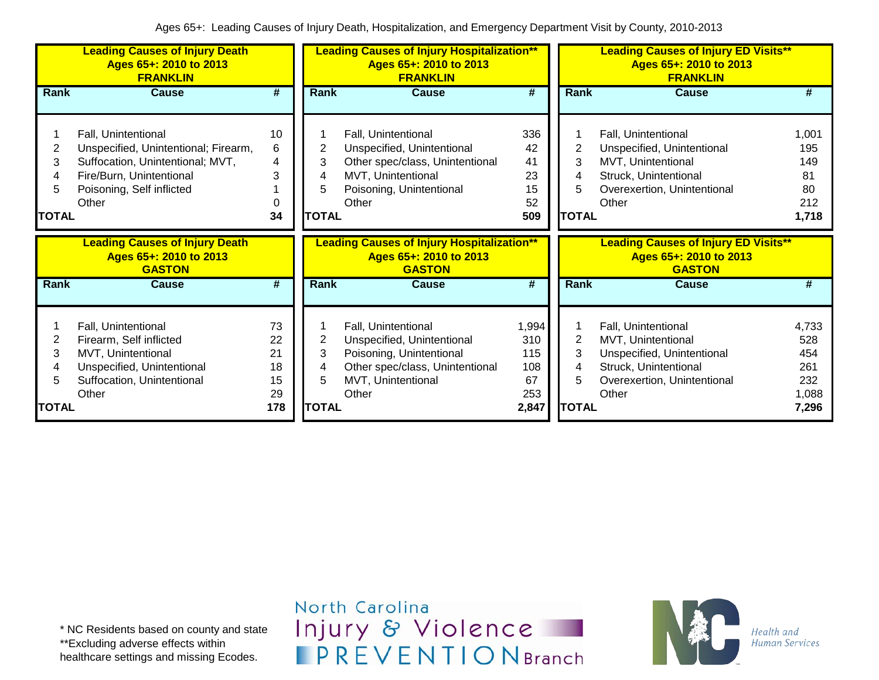|                             | <b>Leading Causes of Injury Death</b><br>Ages 65+: 2010 to 2013<br><b>FRANKLIN</b>                                                                                |                                         |                                  | <b>Leading Causes of Injury Hospitalization**</b><br>Ages 65+: 2010 to 2013<br><b>FRANKLIN</b>                                                  |                                                  |                                  | <b>Leading Causes of Injury ED Visits**</b><br>Ages 65+: 2010 to 2013<br><b>FRANKLIN</b>                                                 |                                                     |
|-----------------------------|-------------------------------------------------------------------------------------------------------------------------------------------------------------------|-----------------------------------------|----------------------------------|-------------------------------------------------------------------------------------------------------------------------------------------------|--------------------------------------------------|----------------------------------|------------------------------------------------------------------------------------------------------------------------------------------|-----------------------------------------------------|
| Rank                        | <b>Cause</b>                                                                                                                                                      | #                                       | Rank                             | <b>Cause</b>                                                                                                                                    | #                                                | Rank                             | Cause                                                                                                                                    | #                                                   |
| 2<br>3<br>5<br><b>TOTAL</b> | Fall, Unintentional<br>Unspecified, Unintentional; Firearm,<br>Suffocation, Unintentional; MVT,<br>Fire/Burn, Unintentional<br>Poisoning, Self inflicted<br>Other | 10<br>6<br>4<br>3<br>0<br>34            | 2<br>3<br>4<br>5<br><b>TOTAL</b> | Fall, Unintentional<br>Unspecified, Unintentional<br>Other spec/class, Unintentional<br>MVT, Unintentional<br>Poisoning, Unintentional<br>Other | 336<br>42<br>41<br>23<br>15<br>52<br>509         | 2<br>3<br><b>ITOTAL</b>          | Fall, Unintentional<br>Unspecified, Unintentional<br>MVT, Unintentional<br>Struck, Unintentional<br>Overexertion, Unintentional<br>Other | 1,001<br>195<br>149<br>81<br>80<br>212<br>1,718     |
|                             | <b>Leading Causes of Injury Death</b><br>Ages 65+: 2010 to 2013<br><b>GASTON</b>                                                                                  |                                         |                                  | <b>Leading Causes of Injury Hospitalization**</b><br>Ages 65+: 2010 to 2013<br><b>GASTON</b>                                                    |                                                  |                                  | <b>Leading Causes of Injury ED Visits**</b><br>Ages 65+: 2010 to 2013<br><b>GASTON</b>                                                   |                                                     |
| <b>Rank</b>                 | <b>Cause</b>                                                                                                                                                      | #                                       | Rank                             | <b>Cause</b>                                                                                                                                    | #                                                | Rank                             | <b>Cause</b>                                                                                                                             | #                                                   |
| 2<br>3<br>5<br><b>TOTAL</b> | Fall, Unintentional<br>Firearm, Self inflicted<br>MVT, Unintentional<br>Unspecified, Unintentional<br>Suffocation, Unintentional<br>Other                         | 73<br>22<br>21<br>18<br>15<br>29<br>178 | 2<br>3<br>4<br>5<br><b>TOTAL</b> | Fall, Unintentional<br>Unspecified, Unintentional<br>Poisoning, Unintentional<br>Other spec/class, Unintentional<br>MVT, Unintentional<br>Other | 1,994<br>310<br>115<br>108<br>67<br>253<br>2,847 | 2<br>3<br>4<br>5<br><b>TOTAL</b> | Fall, Unintentional<br>MVT, Unintentional<br>Unspecified, Unintentional<br>Struck, Unintentional<br>Overexertion, Unintentional<br>Other | 4,733<br>528<br>454<br>261<br>232<br>1,088<br>7,296 |

North Carolina Injury & Violence **IPREVENTIONBranch** 

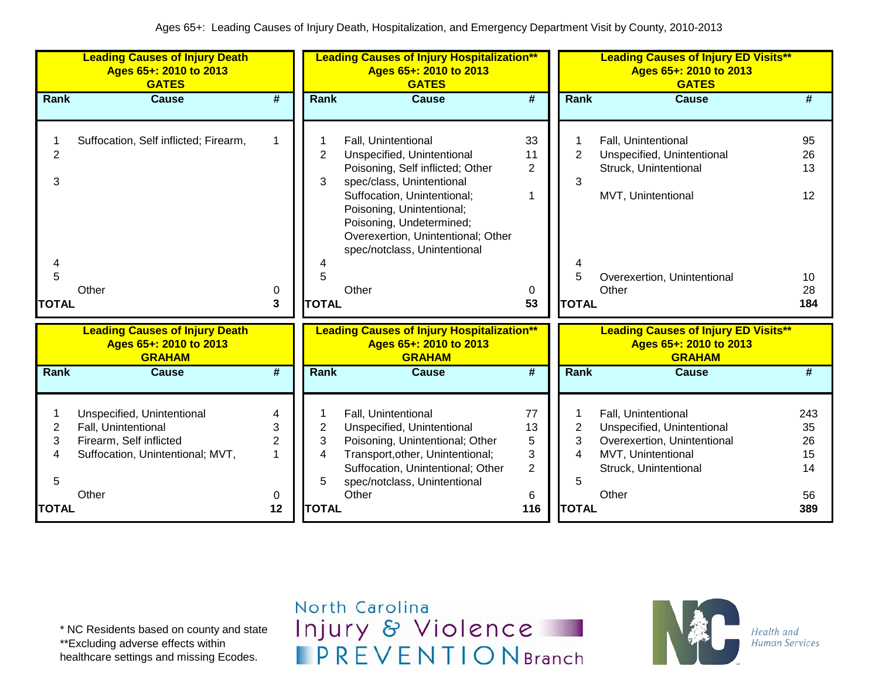|                                               | <b>Leading Causes of Injury Death</b><br>Ages 65+: 2010 to 2013<br><b>GATES</b>                                           |                                          |                                          | <b>Leading Causes of Injury Hospitalization**</b><br>Ages 65+: 2010 to 2013<br><b>GATES</b>                                                                                                                                                                                               |                                                  |                                               | <b>Leading Causes of Injury ED Visits**</b><br>Ages 65+: 2010 to 2013<br><b>GATES</b>                                                    |                                                      |
|-----------------------------------------------|---------------------------------------------------------------------------------------------------------------------------|------------------------------------------|------------------------------------------|-------------------------------------------------------------------------------------------------------------------------------------------------------------------------------------------------------------------------------------------------------------------------------------------|--------------------------------------------------|-----------------------------------------------|------------------------------------------------------------------------------------------------------------------------------------------|------------------------------------------------------|
| Rank                                          | <b>Cause</b>                                                                                                              | #                                        | Rank                                     | <b>Cause</b>                                                                                                                                                                                                                                                                              | $\overline{\boldsymbol{t}}$                      | <b>Rank</b>                                   | <b>Cause</b>                                                                                                                             | #                                                    |
| $\overline{2}$<br>3<br>4<br>5<br><b>TOTAL</b> | Suffocation, Self inflicted; Firearm,<br>Other                                                                            | 1<br>0<br>3                              | $\overline{2}$<br>3<br>5<br><b>TOTAL</b> | Fall, Unintentional<br>Unspecified, Unintentional<br>Poisoning, Self inflicted; Other<br>spec/class, Unintentional<br>Suffocation, Unintentional;<br>Poisoning, Unintentional;<br>Poisoning, Undetermined;<br>Overexertion, Unintentional; Other<br>spec/notclass, Unintentional<br>Other | 33<br>11<br>2<br>1<br>0<br>53                    | $\overline{2}$<br>3<br>5<br><b>TOTAL</b>      | Fall, Unintentional<br>Unspecified, Unintentional<br>Struck, Unintentional<br>MVT, Unintentional<br>Overexertion, Unintentional<br>Other | 95<br>26<br>13<br>12 <sup>2</sup><br>10<br>28<br>184 |
|                                               | <b>Leading Causes of Injury Death</b><br>Ages 65+: 2010 to 2013<br><b>GRAHAM</b>                                          |                                          |                                          | <b>Leading Causes of Injury Hospitalization**</b><br>Ages 65+: 2010 to 2013<br><b>GRAHAM</b>                                                                                                                                                                                              |                                                  |                                               | <b>Leading Causes of Injury ED Visits**</b><br>Ages 65+: 2010 to 2013<br><b>GRAHAM</b>                                                   |                                                      |
| <b>Rank</b>                                   | <b>Cause</b>                                                                                                              | #                                        | <b>Rank</b>                              | <b>Cause</b>                                                                                                                                                                                                                                                                              | #                                                | <b>Rank</b>                                   | <b>Cause</b>                                                                                                                             | #                                                    |
| 2<br>3<br>4<br>5<br><b>TOTAL</b>              | Unspecified, Unintentional<br>Fall, Unintentional<br>Firearm, Self inflicted<br>Suffocation, Unintentional; MVT,<br>Other | 4<br>3<br>$\overline{2}$<br>1<br>0<br>12 | 2<br>3<br>4<br>5<br><b>TOTAL</b>         | Fall, Unintentional<br>Unspecified, Unintentional<br>Poisoning, Unintentional; Other<br>Transport, other, Unintentional;<br>Suffocation, Unintentional; Other<br>spec/notclass, Unintentional<br>Other                                                                                    | 77<br>13<br>5<br>3<br>$\overline{2}$<br>6<br>116 | $\overline{c}$<br>3<br>4<br>5<br><b>TOTAL</b> | Fall, Unintentional<br>Unspecified, Unintentional<br>Overexertion, Unintentional<br>MVT, Unintentional<br>Struck, Unintentional<br>Other | 243<br>35<br>26<br>15<br>14<br>56<br>389             |

\* NC Residents based on county and state \*\*Excluding adverse effects within

healthcare settings and missing Ecodes.

## North Carolina Injury & Violence **IPREVENTIONBranch**

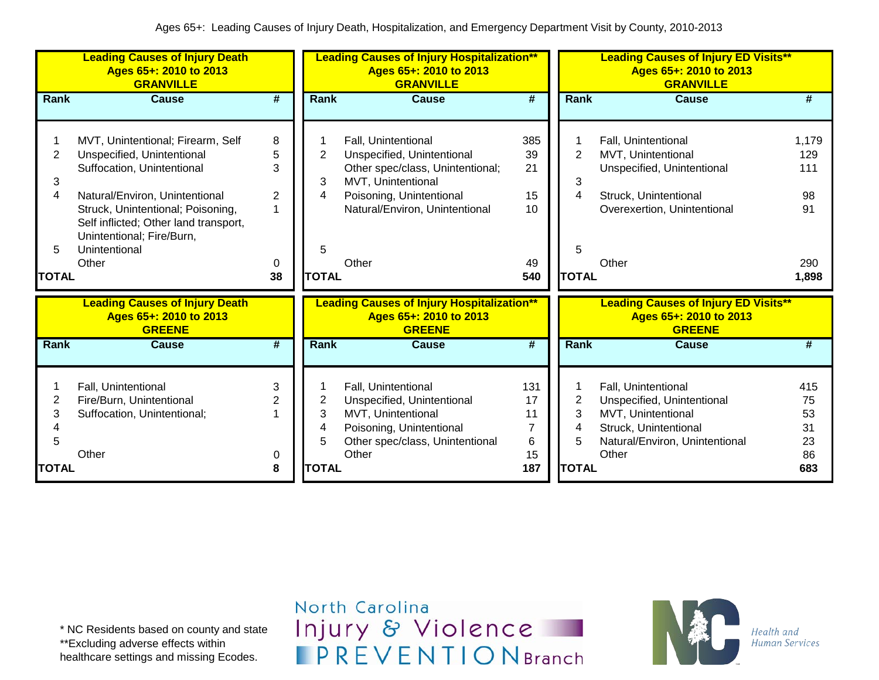|                                               | <b>Leading Causes of Injury Death</b><br>Ages 65+: 2010 to 2013<br><b>GRANVILLE</b>                                                                                                                                                                                  |                                  |                                               | <b>Leading Causes of Injury Hospitalization**</b><br>Ages 65+: 2010 to 2013<br><b>GRANVILLE</b>                                                                                    |                                          |                                               | <b>Leading Causes of Injury ED Visits**</b><br>Ages 65+: 2010 to 2013<br><b>GRANVILLE</b>                                                   |                                                 |
|-----------------------------------------------|----------------------------------------------------------------------------------------------------------------------------------------------------------------------------------------------------------------------------------------------------------------------|----------------------------------|-----------------------------------------------|------------------------------------------------------------------------------------------------------------------------------------------------------------------------------------|------------------------------------------|-----------------------------------------------|---------------------------------------------------------------------------------------------------------------------------------------------|-------------------------------------------------|
| Rank                                          | Cause                                                                                                                                                                                                                                                                | #                                | Rank                                          | Cause                                                                                                                                                                              | #                                        | Rank                                          | <b>Cause</b>                                                                                                                                | #                                               |
| $\overline{2}$<br>3<br>4<br>5<br><b>TOTAL</b> | MVT, Unintentional; Firearm, Self<br>Unspecified, Unintentional<br>Suffocation, Unintentional<br>Natural/Environ, Unintentional<br>Struck, Unintentional; Poisoning,<br>Self inflicted; Other land transport,<br>Unintentional; Fire/Burn,<br>Unintentional<br>Other | 8<br>5<br>3<br>2<br>1<br>0<br>38 | $\overline{2}$<br>3<br>4<br>5<br><b>TOTAL</b> | Fall, Unintentional<br>Unspecified, Unintentional<br>Other spec/class, Unintentional;<br>MVT, Unintentional<br>Poisoning, Unintentional<br>Natural/Environ, Unintentional<br>Other | 385<br>39<br>21<br>15<br>10<br>49<br>540 | $\overline{2}$<br>3<br>4<br>5<br><b>TOTAL</b> | Fall, Unintentional<br>MVT, Unintentional<br>Unspecified, Unintentional<br>Struck, Unintentional<br>Overexertion, Unintentional<br>Other    | 1,179<br>129<br>111<br>98<br>91<br>290<br>1,898 |
|                                               | <b>Leading Causes of Injury Death</b><br>Ages 65+: 2010 to 2013<br><b>GREENE</b>                                                                                                                                                                                     |                                  |                                               | <b>Leading Causes of Injury Hospitalization**</b><br>Ages 65+: 2010 to 2013<br><b>GREENE</b>                                                                                       |                                          |                                               | <b>Leading Causes of Injury ED Visits**</b><br>Ages 65+: 2010 to 2013<br><b>GREENE</b>                                                      |                                                 |
| Rank                                          | Cause                                                                                                                                                                                                                                                                | $\overline{\boldsymbol{t}}$      | Rank                                          | <b>Cause</b>                                                                                                                                                                       | $\overline{\#}$                          | Rank                                          | <b>Cause</b>                                                                                                                                | #                                               |
| 2<br>3<br>5<br><b>TOTAL</b>                   | Fall, Unintentional<br>Fire/Burn, Unintentional<br>Suffocation, Unintentional;<br>Other                                                                                                                                                                              | 3<br>$\overline{2}$<br>0<br>8    | 2<br>3<br>4<br>5<br><b>TOTAL</b>              | Fall, Unintentional<br>Unspecified, Unintentional<br>MVT, Unintentional<br>Poisoning, Unintentional<br>Other spec/class, Unintentional<br>Other                                    | 131<br>17<br>11<br>7<br>6<br>15<br>187   | $\overline{2}$<br>3<br>4<br>5<br><b>TOTAL</b> | Fall, Unintentional<br>Unspecified, Unintentional<br>MVT, Unintentional<br>Struck, Unintentional<br>Natural/Environ, Unintentional<br>Other | 415<br>75<br>53<br>31<br>23<br>86<br>683        |

\* NC Residents based on county and state \*\*Excluding adverse effects within healthcare settings and missing Ecodes.

North Carolina Injury & Violence **IPREVENTIONBranch** 

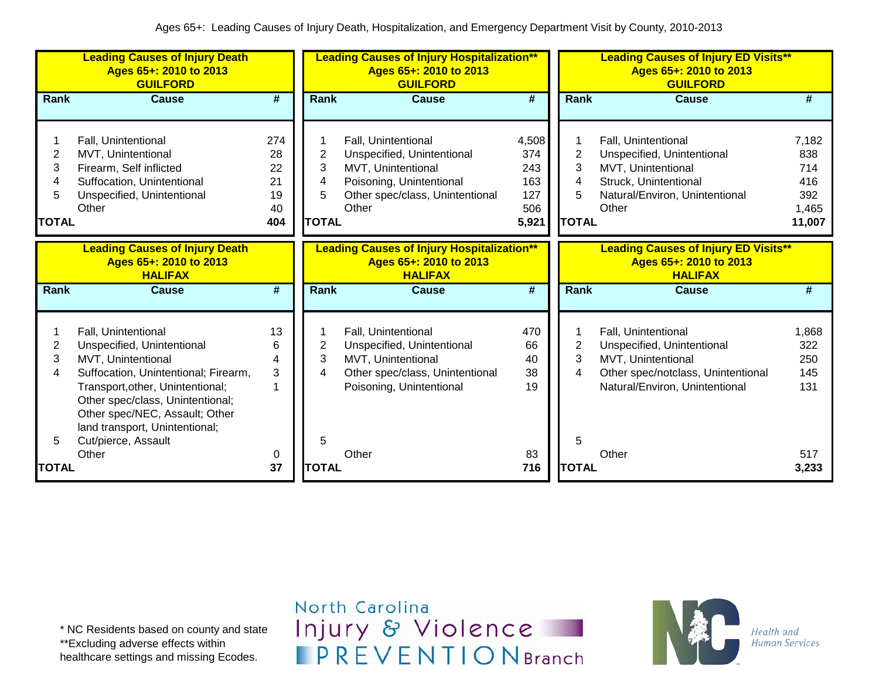|                                  | <b>Leading Causes of Injury Death</b><br>Ages 65+: 2010 to 2013<br><b>GUILFORD</b>                                                                                                                                                                                                 |                                          |                                               | <b>Leading Causes of Injury Hospitalization**</b><br>Ages 65+: 2010 to 2013<br><b>GUILFORD</b>                                                  |                                                   |                                               | <b>Leading Causes of Injury ED Visits**</b><br>Ages 65+: 2010 to 2013<br><b>GUILFORD</b>                                                        |                                                      |
|----------------------------------|------------------------------------------------------------------------------------------------------------------------------------------------------------------------------------------------------------------------------------------------------------------------------------|------------------------------------------|-----------------------------------------------|-------------------------------------------------------------------------------------------------------------------------------------------------|---------------------------------------------------|-----------------------------------------------|-------------------------------------------------------------------------------------------------------------------------------------------------|------------------------------------------------------|
| Rank                             | <b>Cause</b>                                                                                                                                                                                                                                                                       | $\overline{\boldsymbol{t}}$              | Rank                                          | <b>Cause</b>                                                                                                                                    | $\overline{\boldsymbol{t}}$                       | Rank                                          | <b>Cause</b>                                                                                                                                    | #                                                    |
| 2<br>3<br>4<br>5<br><b>TOTAL</b> | Fall, Unintentional<br>MVT, Unintentional<br>Firearm, Self inflicted<br>Suffocation, Unintentional<br>Unspecified, Unintentional<br>Other                                                                                                                                          | 274<br>28<br>22<br>21<br>19<br>40<br>404 | $\overline{2}$<br>3<br>4<br>5<br><b>TOTAL</b> | Fall, Unintentional<br>Unspecified, Unintentional<br>MVT, Unintentional<br>Poisoning, Unintentional<br>Other spec/class, Unintentional<br>Other | 4,508<br>374<br>243<br>163<br>127<br>506<br>5,921 | $\overline{2}$<br>3<br>4<br>5<br><b>TOTAL</b> | Fall, Unintentional<br>Unspecified, Unintentional<br>MVT, Unintentional<br>Struck, Unintentional<br>Natural/Environ, Unintentional<br>Other     | 7,182<br>838<br>714<br>416<br>392<br>1,465<br>11,007 |
|                                  | <b>Leading Causes of Injury Death</b><br>Ages 65+: 2010 to 2013                                                                                                                                                                                                                    |                                          |                                               | <b>Leading Causes of Injury Hospitalization**</b><br>Ages 65+: 2010 to 2013                                                                     |                                                   |                                               | <b>Leading Causes of Injury ED Visits**</b><br>Ages 65+: 2010 to 2013                                                                           |                                                      |
| Rank                             | <b>HALIFAX</b><br><b>Cause</b>                                                                                                                                                                                                                                                     | $\overline{\boldsymbol{t}}$              | Rank                                          | <b>HALIFAX</b><br><b>Cause</b>                                                                                                                  | $\overline{\boldsymbol{t}}$                       | Rank                                          | <b>HALIFAX</b><br><b>Cause</b>                                                                                                                  | #                                                    |
|                                  |                                                                                                                                                                                                                                                                                    |                                          |                                               |                                                                                                                                                 |                                                   |                                               |                                                                                                                                                 |                                                      |
| 2<br>3<br>4<br>5                 | Fall, Unintentional<br>Unspecified, Unintentional<br>MVT, Unintentional<br>Suffocation, Unintentional; Firearm,<br>Transport, other, Unintentional;<br>Other spec/class, Unintentional;<br>Other spec/NEC, Assault; Other<br>land transport, Unintentional;<br>Cut/pierce, Assault | 13<br>6<br>4<br>3                        | 1<br>2<br>3<br>4<br>5                         | Fall, Unintentional<br>Unspecified, Unintentional<br>MVT, Unintentional<br>Other spec/class, Unintentional<br>Poisoning, Unintentional          | 470<br>66<br>40<br>38<br>19                       | $\overline{2}$<br>3<br>4<br>5                 | Fall, Unintentional<br>Unspecified, Unintentional<br>MVT, Unintentional<br>Other spec/notclass, Unintentional<br>Natural/Environ, Unintentional | 1,868<br>322<br>250<br>145<br>131                    |
| TOTAL                            | Other                                                                                                                                                                                                                                                                              | 0<br>37                                  | <b>TOTAL</b>                                  | Other                                                                                                                                           | 83<br>716                                         | <b>TOTAL</b>                                  | Other                                                                                                                                           | 517<br>3,233                                         |

\* NC Residents based on county and state \*\*Excluding adverse effects within

healthcare settings and missing Ecodes.

North Carolina Injury & Violence **IPREVENTIONBranch** 

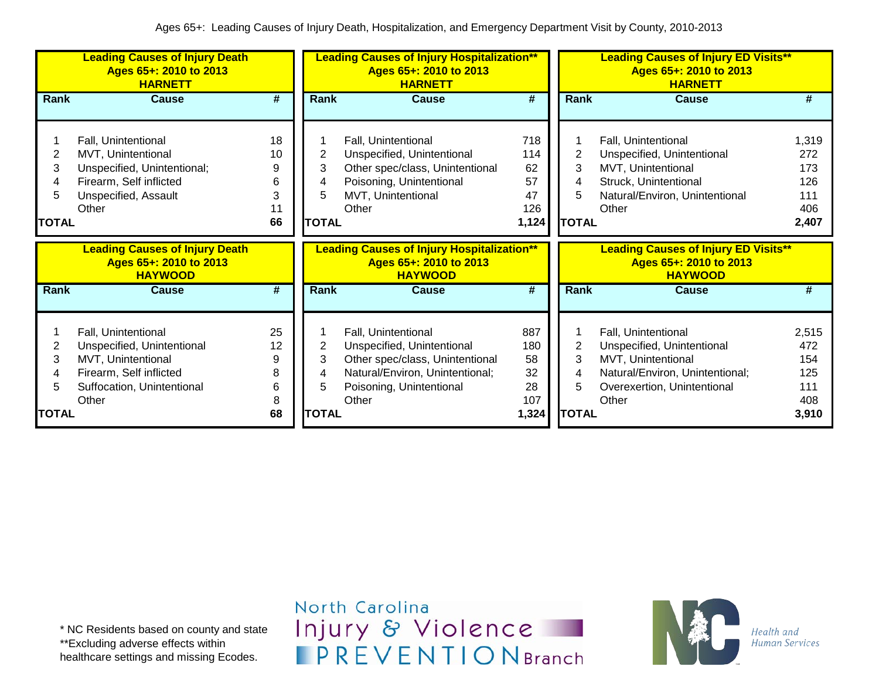| Rank<br><b>Cause</b><br>Fall, Unintentional<br>2<br>Unspecified, Unintentional<br>3<br>Other spec/class, Unintentional<br>Poisoning, Unintentional<br>4<br>5<br>MVT, Unintentional<br>Other<br><b>TOTAL</b> | Rank<br>#<br><b>Cause</b><br>#<br>718<br>Fall, Unintentional<br>1,319<br>$\overline{2}$<br>272<br>114<br>Unspecified, Unintentional<br>62<br>3<br>MVT, Unintentional<br>173<br>57<br>Struck, Unintentional<br>126<br>5<br>47<br>Natural/Environ, Unintentional<br>111<br>126<br>Other<br>406<br>1,124<br><b>TOTAL</b><br>2,407 |
|-------------------------------------------------------------------------------------------------------------------------------------------------------------------------------------------------------------|--------------------------------------------------------------------------------------------------------------------------------------------------------------------------------------------------------------------------------------------------------------------------------------------------------------------------------|
|                                                                                                                                                                                                             |                                                                                                                                                                                                                                                                                                                                |
|                                                                                                                                                                                                             |                                                                                                                                                                                                                                                                                                                                |
| <b>Leading Causes of Injury Hospitalization**</b><br>Ages 65+: 2010 to 2013<br><b>HAYWOOD</b>                                                                                                               | <b>Leading Causes of Injury ED Visits**</b><br>Ages 65+: 2010 to 2013<br><b>HAYWOOD</b>                                                                                                                                                                                                                                        |
| Rank<br><b>Cause</b>                                                                                                                                                                                        | #<br><b>Rank</b><br><b>Cause</b><br>#                                                                                                                                                                                                                                                                                          |
| Fall, Unintentional<br>2<br>Unspecified, Unintentional<br>3                                                                                                                                                 | 887<br>Fall, Unintentional<br>2,515<br>2<br>180<br>472<br>Unspecified, Unintentional<br>3<br>58<br>MVT, Unintentional<br>154<br>32<br>Natural/Environ, Unintentional;<br>125<br>28<br>5<br>111<br>Overexertion, Unintentional                                                                                                  |
|                                                                                                                                                                                                             | Other spec/class, Unintentional<br>Natural/Environ, Unintentional;<br>4<br>5<br>Poisoning, Unintentional                                                                                                                                                                                                                       |

\* NC Residents based on county and state \*\*Excluding adverse effects within healthcare settings and missing Ecodes.

North Carolina Injury & Violence **IPREVENTIONBranch** 

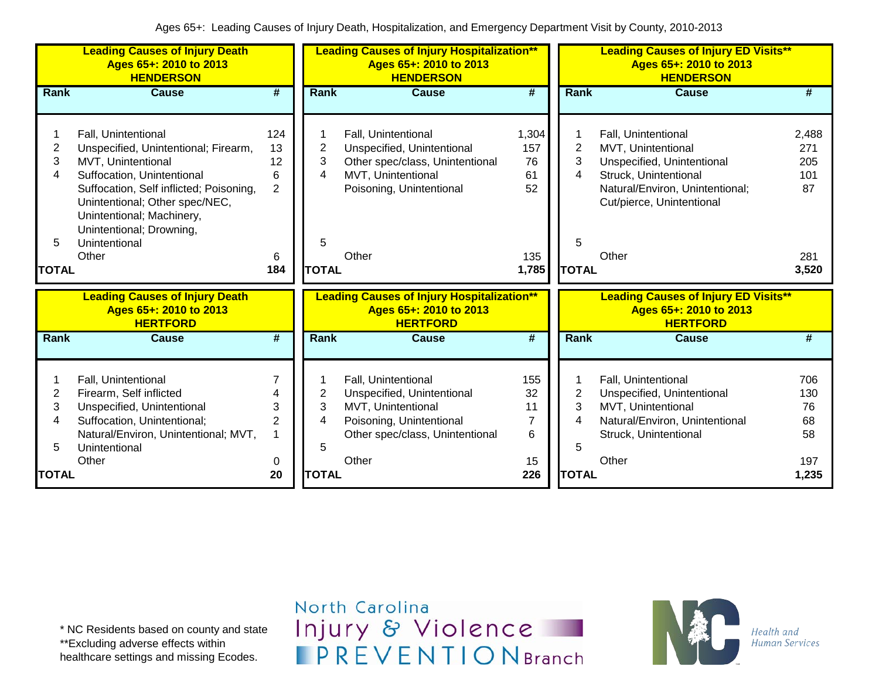|                                  | <b>Leading Causes of Injury Death</b><br>Ages 65+: 2010 to 2013<br><b>HENDERSON</b>                                                                                                                                                                                             |                                                    |                                  | <b>Leading Causes of Injury Hospitalization**</b><br>Ages 65+: 2010 to 2013<br><b>HENDERSON</b>                                                 |                                                |                                  | <b>Leading Causes of Injury ED Visits**</b><br>Ages 65+: 2010 to 2013<br><b>HENDERSON</b>                                                                                        |                                                  |
|----------------------------------|---------------------------------------------------------------------------------------------------------------------------------------------------------------------------------------------------------------------------------------------------------------------------------|----------------------------------------------------|----------------------------------|-------------------------------------------------------------------------------------------------------------------------------------------------|------------------------------------------------|----------------------------------|----------------------------------------------------------------------------------------------------------------------------------------------------------------------------------|--------------------------------------------------|
| Rank                             | <b>Cause</b>                                                                                                                                                                                                                                                                    | $\overline{\boldsymbol{t}}$                        | Rank                             | <b>Cause</b>                                                                                                                                    | $\overline{\boldsymbol{H}}$                    | Rank                             | <b>Cause</b>                                                                                                                                                                     | #                                                |
| 2<br>3<br>4<br>5<br><b>TOTAL</b> | Fall, Unintentional<br>Unspecified, Unintentional; Firearm,<br>MVT, Unintentional<br>Suffocation, Unintentional<br>Suffocation, Self inflicted; Poisoning,<br>Unintentional; Other spec/NEC,<br>Unintentional; Machinery,<br>Unintentional; Drowning,<br>Unintentional<br>Other | 124<br>13<br>12<br>6<br>$\overline{2}$<br>6<br>184 | 2<br>3<br>4<br>5<br><b>TOTAL</b> | Fall, Unintentional<br>Unspecified, Unintentional<br>Other spec/class, Unintentional<br>MVT, Unintentional<br>Poisoning, Unintentional<br>Other | 1,304<br>157<br>76<br>61<br>52<br>135<br>1,785 | 2<br>3<br>4<br>5<br><b>TOTAL</b> | Fall, Unintentional<br><b>MVT, Unintentional</b><br>Unspecified, Unintentional<br>Struck, Unintentional<br>Natural/Environ, Unintentional;<br>Cut/pierce, Unintentional<br>Other | 2,488<br>271<br>205<br>101<br>87<br>281<br>3,520 |
|                                  |                                                                                                                                                                                                                                                                                 |                                                    |                                  |                                                                                                                                                 |                                                |                                  |                                                                                                                                                                                  |                                                  |
|                                  | <b>Leading Causes of Injury Death</b><br>Ages 65+: 2010 to 2013<br><b>HERTFORD</b>                                                                                                                                                                                              |                                                    |                                  | <b>Leading Causes of Injury Hospitalization**</b><br>Ages 65+: 2010 to 2013<br><b>HERTFORD</b>                                                  |                                                |                                  | <b>Leading Causes of Injury ED Visits**</b><br>Ages 65+: 2010 to 2013<br><b>HERTFORD</b>                                                                                         |                                                  |
| Rank                             | <b>Cause</b>                                                                                                                                                                                                                                                                    | #                                                  | Rank                             | <b>Cause</b>                                                                                                                                    | #                                              | Rank                             | <b>Cause</b>                                                                                                                                                                     | #                                                |
| 2<br>3<br>4<br>5                 | Fall, Unintentional<br>Firearm, Self inflicted<br>Unspecified, Unintentional<br>Suffocation, Unintentional;<br>Natural/Environ, Unintentional; MVT,<br>Unintentional                                                                                                            | 4<br>3<br>$\overline{2}$<br>1                      | $\overline{c}$<br>3<br>4<br>5    | Fall, Unintentional<br>Unspecified, Unintentional<br>MVT, Unintentional<br>Poisoning, Unintentional<br>Other spec/class, Unintentional          | 155<br>32<br>11<br>7<br>6                      | $\overline{2}$<br>3<br>4<br>5    | Fall, Unintentional<br>Unspecified, Unintentional<br>MVT, Unintentional<br>Natural/Environ, Unintentional<br>Struck, Unintentional                                               |                                                  |

\* NC Residents based on county and state \*\*Excluding adverse effects within

healthcare settings and missing Ecodes.

North Carolina Injury & Violence **IPREVENTIONBranch** 

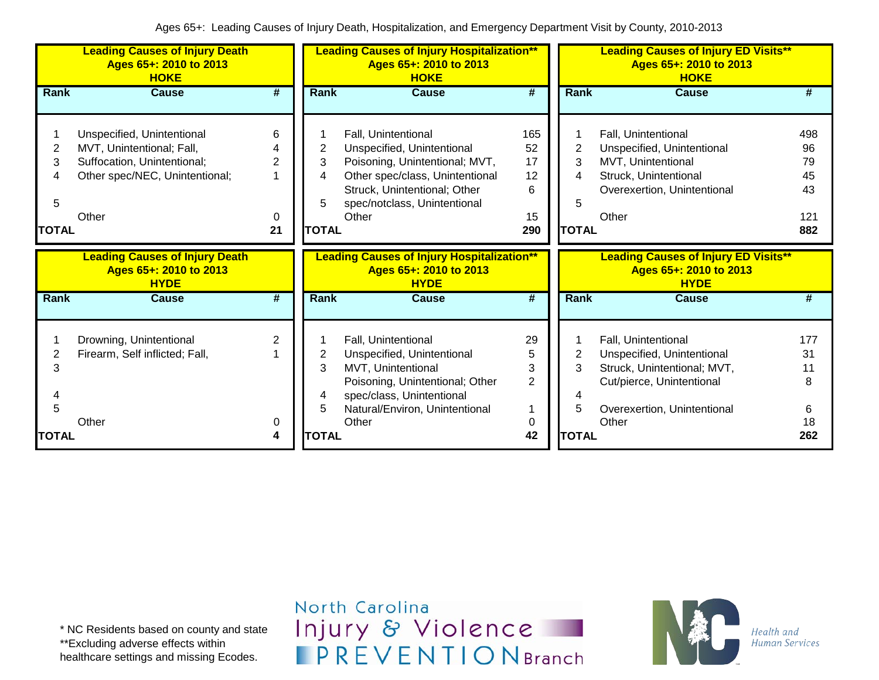|                                  | <b>Leading Causes of Injury Death</b><br>Ages 65+: 2010 to 2013<br><b>HOKE</b>                                                    |                        |                                  | <b>Leading Causes of Injury Hospitalization**</b><br>Ages 65+: 2010 to 2013<br><b>HOKE</b>                                                                                                      |                                         |                                  | <b>Leading Causes of Injury ED Visits**</b><br>Ages 65+: 2010 to 2013<br><b>HOKE</b>                                                                  |                                           |
|----------------------------------|-----------------------------------------------------------------------------------------------------------------------------------|------------------------|----------------------------------|-------------------------------------------------------------------------------------------------------------------------------------------------------------------------------------------------|-----------------------------------------|----------------------------------|-------------------------------------------------------------------------------------------------------------------------------------------------------|-------------------------------------------|
| <b>Rank</b>                      | <b>Cause</b>                                                                                                                      | #                      | Rank                             | <b>Cause</b>                                                                                                                                                                                    | #                                       | Rank                             | <b>Cause</b>                                                                                                                                          | #                                         |
| 2<br>3<br>4<br>5<br><b>TOTAL</b> | Unspecified, Unintentional<br>MVT, Unintentional; Fall,<br>Suffocation, Unintentional;<br>Other spec/NEC, Unintentional;<br>Other | 6<br>4<br>2<br>0<br>21 | 2<br>3<br>4<br>5<br><b>TOTAL</b> | Fall, Unintentional<br>Unspecified, Unintentional<br>Poisoning, Unintentional; MVT,<br>Other spec/class, Unintentional<br>Struck, Unintentional; Other<br>spec/notclass, Unintentional<br>Other | 165<br>52<br>17<br>12<br>6<br>15<br>290 | 2<br>3<br>4<br>5<br><b>TOTAL</b> | Fall, Unintentional<br>Unspecified, Unintentional<br>MVT, Unintentional<br>Struck, Unintentional<br>Overexertion, Unintentional<br>Other              | 498<br>96<br>79<br>45<br>43<br>121<br>882 |
|                                  |                                                                                                                                   |                        |                                  |                                                                                                                                                                                                 |                                         |                                  |                                                                                                                                                       |                                           |
|                                  | <b>Leading Causes of Injury Death</b><br>Ages 65+: 2010 to 2013<br><b>HYDE</b>                                                    |                        |                                  | <b>Leading Causes of Injury Hospitalization**</b><br>Ages 65+: 2010 to 2013<br><b>HYDE</b>                                                                                                      |                                         |                                  | <b>Leading Causes of Injury ED Visits**</b><br>Ages 65+: 2010 to 2013<br><b>HYDE</b>                                                                  |                                           |
| <b>Rank</b>                      | <b>Cause</b>                                                                                                                      | #                      | <b>Rank</b>                      | <b>Cause</b>                                                                                                                                                                                    | #                                       | <b>Rank</b>                      | <b>Cause</b>                                                                                                                                          | #                                         |
| 2<br>3<br>5                      | Drowning, Unintentional<br>Firearm, Self inflicted; Fall,<br>Other                                                                | 2<br>0                 | 2<br>3<br>4<br>5                 | Fall, Unintentional<br>Unspecified, Unintentional<br>MVT, Unintentional<br>Poisoning, Unintentional; Other<br>spec/class, Unintentional<br>Natural/Environ, Unintentional<br>Other              | 29<br>5<br>3<br>$\overline{2}$<br>0     | 3<br>5                           | Fall, Unintentional<br>Unspecified, Unintentional<br>Struck, Unintentional; MVT,<br>Cut/pierce, Unintentional<br>Overexertion, Unintentional<br>Other | 177<br>31<br>11<br>8<br>6<br>18           |

North Carolina Injury & Violence **IPREVENTIONBranch** 

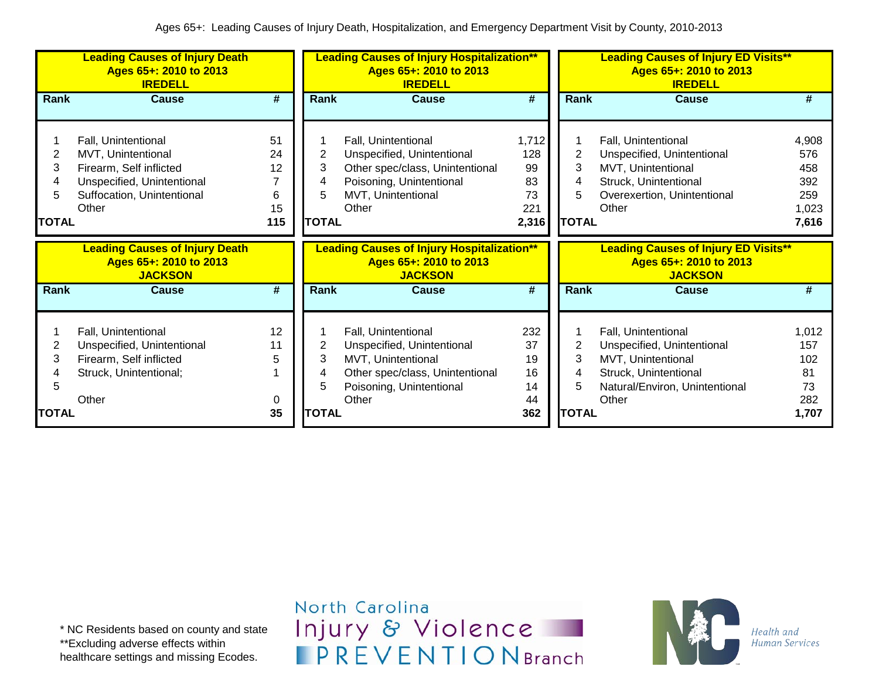|                                  | <b>Leading Causes of Injury Death</b><br>Ages 65+: 2010 to 2013<br><b>IREDELL</b>                                                         |                                  | <b>Leading Causes of Injury Hospitalization**</b><br>Ages 65+: 2010 to 2013<br><b>IREDELL</b> |                                                                                                                                                 |                                                | Ages 65+: 2010 to 2013<br><b>IREDELL</b>      | <b>Leading Causes of Injury ED Visits**</b>                                                                                                 |                                                     |
|----------------------------------|-------------------------------------------------------------------------------------------------------------------------------------------|----------------------------------|-----------------------------------------------------------------------------------------------|-------------------------------------------------------------------------------------------------------------------------------------------------|------------------------------------------------|-----------------------------------------------|---------------------------------------------------------------------------------------------------------------------------------------------|-----------------------------------------------------|
| Rank                             | <b>Cause</b>                                                                                                                              | $\overline{\boldsymbol{t}}$      | <b>Rank</b>                                                                                   | <b>Cause</b>                                                                                                                                    | #                                              | Rank                                          | Cause                                                                                                                                       | #                                                   |
| 2<br>3<br>4<br>5<br><b>TOTAL</b> | Fall, Unintentional<br>MVT, Unintentional<br>Firearm, Self inflicted<br>Unspecified, Unintentional<br>Suffocation, Unintentional<br>Other | 51<br>24<br>12<br>6<br>15<br>115 | 3<br>4<br>5<br><b>TOTAL</b>                                                                   | Fall, Unintentional<br>Unspecified, Unintentional<br>Other spec/class, Unintentional<br>Poisoning, Unintentional<br>MVT, Unintentional<br>Other | 1,712<br>128<br>99<br>83<br>73<br>221<br>2,316 | 3<br><b>TOTAL</b>                             | Fall, Unintentional<br>Unspecified, Unintentional<br>MVT, Unintentional<br>Struck, Unintentional<br>Overexertion, Unintentional<br>Other    | 4,908<br>576<br>458<br>392<br>259<br>1,023<br>7,616 |
|                                  | <b>Leading Causes of Injury Death</b><br>Ages 65+: 2010 to 2013<br><b>JACKSON</b>                                                         |                                  |                                                                                               | <b>Leading Causes of Injury Hospitalization**</b><br>Ages 65+: 2010 to 2013<br><b>JACKSON</b>                                                   |                                                |                                               | <b>Leading Causes of Injury ED Visits**</b><br>Ages 65+: 2010 to 2013<br><b>JACKSON</b>                                                     |                                                     |
| Rank                             | Cause                                                                                                                                     | #                                | <b>Rank</b>                                                                                   | Cause                                                                                                                                           | #                                              | <b>Rank</b>                                   | Cause                                                                                                                                       | #                                                   |
| 2<br>3<br>5<br><b>TOTAL</b>      | Fall, Unintentional<br>Unspecified, Unintentional<br>Firearm, Self inflicted<br>Struck, Unintentional;<br>Other                           | 12<br>11<br>5<br>0<br>35         | 2<br>3<br>4<br>5<br><b>TOTAL</b>                                                              | Fall, Unintentional<br>Unspecified, Unintentional<br>MVT, Unintentional<br>Other spec/class, Unintentional<br>Poisoning, Unintentional<br>Other | 232<br>37<br>19<br>16<br>14<br>44<br>362       | $\overline{2}$<br>3<br>4<br>5<br><b>TOTAL</b> | Fall, Unintentional<br>Unspecified, Unintentional<br>MVT, Unintentional<br>Struck, Unintentional<br>Natural/Environ, Unintentional<br>Other | 1,012<br>157<br>102<br>81<br>73<br>282<br>1,707     |

\* NC Residents based on county and state \*\*Excluding adverse effects within healthcare settings and missing Ecodes.

North Carolina Injury & Violence **IPREVENTIONBranch** 

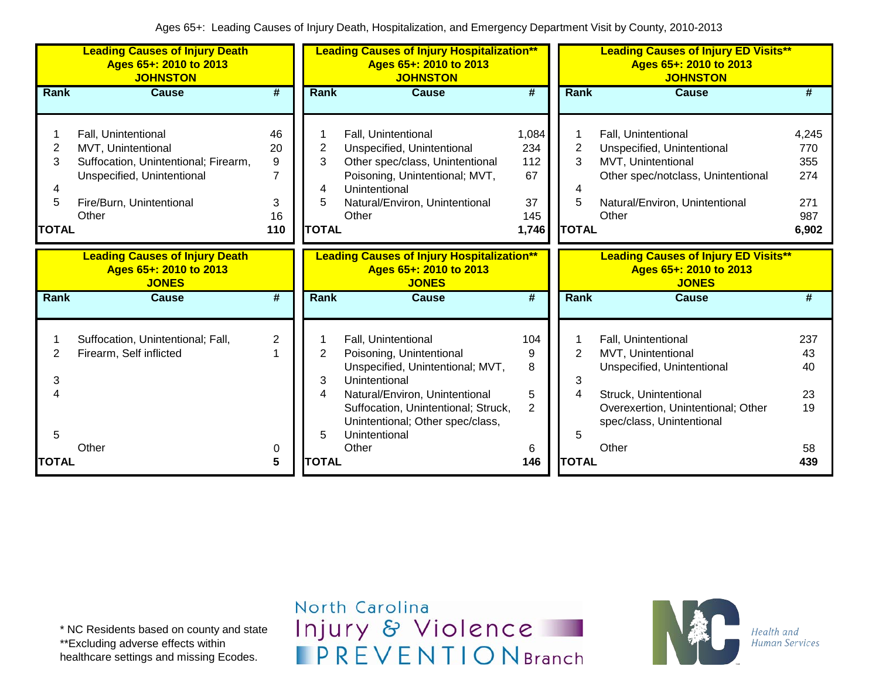|                           | <b>Leading Causes of Injury Death</b><br>Ages 65+: 2010 to 2013<br><b>JOHNSTON</b>                                                                   |                                                   |                                               | <b>Leading Causes of Injury Hospitalization**</b><br>Ages 65+: 2010 to 2013<br><b>JOHNSTON</b>                                                                                                                                              |                                                 |                                          | <b>Leading Causes of Injury ED Visits**</b><br>Ages 65+: 2010 to 2013<br><b>JOHNSTON</b>                                                                                     |                                                   |
|---------------------------|------------------------------------------------------------------------------------------------------------------------------------------------------|---------------------------------------------------|-----------------------------------------------|---------------------------------------------------------------------------------------------------------------------------------------------------------------------------------------------------------------------------------------------|-------------------------------------------------|------------------------------------------|------------------------------------------------------------------------------------------------------------------------------------------------------------------------------|---------------------------------------------------|
| Rank                      | Cause                                                                                                                                                | #                                                 | <b>Rank</b>                                   | Cause                                                                                                                                                                                                                                       | #                                               | <b>Rank</b>                              | Cause                                                                                                                                                                        | #                                                 |
| 2<br>3<br>4<br>5<br>TOTAL | Fall, Unintentional<br>MVT, Unintentional<br>Suffocation, Unintentional; Firearm,<br>Unspecified, Unintentional<br>Fire/Burn, Unintentional<br>Other | 46<br>20<br>9<br>$\overline{7}$<br>3<br>16<br>110 | $\overline{2}$<br>3<br>4<br>5<br><b>TOTAL</b> | Fall, Unintentional<br>Unspecified, Unintentional<br>Other spec/class, Unintentional<br>Poisoning, Unintentional; MVT,<br>Unintentional<br>Natural/Environ, Unintentional<br>Other                                                          | 1,084<br>234<br>112<br>67<br>37<br>145<br>1,746 | $\overline{2}$<br>3<br>5<br><b>TOTAL</b> | Fall, Unintentional<br>Unspecified, Unintentional<br>MVT, Unintentional<br>Other spec/notclass, Unintentional<br>Natural/Environ, Unintentional<br>Other                     | 4,245<br>770<br>355<br>274<br>271<br>987<br>6,902 |
|                           | <b>Leading Causes of Injury Death</b><br>Ages 65+: 2010 to 2013<br><b>JONES</b>                                                                      |                                                   |                                               | <b>Leading Causes of Injury Hospitalization**</b><br>Ages 65+: 2010 to 2013<br><b>JONES</b>                                                                                                                                                 |                                                 |                                          | <b>Leading Causes of Injury ED Visits**</b><br>Ages 65+: 2010 to 2013<br><b>JONES</b>                                                                                        |                                                   |
| Rank                      | <b>Cause</b>                                                                                                                                         | $\overline{\#}$                                   | Rank                                          | <b>Cause</b>                                                                                                                                                                                                                                | $\overline{\#}$                                 | Rank                                     | <b>Cause</b>                                                                                                                                                                 | #                                                 |
| 2<br>3<br>5               | Suffocation, Unintentional; Fall,<br>Firearm, Self inflicted<br>Other                                                                                | $\overline{2}$<br>0                               | 2<br>3<br>4<br>5                              | Fall, Unintentional<br>Poisoning, Unintentional<br>Unspecified, Unintentional; MVT,<br>Unintentional<br>Natural/Environ, Unintentional<br>Suffocation, Unintentional; Struck,<br>Unintentional; Other spec/class,<br>Unintentional<br>Other | 104<br>9<br>8<br>5<br>$\overline{2}$<br>6       | $\overline{2}$<br>3<br>4<br>5            | Fall, Unintentional<br>MVT, Unintentional<br>Unspecified, Unintentional<br>Struck, Unintentional<br>Overexertion, Unintentional; Other<br>spec/class, Unintentional<br>Other | 237<br>43<br>40<br>23<br>19<br>58                 |
| TOTAL                     |                                                                                                                                                      | 5                                                 | <b>TOTAL</b>                                  |                                                                                                                                                                                                                                             | 146                                             | <b>TOTAL</b>                             |                                                                                                                                                                              | 439                                               |

\* NC Residents based on county and state \*\*Excluding adverse effects within healthcare settings and missing Ecodes.

North Carolina Injury & Violence **IPREVENTIONBranch** 

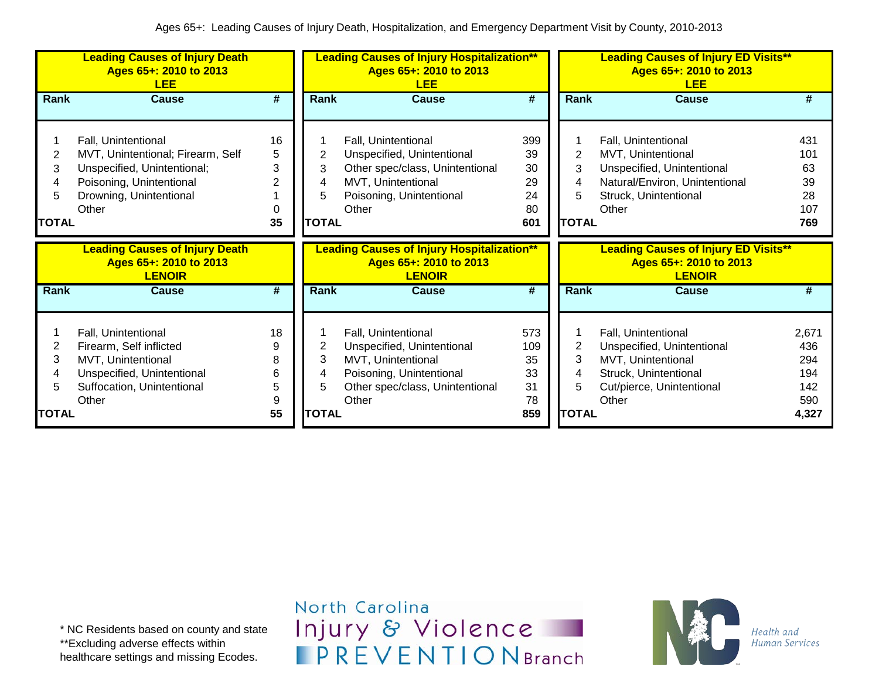|                           | <b>Leading Causes of Injury Death</b><br>Ages 65+: 2010 to 2013<br><b>LEE</b>                                                                           |                         |                             | <b>Leading Causes of Injury Hospitalization**</b><br>Ages 65+: 2010 to 2013<br><b>LEE</b>                                                       |                                          |                                               | <b>Leading Causes of Injury ED Visits**</b><br>Ages 65+: 2010 to 2013<br><b>LEE</b>                                                         |                                            |
|---------------------------|---------------------------------------------------------------------------------------------------------------------------------------------------------|-------------------------|-----------------------------|-------------------------------------------------------------------------------------------------------------------------------------------------|------------------------------------------|-----------------------------------------------|---------------------------------------------------------------------------------------------------------------------------------------------|--------------------------------------------|
| Rank                      | <b>Cause</b>                                                                                                                                            | #                       | Rank                        | <b>Cause</b>                                                                                                                                    | #                                        | Rank                                          | <b>Cause</b>                                                                                                                                | #                                          |
| 2<br>3<br>4<br>5<br>TOTAL | Fall, Unintentional<br>MVT, Unintentional; Firearm, Self<br>Unspecified, Unintentional;<br>Poisoning, Unintentional<br>Drowning, Unintentional<br>Other | 16<br>5<br>3<br>0<br>35 | 3<br>4<br>5<br><b>TOTAL</b> | Fall, Unintentional<br>Unspecified, Unintentional<br>Other spec/class, Unintentional<br>MVT, Unintentional<br>Poisoning, Unintentional<br>Other | 399<br>39<br>30<br>29<br>24<br>80<br>601 | $\overline{2}$<br>3<br>4<br>5<br><b>TOTAL</b> | Fall, Unintentional<br>MVT, Unintentional<br>Unspecified, Unintentional<br>Natural/Environ, Unintentional<br>Struck, Unintentional<br>Other | 431<br>101<br>63<br>39<br>28<br>107<br>769 |
|                           | <b>Leading Causes of Injury Death</b><br>Ages 65+: 2010 to 2013<br><b>LENOIR</b>                                                                        |                         |                             | <b>Leading Causes of Injury Hospitalization**</b><br>Ages 65+: 2010 to 2013<br><b>LENOIR</b>                                                    |                                          |                                               | <b>Leading Causes of Injury ED Visits**</b><br>Ages 65+: 2010 to 2013<br><b>LENOIR</b>                                                      |                                            |
| Rank                      | <b>Cause</b>                                                                                                                                            | #                       | Rank                        | <b>Cause</b>                                                                                                                                    | #                                        | <b>Rank</b>                                   | <b>Cause</b>                                                                                                                                | #                                          |
| 2<br>3<br>4<br>5          | Fall, Unintentional<br>Firearm, Self inflicted<br>MVT, Unintentional<br>Unspecified, Unintentional<br>Suffocation, Unintentional                        | 18<br>9<br>8<br>6<br>5  | 2<br>3<br>4<br>5            | Fall, Unintentional<br>Unspecified, Unintentional<br>MVT, Unintentional<br>Poisoning, Unintentional<br>Other spec/class, Unintentional          | 573<br>109<br>35<br>33<br>31             | 2<br>3<br>4<br>5                              | Fall, Unintentional<br>Unspecified, Unintentional<br>MVT, Unintentional<br>Struck, Unintentional<br>Cut/pierce, Unintentional               | 2,671<br>436<br>294<br>194<br>142          |

\* NC Residents based on county and state \*\*Excluding adverse effects within healthcare settings and missing Ecodes.

North Carolina Injury & Violence **IPREVENTIONBranch** 

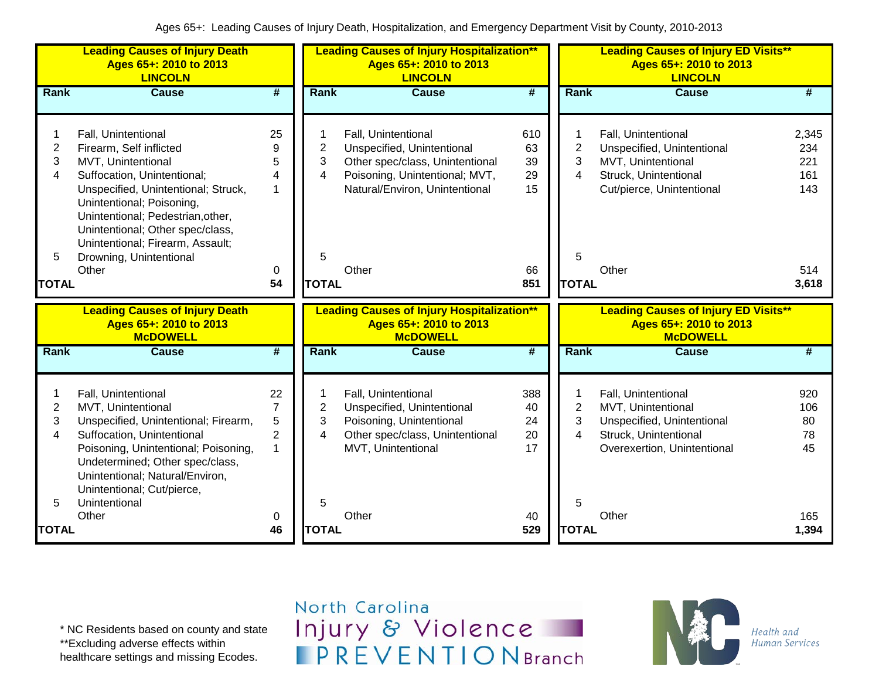|                                               | <b>Leading Causes of Injury Death</b><br>Ages 65+: 2010 to 2013<br><b>LINCOLN</b>                                                                                                                                                                                                                                        |                                                                    | <b>Leading Causes of Injury Hospitalization**</b><br>Ages 65+: 2010 to 2013<br><b>LINCOLN</b> |                                                                                                                                                                   |                                          | <b>Leading Causes of Injury ED Visits**</b><br>Ages 65+: 2010 to 2013<br><b>LINCOLN</b> |                                                                                                                                          |                                                   |  |
|-----------------------------------------------|--------------------------------------------------------------------------------------------------------------------------------------------------------------------------------------------------------------------------------------------------------------------------------------------------------------------------|--------------------------------------------------------------------|-----------------------------------------------------------------------------------------------|-------------------------------------------------------------------------------------------------------------------------------------------------------------------|------------------------------------------|-----------------------------------------------------------------------------------------|------------------------------------------------------------------------------------------------------------------------------------------|---------------------------------------------------|--|
| <b>Rank</b>                                   | <b>Cause</b>                                                                                                                                                                                                                                                                                                             | #                                                                  | Rank                                                                                          | <b>Cause</b>                                                                                                                                                      | $\overline{\boldsymbol{t}}$              | Rank                                                                                    | <b>Cause</b>                                                                                                                             | #                                                 |  |
| $\overline{2}$<br>3<br>4<br>5<br><b>TOTAL</b> | Fall, Unintentional<br>Firearm, Self inflicted<br>MVT, Unintentional<br>Suffocation, Unintentional;<br>Unspecified, Unintentional; Struck,<br>Unintentional; Poisoning,<br>Unintentional; Pedestrian, other,<br>Unintentional; Other spec/class,<br>Unintentional; Firearm, Assault;<br>Drowning, Unintentional<br>Other | 25<br>9<br>5<br>4<br>$\mathbf{1}$<br>0<br>54                       | $\overline{2}$<br>3<br>4<br>5<br><b>TOTAL</b>                                                 | Fall, Unintentional<br>Unspecified, Unintentional<br>Other spec/class, Unintentional<br>Poisoning, Unintentional; MVT,<br>Natural/Environ, Unintentional<br>Other | 610<br>63<br>39<br>29<br>15<br>66<br>851 | $\overline{2}$<br>3<br>$\overline{4}$<br>5<br><b>TOTAL</b>                              | Fall, Unintentional<br>Unspecified, Unintentional<br>MVT, Unintentional<br>Struck, Unintentional<br>Cut/pierce, Unintentional<br>Other   | 2,345<br>234<br>221<br>161<br>143<br>514<br>3,618 |  |
|                                               |                                                                                                                                                                                                                                                                                                                          |                                                                    |                                                                                               |                                                                                                                                                                   |                                          |                                                                                         |                                                                                                                                          |                                                   |  |
|                                               |                                                                                                                                                                                                                                                                                                                          |                                                                    |                                                                                               |                                                                                                                                                                   |                                          |                                                                                         |                                                                                                                                          |                                                   |  |
|                                               | <b>Leading Causes of Injury Death</b><br>Ages 65+: 2010 to 2013<br><b>McDOWELL</b>                                                                                                                                                                                                                                       |                                                                    |                                                                                               | <b>Leading Causes of Injury Hospitalization**</b><br>Ages 65+: 2010 to 2013<br><b>McDOWELL</b>                                                                    |                                          |                                                                                         | <b>Leading Causes of Injury ED Visits**</b><br>Ages 65+: 2010 to 2013<br><b>McDOWELL</b>                                                 |                                                   |  |
| Rank                                          | <b>Cause</b>                                                                                                                                                                                                                                                                                                             | $\overline{\boldsymbol{t}}$                                        | Rank                                                                                          | <b>Cause</b>                                                                                                                                                      | #                                        | Rank                                                                                    | <b>Cause</b>                                                                                                                             | #                                                 |  |
| 1<br>$\mathbf{2}$<br>3<br>4<br>5              | Fall, Unintentional<br>MVT, Unintentional<br>Unspecified, Unintentional; Firearm,<br>Suffocation, Unintentional<br>Poisoning, Unintentional; Poisoning,<br>Undetermined; Other spec/class,<br>Unintentional; Natural/Environ,<br>Unintentional; Cut/pierce,<br>Unintentional<br>Other                                    | 22<br>$\overline{7}$<br>5<br>$\overline{2}$<br>$\overline{1}$<br>0 | $\mathbf{2}$<br>3<br>4<br>5                                                                   | Fall, Unintentional<br>Unspecified, Unintentional<br>Poisoning, Unintentional<br>Other spec/class, Unintentional<br>MVT, Unintentional<br>Other                   | 388<br>40<br>24<br>20<br>17<br>40        | $\overline{2}$<br>3<br>4<br>5                                                           | Fall, Unintentional<br>MVT, Unintentional<br>Unspecified, Unintentional<br>Struck, Unintentional<br>Overexertion, Unintentional<br>Other | 920<br>106<br>80<br>78<br>45<br>165               |  |

\* NC Residents based on county and state \*\*Excluding adverse effects within

healthcare settings and missing Ecodes.

## North Carolina Injury & Violence **IPREVENTIONBranch**

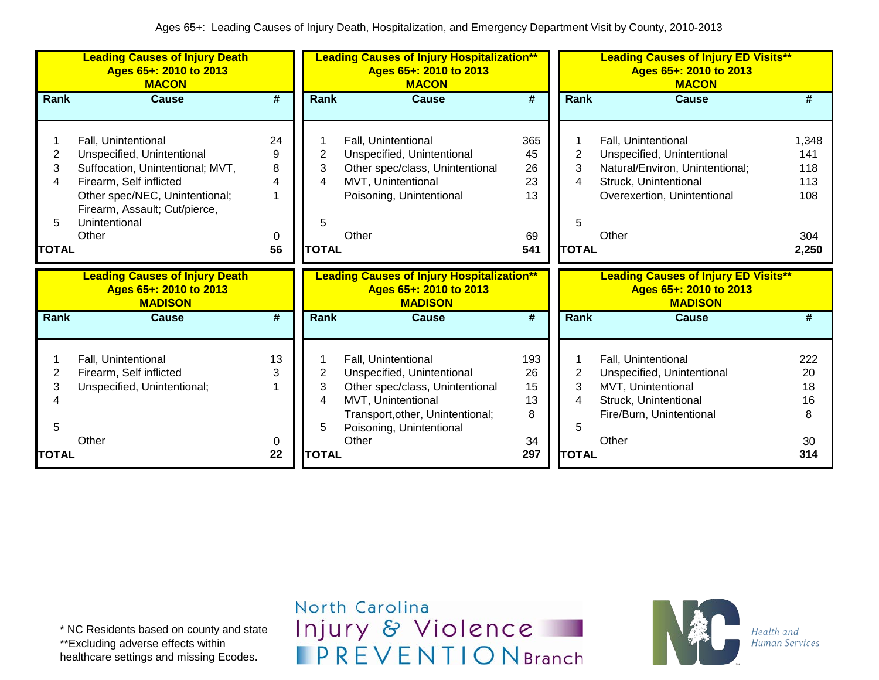|                  | <b>Leading Causes of Injury Death</b><br>Ages 65+: 2010 to 2013<br><b>MACON</b>                                                                                                                               |                               |                               | <b>Leading Causes of Injury Hospitalization**</b><br>Ages 65+: 2010 to 2013<br><b>MACON</b>                                                     |                                   |                                               | <b>Leading Causes of Injury ED Visits**</b><br>Ages 65+: 2010 to 2013<br><b>MACON</b>                                                                 |                                                   |
|------------------|---------------------------------------------------------------------------------------------------------------------------------------------------------------------------------------------------------------|-------------------------------|-------------------------------|-------------------------------------------------------------------------------------------------------------------------------------------------|-----------------------------------|-----------------------------------------------|-------------------------------------------------------------------------------------------------------------------------------------------------------|---------------------------------------------------|
| Rank             | Cause                                                                                                                                                                                                         | #                             | Rank                          | Cause                                                                                                                                           | #                                 | <b>Rank</b>                                   | Cause                                                                                                                                                 | #                                                 |
| 2<br>3<br>4<br>5 | Fall, Unintentional<br>Unspecified, Unintentional<br>Suffocation, Unintentional; MVT,<br>Firearm, Self inflicted<br>Other spec/NEC, Unintentional;<br>Firearm, Assault; Cut/pierce,<br>Unintentional<br>Other | 24<br>9<br>8<br>4<br>$\Omega$ | $\overline{c}$<br>3<br>4<br>5 | Fall, Unintentional<br>Unspecified, Unintentional<br>Other spec/class, Unintentional<br>MVT, Unintentional<br>Poisoning, Unintentional<br>Other | 365<br>45<br>26<br>23<br>13<br>69 | $\overline{2}$<br>3<br>4<br>5<br><b>TOTAL</b> | Fall, Unintentional<br>Unspecified, Unintentional<br>Natural/Environ, Unintentional;<br>Struck, Unintentional<br>Overexertion, Unintentional<br>Other | 1,348<br>141<br>118<br>113<br>108<br>304<br>2,250 |
| <b>TOTAL</b>     |                                                                                                                                                                                                               | 56                            | <b>TOTAL</b>                  |                                                                                                                                                 | 541                               |                                               |                                                                                                                                                       |                                                   |
|                  | <b>Leading Causes of Injury Death</b><br>Ages 65+: 2010 to 2013<br><b>MADISON</b>                                                                                                                             |                               |                               | <b>Leading Causes of Injury Hospitalization**</b><br>Ages 65+: 2010 to 2013<br><b>MADISON</b>                                                   |                                   |                                               | <b>Leading Causes of Injury ED Visits**</b><br>Ages 65+: 2010 to 2013<br><b>MADISON</b>                                                               |                                                   |
| <b>Rank</b>      | <b>Cause</b>                                                                                                                                                                                                  | $\overline{\boldsymbol{t}}$   | <b>Rank</b>                   | <b>Cause</b>                                                                                                                                    | $\overline{\boldsymbol{t}}$       | Rank                                          | <b>Cause</b>                                                                                                                                          | #                                                 |

\* NC Residents based on county and state \*\*Excluding adverse effects within healthcare settings and missing Ecodes.

North Carolina Injury & Violence **IPREVENTIONBranch** 

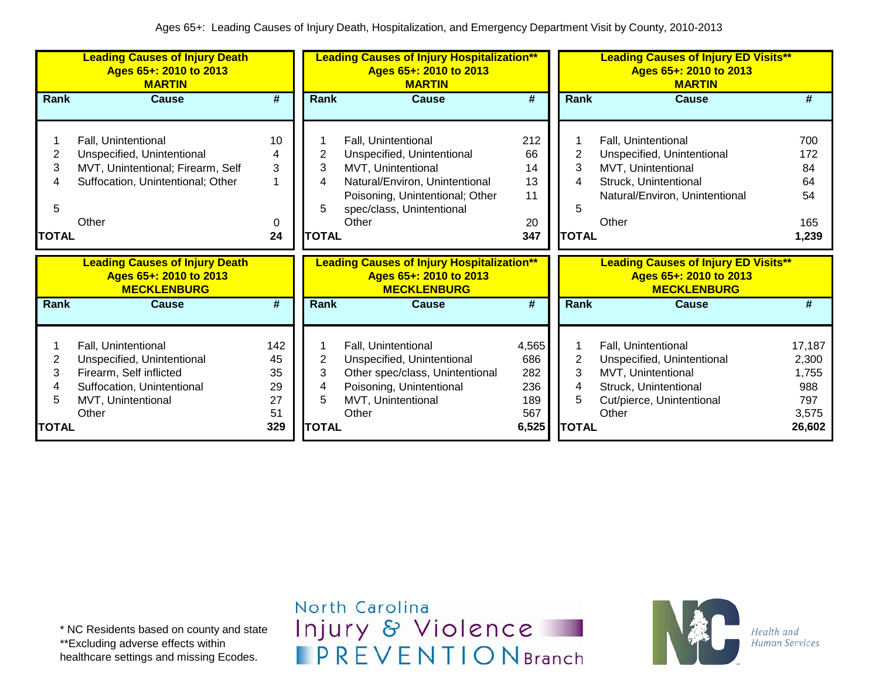|                                  | <b>Leading Causes of Injury Death</b><br>Ages 65+: 2010 to 2013<br><b>MARTIN</b>                                                          |                                          |                                  | <b>Leading Causes of Injury Hospitalization**</b><br>Ages 65+: 2010 to 2013<br><b>MARTIN</b>                                                                                       | <b>Leading Causes of Injury ED Visits**</b><br>Ages 65+: 2010 to 2013<br><b>MARTIN</b> |                                               |                                                                                                                                             |                                                           |
|----------------------------------|-------------------------------------------------------------------------------------------------------------------------------------------|------------------------------------------|----------------------------------|------------------------------------------------------------------------------------------------------------------------------------------------------------------------------------|----------------------------------------------------------------------------------------|-----------------------------------------------|---------------------------------------------------------------------------------------------------------------------------------------------|-----------------------------------------------------------|
| Rank                             | Cause                                                                                                                                     | #                                        | Rank                             | <b>Cause</b>                                                                                                                                                                       | $\overline{\#}$                                                                        | Rank                                          | <b>Cause</b>                                                                                                                                | #                                                         |
| 2<br>3<br>4<br>5<br><b>TOTAL</b> | Fall, Unintentional<br>Unspecified, Unintentional<br>MVT, Unintentional; Firearm, Self<br>Suffocation, Unintentional; Other<br>Other      | 10<br>4<br>3<br>0<br>24                  | 2<br>3<br>4<br>5<br><b>TOTAL</b> | Fall, Unintentional<br>Unspecified, Unintentional<br>MVT, Unintentional<br>Natural/Environ, Unintentional<br>Poisoning, Unintentional; Other<br>spec/class, Unintentional<br>Other | 212<br>66<br>14<br>13<br>11<br>20<br>347                                               | 2<br>3<br>5<br><b>TOTAL</b>                   | Fall, Unintentional<br>Unspecified, Unintentional<br>MVT, Unintentional<br>Struck, Unintentional<br>Natural/Environ, Unintentional<br>Other | 700<br>172<br>84<br>64<br>54<br>165<br>1,239              |
|                                  | <b>Leading Causes of Injury Death</b><br>Ages 65+: 2010 to 2013<br><b>MECKLENBURG</b>                                                     |                                          |                                  | <b>Leading Causes of Injury Hospitalization**</b><br>Ages 65+: 2010 to 2013<br><b>MECKLENBURG</b>                                                                                  |                                                                                        |                                               | <b>Leading Causes of Injury ED Visits**</b><br>Ages 65+: 2010 to 2013<br><b>MECKLENBURG</b>                                                 |                                                           |
| Rank                             | Cause                                                                                                                                     | #                                        | Rank                             | <b>Cause</b>                                                                                                                                                                       | #                                                                                      | Rank                                          | <b>Cause</b>                                                                                                                                | #                                                         |
| 2<br>3<br>4<br>5<br><b>TOTAL</b> | Fall, Unintentional<br>Unspecified, Unintentional<br>Firearm, Self inflicted<br>Suffocation, Unintentional<br>MVT, Unintentional<br>Other | 142<br>45<br>35<br>29<br>27<br>51<br>329 | 2<br>3<br>4<br>5<br><b>TOTAL</b> | Fall, Unintentional<br>Unspecified, Unintentional<br>Other spec/class, Unintentional<br>Poisoning, Unintentional<br>MVT, Unintentional<br>Other                                    | 4,565<br>686<br>282<br>236<br>189<br>567<br>6,525                                      | $\overline{2}$<br>3<br>4<br>5<br><b>TOTAL</b> | Fall, Unintentional<br>Unspecified, Unintentional<br>MVT, Unintentional<br>Struck, Unintentional<br>Cut/pierce, Unintentional<br>Other      | 17,187<br>2,300<br>1,755<br>988<br>797<br>3,575<br>26,602 |

\* NC Residents based on county and state \*\*Excluding adverse effects within healthcare settings and missing Ecodes.

North Carolina Injury & Violence **IPREVENTIONBranch** 

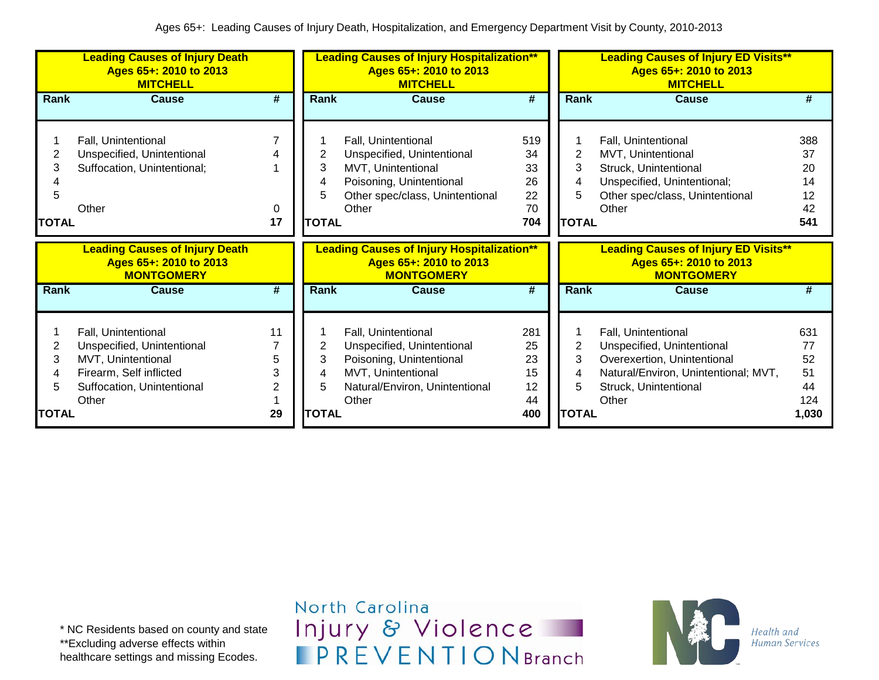|                        | <b>Leading Causes of Injury Death</b><br>Ages 65+: 2010 to 2013<br><b>MITCHELL</b>        |         | <b>Leading Causes of Injury Hospitalization**</b><br>Ages 65+: 2010 to 2013<br><b>MITCHELL</b> |                                                                                                                                                 |                                          |                                  | <b>Leading Causes of Injury ED Visits**</b><br>Ages 65+: 2010 to 2013<br><b>MITCHELL</b>                                                      |                                          |
|------------------------|-------------------------------------------------------------------------------------------|---------|------------------------------------------------------------------------------------------------|-------------------------------------------------------------------------------------------------------------------------------------------------|------------------------------------------|----------------------------------|-----------------------------------------------------------------------------------------------------------------------------------------------|------------------------------------------|
| Rank                   | <b>Cause</b>                                                                              | #       | Rank                                                                                           | <b>Cause</b>                                                                                                                                    | #                                        | Rank                             | <b>Cause</b>                                                                                                                                  | #                                        |
| 2<br>3<br><b>TOTAL</b> | Fall, Unintentional<br>Unspecified, Unintentional<br>Suffocation, Unintentional;<br>Other | 0<br>17 | 3<br>4<br>5<br><b>TOTAL</b>                                                                    | Fall, Unintentional<br>Unspecified, Unintentional<br>MVT, Unintentional<br>Poisoning, Unintentional<br>Other spec/class, Unintentional<br>Other | 519<br>34<br>33<br>26<br>22<br>70<br>704 | 2<br>3<br>4<br>5<br><b>TOTAL</b> | Fall, Unintentional<br>MVT, Unintentional<br>Struck, Unintentional<br>Unspecified, Unintentional;<br>Other spec/class, Unintentional<br>Other | 388<br>37<br>20<br>14<br>12<br>42<br>541 |
|                        |                                                                                           |         |                                                                                                |                                                                                                                                                 |                                          |                                  |                                                                                                                                               |                                          |
|                        | <b>Leading Causes of Injury Death</b><br>Ages 65+: 2010 to 2013<br><b>MONTGOMERY</b>      |         |                                                                                                | <b>Leading Causes of Injury Hospitalization**</b><br>Ages 65+: 2010 to 2013<br><b>MONTGOMERY</b>                                                |                                          |                                  | <b>Leading Causes of Injury ED Visits**</b><br>Ages 65+: 2010 to 2013<br><b>MONTGOMERY</b>                                                    |                                          |
| Rank                   | <b>Cause</b>                                                                              | #       | <b>Rank</b>                                                                                    | <b>Cause</b>                                                                                                                                    | #                                        | Rank                             | <b>Cause</b>                                                                                                                                  | #                                        |

\* NC Residents based on county and state \*\*Excluding adverse effects within healthcare settings and missing Ecodes.

North Carolina Injury & Violence **IPREVENTIONBranch** 

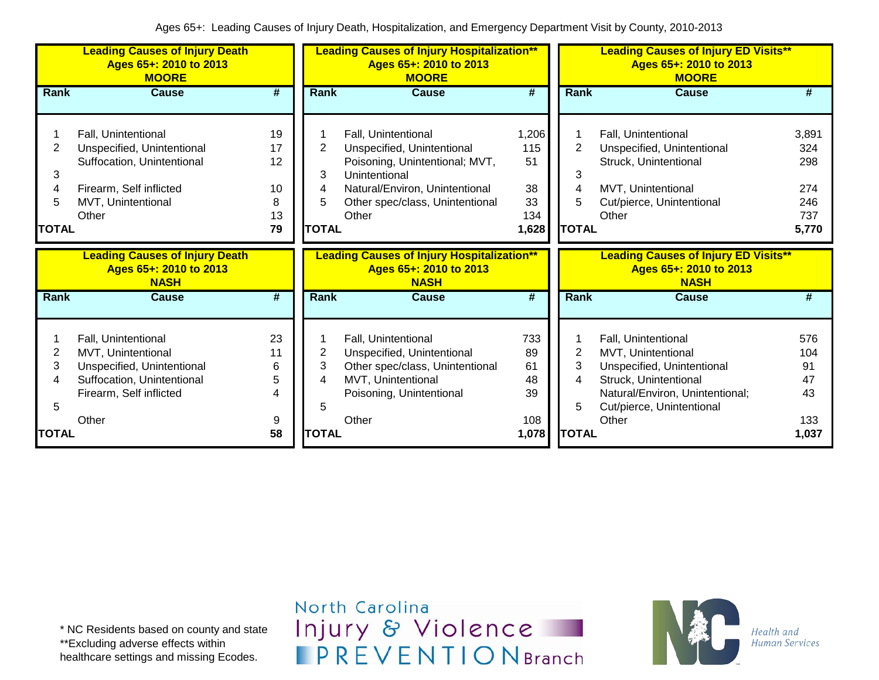|                                  | <b>Leading Causes of Injury Death</b><br>Ages 65+: 2010 to 2013<br><b>MOORE</b>                                                           |                                       |                                               | <b>Leading Causes of Injury Hospitalization**</b><br>Ages 65+: 2010 to 2013<br><b>MOORE</b>                                                                                        |                                                |                                               | <b>Leading Causes of Injury ED Visits**</b><br>Ages 65+: 2010 to 2013<br><b>MOORE</b>                                                                            |                                                   |  |  |
|----------------------------------|-------------------------------------------------------------------------------------------------------------------------------------------|---------------------------------------|-----------------------------------------------|------------------------------------------------------------------------------------------------------------------------------------------------------------------------------------|------------------------------------------------|-----------------------------------------------|------------------------------------------------------------------------------------------------------------------------------------------------------------------|---------------------------------------------------|--|--|
| <b>Rank</b>                      | <b>Cause</b>                                                                                                                              | #                                     | Rank                                          | <b>Cause</b>                                                                                                                                                                       | #                                              | Rank                                          | <b>Cause</b>                                                                                                                                                     | #                                                 |  |  |
| 2<br>3<br>4<br>5<br><b>TOTAL</b> | Fall, Unintentional<br>Unspecified, Unintentional<br>Suffocation, Unintentional<br>Firearm, Self inflicted<br>MVT, Unintentional<br>Other | 19<br>17<br>12<br>10<br>8<br>13<br>79 | $\overline{2}$<br>3<br>4<br>5<br><b>TOTAL</b> | Fall, Unintentional<br>Unspecified, Unintentional<br>Poisoning, Unintentional; MVT,<br>Unintentional<br>Natural/Environ, Unintentional<br>Other spec/class, Unintentional<br>Other | 1,206<br>115<br>51<br>38<br>33<br>134<br>1,628 | $\overline{2}$<br>3<br>4<br>5<br><b>TOTAL</b> | Fall, Unintentional<br>Unspecified, Unintentional<br>Struck, Unintentional<br>MVT, Unintentional<br>Cut/pierce, Unintentional<br>Other                           | 3,891<br>324<br>298<br>274<br>246<br>737<br>5,770 |  |  |
|                                  | <b>Leading Causes of Injury Death</b><br>Ages 65+: 2010 to 2013<br><b>NASH</b>                                                            |                                       |                                               | <b>Leading Causes of Injury Hospitalization**</b><br>Ages 65+: 2010 to 2013<br><b>NASH</b>                                                                                         |                                                |                                               | <b>Leading Causes of Injury ED Visits**</b><br>Ages 65+: 2010 to 2013<br><b>NASH</b>                                                                             |                                                   |  |  |
| Rank                             | <b>Cause</b>                                                                                                                              | #                                     | Rank                                          | <b>Cause</b>                                                                                                                                                                       | #                                              | Rank                                          | Cause                                                                                                                                                            | #                                                 |  |  |
| 2<br>3<br>5                      | Fall, Unintentional<br>MVT, Unintentional<br>Unspecified, Unintentional<br>Suffocation, Unintentional<br>Firearm, Self inflicted          | 23<br>11<br>6<br>5<br>4               | $\overline{2}$<br>3<br>4<br>5                 | Fall, Unintentional<br>Unspecified, Unintentional<br>Other spec/class, Unintentional<br>MVT, Unintentional<br>Poisoning, Unintentional                                             | 733<br>89<br>61<br>48<br>39                    | $\overline{c}$<br>3<br>4<br>5                 | Fall, Unintentional<br>MVT, Unintentional<br>Unspecified, Unintentional<br>Struck, Unintentional<br>Natural/Environ, Unintentional;<br>Cut/pierce, Unintentional | 576<br>104<br>91<br>47<br>43                      |  |  |
| <b>TOTAL</b>                     | Other                                                                                                                                     | 9<br>58                               | <b>TOTAL</b>                                  | Other                                                                                                                                                                              | 108<br>1,078                                   | <b>TOTAL</b>                                  | Other                                                                                                                                                            | 133<br>1,037                                      |  |  |

North Carolina Injury & Violence **IPREVENTIONBranch** 

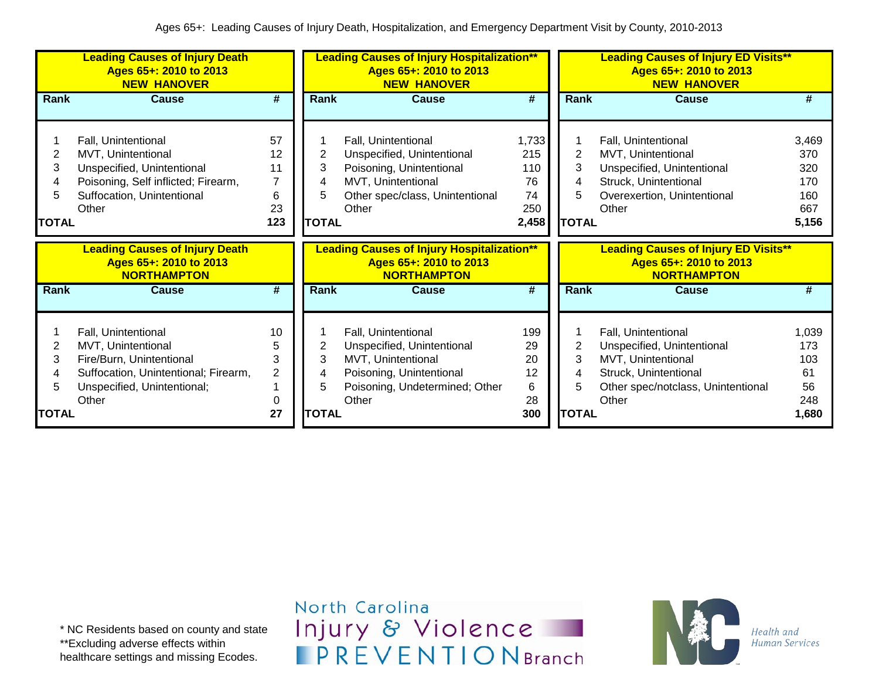|                                  | <b>Leading Causes of Injury Death</b><br>Ages 65+: 2010 to 2013<br><b>NEW HANOVER</b>                                                                 |                                                    | <b>Leading Causes of Injury Hospitalization**</b><br>Ages 65+: 2010 to 2013<br><b>NEW HANOVER</b> |                                                                                                                                                 |                                                       |                                               | <b>Leading Causes of Injury ED Visits**</b><br>Ages 65+: 2010 to 2013<br><b>NEW HANOVER</b>                                                     |                                                   |  |  |
|----------------------------------|-------------------------------------------------------------------------------------------------------------------------------------------------------|----------------------------------------------------|---------------------------------------------------------------------------------------------------|-------------------------------------------------------------------------------------------------------------------------------------------------|-------------------------------------------------------|-----------------------------------------------|-------------------------------------------------------------------------------------------------------------------------------------------------|---------------------------------------------------|--|--|
| Rank                             | <b>Cause</b>                                                                                                                                          | #                                                  | <b>Rank</b>                                                                                       | <b>Cause</b>                                                                                                                                    | #                                                     | <b>Rank</b>                                   | <b>Cause</b>                                                                                                                                    | #                                                 |  |  |
| 2<br>3<br>4<br>5<br>TOTAL        | Fall, Unintentional<br>MVT, Unintentional<br>Unspecified, Unintentional<br>Poisoning, Self inflicted; Firearm,<br>Suffocation, Unintentional<br>Other | 57<br>12<br>11<br>$\overline{7}$<br>6<br>23<br>123 | 2<br>3<br>4<br>5<br><b>TOTAL</b>                                                                  | Fall, Unintentional<br>Unspecified, Unintentional<br>Poisoning, Unintentional<br>MVT, Unintentional<br>Other spec/class, Unintentional<br>Other | 1,733<br>215<br>110<br>76<br>74<br>250<br>2,458       | $\overline{2}$<br>3<br>4<br>5<br><b>TOTAL</b> | Fall, Unintentional<br>MVT, Unintentional<br>Unspecified, Unintentional<br>Struck, Unintentional<br>Overexertion, Unintentional<br>Other        | 3,469<br>370<br>320<br>170<br>160<br>667<br>5,156 |  |  |
|                                  | <b>Leading Causes of Injury Death</b><br>Ages 65+: 2010 to 2013<br><b>NORTHAMPTON</b>                                                                 |                                                    |                                                                                                   | <b>Leading Causes of Injury Hospitalization**</b><br>Ages 65+: 2010 to 2013<br><b>NORTHAMPTON</b>                                               |                                                       |                                               | <b>Leading Causes of Injury ED Visits**</b><br>Ages 65+: 2010 to 2013<br><b>NORTHAMPTON</b>                                                     |                                                   |  |  |
| Rank                             | <b>Cause</b>                                                                                                                                          | #                                                  | <b>Rank</b>                                                                                       | Cause                                                                                                                                           | #                                                     | <b>Rank</b>                                   | <b>Cause</b>                                                                                                                                    | #                                                 |  |  |
| 2<br>3<br>4<br>5<br><b>TOTAL</b> | Fall, Unintentional<br>MVT, Unintentional<br>Fire/Burn, Unintentional<br>Suffocation, Unintentional; Firearm,<br>Unspecified, Unintentional;<br>Other | 10<br>5<br>3<br>$\overline{2}$<br>0<br>27          | 3<br>4<br>5<br><b>TOTAL</b>                                                                       | Fall, Unintentional<br>Unspecified, Unintentional<br>MVT, Unintentional<br>Poisoning, Unintentional<br>Poisoning, Undetermined; Other<br>Other  | 199<br>29<br>20<br>12<br>$6\phantom{1}6$<br>28<br>300 | 2<br>3<br>5<br><b>TOTAL</b>                   | Fall, Unintentional<br>Unspecified, Unintentional<br>MVT, Unintentional<br>Struck, Unintentional<br>Other spec/notclass, Unintentional<br>Other | 1,039<br>173<br>103<br>61<br>56<br>248<br>1,680   |  |  |

\* NC Residents based on county and state \*\*Excluding adverse effects within healthcare settings and missing Ecodes.

North Carolina Injury & Violence **IPREVENTIONBranch** 

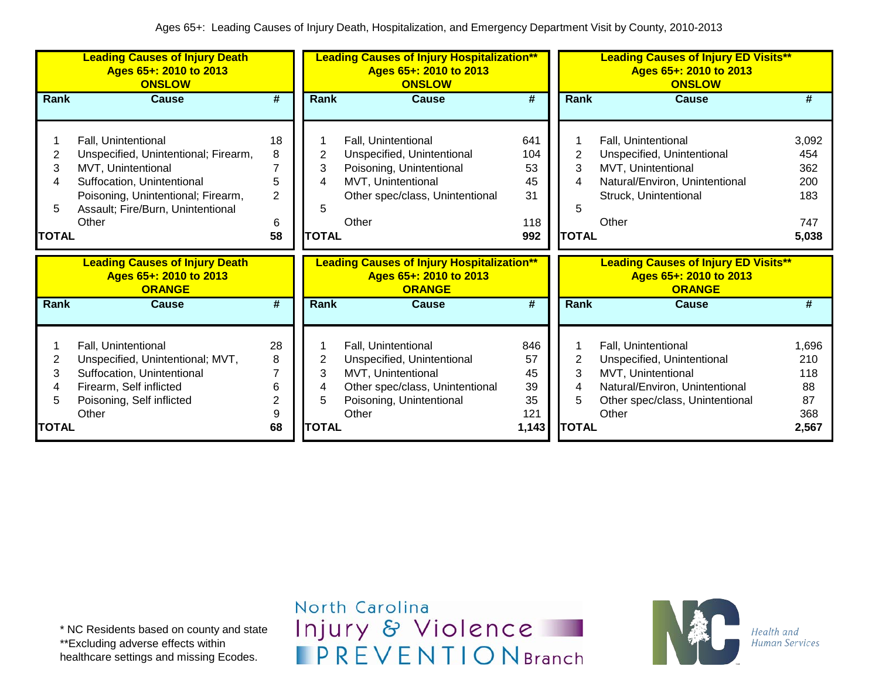|                                  | <b>Leading Causes of Injury Death</b><br>Ages 65+: 2010 to 2013<br><b>ONSLOW</b>                                                                                                                    |                                                |                                  | <b>Leading Causes of Injury Hospitalization**</b><br>Ages 65+: 2010 to 2013<br><b>ONSLOW</b>                                                    |                                            |                             | <b>Leading Causes of Injury ED Visits**</b><br>Ages 65+: 2010 to 2013<br><b>ONSLOW</b>                                                                |                                                   |
|----------------------------------|-----------------------------------------------------------------------------------------------------------------------------------------------------------------------------------------------------|------------------------------------------------|----------------------------------|-------------------------------------------------------------------------------------------------------------------------------------------------|--------------------------------------------|-----------------------------|-------------------------------------------------------------------------------------------------------------------------------------------------------|---------------------------------------------------|
| Rank                             | <b>Cause</b>                                                                                                                                                                                        | #                                              | Rank                             | <b>Cause</b>                                                                                                                                    | #                                          | Rank                        | <b>Cause</b>                                                                                                                                          | #                                                 |
| 2<br>3<br>4<br>5<br><b>TOTAL</b> | Fall, Unintentional<br>Unspecified, Unintentional; Firearm,<br>MVT, Unintentional<br>Suffocation, Unintentional<br>Poisoning, Unintentional; Firearm,<br>Assault; Fire/Burn, Unintentional<br>Other | 18<br>8<br>7<br>5<br>$\overline{2}$<br>6<br>58 | 2<br>3<br>4<br>5<br><b>TOTAL</b> | Fall, Unintentional<br>Unspecified, Unintentional<br>Poisoning, Unintentional<br>MVT, Unintentional<br>Other spec/class, Unintentional<br>Other | 641<br>104<br>53<br>45<br>31<br>118<br>992 | 2<br>3<br>5<br><b>TOTAL</b> | Fall, Unintentional<br>Unspecified, Unintentional<br>MVT, Unintentional<br>Natural/Environ, Unintentional<br>Struck, Unintentional<br>Other           | 3,092<br>454<br>362<br>200<br>183<br>747<br>5,038 |
|                                  | <b>Leading Causes of Injury Death</b><br>Ages 65+: 2010 to 2013<br><b>ORANGE</b>                                                                                                                    |                                                |                                  | <b>Leading Causes of Injury Hospitalization**</b><br>Ages 65+: 2010 to 2013<br><b>ORANGE</b>                                                    |                                            |                             | <b>Leading Causes of Injury ED Visits**</b><br>Ages 65+: 2010 to 2013<br><b>ORANGE</b>                                                                |                                                   |
| Rank                             | Cause                                                                                                                                                                                               | $\overline{\#}$                                | Rank                             | <b>Cause</b>                                                                                                                                    | $\overline{\boldsymbol{H}}$                | Rank                        | <b>Cause</b>                                                                                                                                          | #                                                 |
| 2<br>3<br>4<br>5                 | Fall, Unintentional<br>Unspecified, Unintentional; MVT,<br>Suffocation, Unintentional<br>Firearm, Self inflicted<br>Poisoning, Self inflicted<br>Other                                              | 28<br>8<br>7<br>6<br>$\overline{2}$<br>9       | 2<br>3<br>4<br>5                 | Fall, Unintentional<br>Unspecified, Unintentional<br>MVT, Unintentional<br>Other spec/class, Unintentional<br>Poisoning, Unintentional<br>Other | 846<br>57<br>45<br>39<br>35<br>121         | 2<br>3<br>4<br>5            | Fall, Unintentional<br>Unspecified, Unintentional<br>MVT, Unintentional<br>Natural/Environ, Unintentional<br>Other spec/class, Unintentional<br>Other | 1,696<br>210<br>118<br>88<br>87<br>368            |

\* NC Residents based on county and state \*\*Excluding adverse effects within healthcare settings and missing Ecodes.

North Carolina Injury & Violence **IPREVENTIONBranch** 

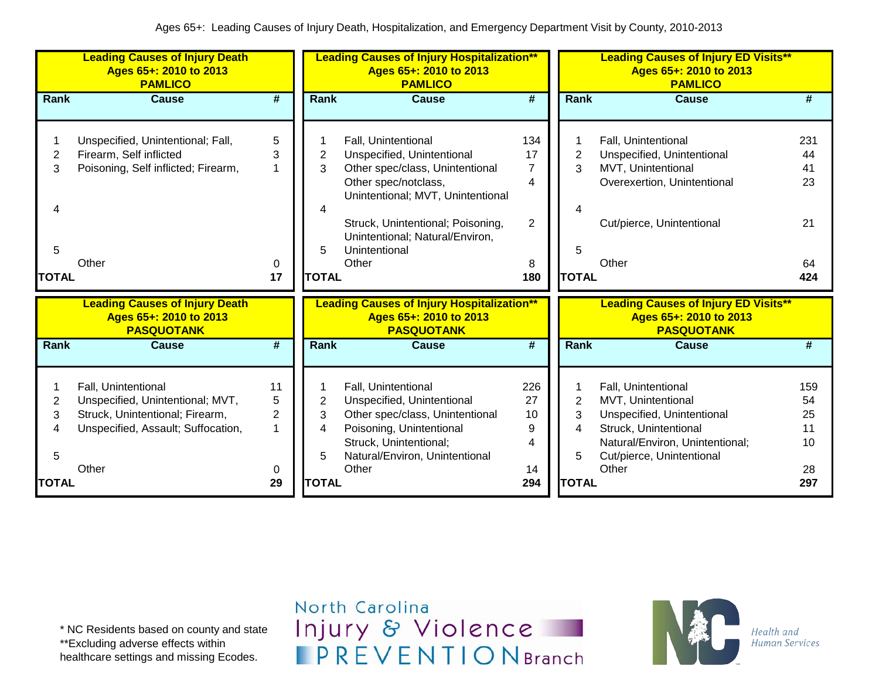|                                  | <b>Leading Causes of Injury Death</b><br>Ages 65+: 2010 to 2013<br><b>PAMLICO</b>                                                         |                         |                                          | <b>Leading Causes of Injury Hospitalization**</b><br>Ages 65+: 2010 to 2013<br><b>PAMLICO</b>                                                                                                                                                       |                                                   |                                               | <b>Leading Causes of Injury ED Visits**</b><br>Ages 65+: 2010 to 2013<br><b>PAMLICO</b>                                                                                   |                                          |
|----------------------------------|-------------------------------------------------------------------------------------------------------------------------------------------|-------------------------|------------------------------------------|-----------------------------------------------------------------------------------------------------------------------------------------------------------------------------------------------------------------------------------------------------|---------------------------------------------------|-----------------------------------------------|---------------------------------------------------------------------------------------------------------------------------------------------------------------------------|------------------------------------------|
| <b>Rank</b>                      | <b>Cause</b>                                                                                                                              | #                       | Rank                                     | <b>Cause</b>                                                                                                                                                                                                                                        | $\overline{\boldsymbol{t}}$                       | Rank                                          | <b>Cause</b>                                                                                                                                                              | #                                        |
| 2<br>3<br>4<br>5<br><b>TOTAL</b> | Unspecified, Unintentional; Fall,<br>Firearm, Self inflicted<br>Poisoning, Self inflicted; Firearm,<br>Other                              | 5<br>3<br>0<br>17       | $\overline{2}$<br>3<br>5<br><b>TOTAL</b> | Fall, Unintentional<br>Unspecified, Unintentional<br>Other spec/class, Unintentional<br>Other spec/notclass,<br>Unintentional; MVT, Unintentional<br>Struck, Unintentional; Poisoning,<br>Unintentional; Natural/Environ,<br>Unintentional<br>Other | 134<br>17<br>$\overline{7}$<br>4<br>2<br>8<br>180 | 2<br>3<br>5<br><b>TOTAL</b>                   | Fall, Unintentional<br>Unspecified, Unintentional<br>MVT, Unintentional<br>Overexertion, Unintentional<br>Cut/pierce, Unintentional<br>Other                              | 231<br>44<br>41<br>23<br>21<br>64<br>424 |
|                                  | <b>Leading Causes of Injury Death</b><br>Ages 65+: 2010 to 2013<br><b>PASQUOTANK</b>                                                      |                         |                                          | <b>Leading Causes of Injury Hospitalization**</b><br>Ages 65+: 2010 to 2013<br><b>PASQUOTANK</b>                                                                                                                                                    |                                                   |                                               | <b>Leading Causes of Injury ED Visits**</b><br>Ages 65+: 2010 to 2013<br><b>PASQUOTANK</b>                                                                                |                                          |
| Rank                             | <b>Cause</b>                                                                                                                              | #                       | Rank                                     | <b>Cause</b>                                                                                                                                                                                                                                        | #                                                 | <b>Rank</b>                                   | <b>Cause</b>                                                                                                                                                              | #                                        |
| 2<br>3<br>4<br>5<br><b>TOTAL</b> | Fall, Unintentional<br>Unspecified, Unintentional; MVT,<br>Struck, Unintentional; Firearm,<br>Unspecified, Assault; Suffocation,<br>Other | 11<br>5<br>2<br>0<br>29 | 2<br>3<br>4<br>5<br><b>TOTAL</b>         | Fall, Unintentional<br>Unspecified, Unintentional<br>Other spec/class, Unintentional<br>Poisoning, Unintentional<br>Struck, Unintentional;<br>Natural/Environ, Unintentional<br>Other                                                               | 226<br>27<br>10<br>9<br>4<br>14<br>294            | $\overline{2}$<br>3<br>4<br>5<br><b>TOTAL</b> | Fall, Unintentional<br>MVT, Unintentional<br>Unspecified, Unintentional<br>Struck, Unintentional<br>Natural/Environ, Unintentional;<br>Cut/pierce, Unintentional<br>Other | 159<br>54<br>25<br>11<br>10<br>28<br>297 |

\* NC Residents based on county and state \*\*Excluding adverse effects within

healthcare settings and missing Ecodes.

North Carolina Injury & Violence **IPREVENTIONBranch** 

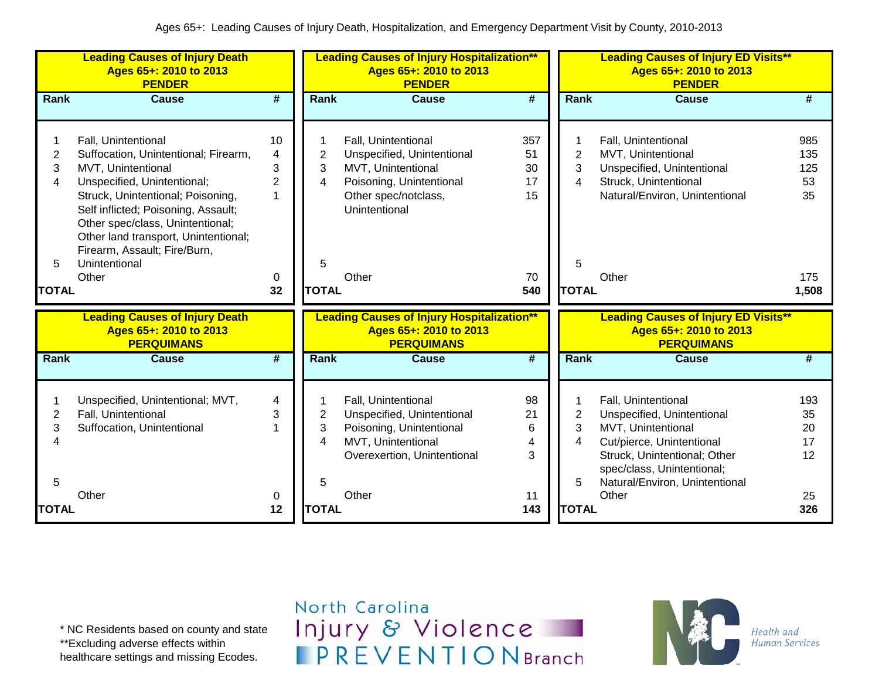|                | <b>Leading Causes of Injury Death</b><br>Ages 65+: 2010 to 2013<br><b>PENDER</b> |                     |                | <b>Leading Causes of Injury Hospitalization**</b><br>Ages 65+: 2010 to 2013<br><b>PENDER</b> |          |                     | <b>Leading Causes of Injury ED Visits**</b><br>Ages 65+: 2010 to 2013<br><b>PENDER</b> |           |
|----------------|----------------------------------------------------------------------------------|---------------------|----------------|----------------------------------------------------------------------------------------------|----------|---------------------|----------------------------------------------------------------------------------------|-----------|
| Rank           | <b>Cause</b>                                                                     | #                   | <b>Rank</b>    | <b>Cause</b>                                                                                 | #        | <b>Rank</b>         | <b>Cause</b>                                                                           | #         |
|                |                                                                                  |                     |                |                                                                                              |          |                     |                                                                                        |           |
| 1              | Fall, Unintentional                                                              | 10                  | 1              | Fall, Unintentional                                                                          | 357      |                     | Fall, Unintentional                                                                    | 985       |
| $\overline{2}$ | Suffocation, Unintentional; Firearm,                                             | 4                   | $\overline{2}$ | Unspecified, Unintentional                                                                   | 51       | $\overline{2}$<br>3 | MVT, Unintentional                                                                     | 135       |
| 3<br>4         | MVT, Unintentional<br>Unspecified, Unintentional;                                | 3<br>$\overline{2}$ | 3<br>4         | MVT, Unintentional<br>Poisoning, Unintentional                                               | 30<br>17 | 4                   | Unspecified, Unintentional<br>Struck, Unintentional                                    | 125<br>53 |
|                | Struck, Unintentional; Poisoning,                                                | $\overline{1}$      |                | Other spec/notclass,                                                                         | 15       |                     | Natural/Environ, Unintentional                                                         | 35        |
|                | Self inflicted; Poisoning, Assault;                                              |                     |                | Unintentional                                                                                |          |                     |                                                                                        |           |
|                | Other spec/class, Unintentional;                                                 |                     |                |                                                                                              |          |                     |                                                                                        |           |
|                | Other land transport, Unintentional;                                             |                     |                |                                                                                              |          |                     |                                                                                        |           |
|                | Firearm, Assault; Fire/Burn,                                                     |                     |                |                                                                                              |          |                     |                                                                                        |           |
| 5              | Unintentional                                                                    |                     | 5              |                                                                                              |          | 5                   |                                                                                        |           |
|                | Other                                                                            | 0                   |                | Other                                                                                        | 70       |                     | Other                                                                                  | 175       |
| <b>TOTAL</b>   |                                                                                  | 32                  | <b>TOTAL</b>   |                                                                                              | 540      | <b>TOTAL</b>        |                                                                                        | 1,508     |
|                | <b>Leading Causes of Injury Death</b>                                            |                     |                | <b>Leading Causes of Injury Hospitalization**</b>                                            |          |                     | <b>Leading Causes of Injury ED Visits**</b>                                            |           |
|                | Ages 65+: 2010 to 2013                                                           |                     |                | Ages 65+: 2010 to 2013                                                                       |          |                     | Ages 65+: 2010 to 2013                                                                 |           |
|                | <b>PERQUIMANS</b>                                                                |                     |                | <b>PERQUIMANS</b>                                                                            |          |                     | <b>PERQUIMANS</b>                                                                      |           |
| Rank           | <b>Cause</b>                                                                     | #                   | Rank           | <b>Cause</b>                                                                                 | #        | Rank                | <b>Cause</b>                                                                           | #         |
|                |                                                                                  |                     |                |                                                                                              |          |                     |                                                                                        |           |
|                | Unspecified, Unintentional; MVT,                                                 | 4                   |                | Fall, Unintentional                                                                          | 98       |                     | Fall, Unintentional                                                                    | 193       |
| $\overline{2}$ | Fall, Unintentional                                                              | 3                   | $\overline{2}$ | Unspecified, Unintentional                                                                   | 21       | $\overline{2}$      | Unspecified, Unintentional                                                             | 35        |
| 3              | Suffocation, Unintentional                                                       |                     | 3              | Poisoning, Unintentional                                                                     | 6        | 3                   | MVT, Unintentional                                                                     | 20        |
| 4              |                                                                                  |                     | 4              | MVT, Unintentional                                                                           | 4        | 4                   | Cut/pierce, Unintentional                                                              | 17        |
|                |                                                                                  |                     |                | Overexertion, Unintentional                                                                  | 3        |                     | Struck, Unintentional; Other                                                           | 12        |
|                |                                                                                  |                     |                |                                                                                              |          |                     | spec/class, Unintentional;                                                             |           |
| 5              |                                                                                  |                     | 5              |                                                                                              |          | 5                   | Natural/Environ, Unintentional                                                         |           |
|                | Other                                                                            | 0                   |                | Other                                                                                        | 11       |                     | Other                                                                                  | 25        |
| <b>TOTAL</b>   |                                                                                  | 12                  | <b>TOTAL</b>   |                                                                                              | 143      | <b>TOTAL</b>        |                                                                                        | 326       |

\* NC Residents based on county and state \*\*Excluding adverse effects within

healthcare settings and missing Ecodes.

## North Carolina Injury & Violence **IPREVENTIONBranch**

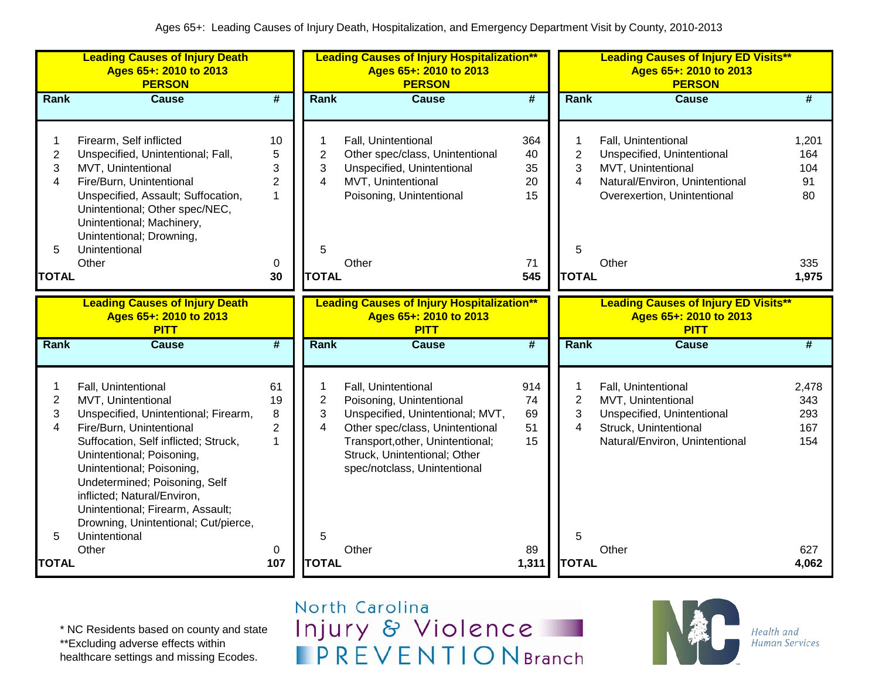|                               | <b>Leading Causes of Injury Death</b><br>Ages 65+: 2010 to 2013<br><b>PERSON</b>                                                                                                                                                                                                                                                                                             |                                                 |                                              | <b>Leading Causes of Injury Hospitalization**</b><br>Ages 65+: 2010 to 2013<br><b>PERSON</b>                                                                                                                               |                             |                               | <b>Leading Causes of Injury ED Visits**</b><br>Ages 65+: 2010 to 2013<br><b>PERSON</b>                                                   |                                   |
|-------------------------------|------------------------------------------------------------------------------------------------------------------------------------------------------------------------------------------------------------------------------------------------------------------------------------------------------------------------------------------------------------------------------|-------------------------------------------------|----------------------------------------------|----------------------------------------------------------------------------------------------------------------------------------------------------------------------------------------------------------------------------|-----------------------------|-------------------------------|------------------------------------------------------------------------------------------------------------------------------------------|-----------------------------------|
| Rank                          | <b>Cause</b>                                                                                                                                                                                                                                                                                                                                                                 | $\overline{\boldsymbol{t}}$                     | Rank                                         | <b>Cause</b>                                                                                                                                                                                                               | $\overline{\boldsymbol{t}}$ | Rank                          | <b>Cause</b>                                                                                                                             | #                                 |
| $\mathbf{2}$<br>3<br>4        | Firearm, Self inflicted<br>Unspecified, Unintentional; Fall,<br>MVT, Unintentional<br>Fire/Burn, Unintentional<br>Unspecified, Assault; Suffocation,<br>Unintentional; Other spec/NEC,<br>Unintentional; Machinery,<br>Unintentional; Drowning,                                                                                                                              | 10<br>5<br>3<br>$\overline{2}$<br>1             | $\mathbf{2}$<br>3<br>$\overline{\mathbf{4}}$ | Fall, Unintentional<br>Other spec/class, Unintentional<br>Unspecified, Unintentional<br>MVT, Unintentional<br>Poisoning, Unintentional                                                                                     | 364<br>40<br>35<br>20<br>15 | 1<br>$\overline{c}$<br>3<br>4 | Fall, Unintentional<br>Unspecified, Unintentional<br>MVT, Unintentional<br>Natural/Environ, Unintentional<br>Overexertion, Unintentional | 1,201<br>164<br>104<br>91<br>80   |
| 5                             | Unintentional<br>Other                                                                                                                                                                                                                                                                                                                                                       | 0                                               | 5                                            | Other                                                                                                                                                                                                                      | 71                          | 5                             | Other                                                                                                                                    | 335                               |
| <b>TOTAL</b>                  |                                                                                                                                                                                                                                                                                                                                                                              | 30                                              | <b>TOTAL</b>                                 |                                                                                                                                                                                                                            | 545                         | <b>TOTAL</b>                  |                                                                                                                                          | 1,975                             |
|                               | <b>Leading Causes of Injury Death</b><br>Ages 65+: 2010 to 2013<br><b>PITT</b>                                                                                                                                                                                                                                                                                               |                                                 |                                              | <b>Leading Causes of Injury Hospitalization**</b><br>Ages 65+: 2010 to 2013<br><b>PITT</b>                                                                                                                                 |                             |                               | <b>Leading Causes of Injury ED Visits**</b><br>Ages 65+: 2010 to 2013<br><b>PITT</b>                                                     |                                   |
| Rank                          | <b>Cause</b>                                                                                                                                                                                                                                                                                                                                                                 | $\overline{\boldsymbol{t}}$                     | Rank                                         | <b>Cause</b>                                                                                                                                                                                                               | $\overline{\boldsymbol{t}}$ | Rank                          | <b>Cause</b>                                                                                                                             | $\overline{\boldsymbol{t}}$       |
| $\overline{c}$<br>3<br>4<br>5 | Fall, Unintentional<br>MVT, Unintentional<br>Unspecified, Unintentional; Firearm,<br>Fire/Burn, Unintentional<br>Suffocation, Self inflicted; Struck,<br>Unintentional; Poisoning,<br>Unintentional; Poisoning,<br>Undetermined; Poisoning, Self<br>inflicted; Natural/Environ,<br>Unintentional; Firearm, Assault;<br>Drowning, Unintentional; Cut/pierce,<br>Unintentional | 61<br>19<br>8<br>$\overline{2}$<br>$\mathbf{1}$ | $\overline{c}$<br>3<br>4<br>5                | Fall, Unintentional<br>Poisoning, Unintentional<br>Unspecified, Unintentional; MVT,<br>Other spec/class, Unintentional<br>Transport, other, Unintentional;<br>Struck, Unintentional; Other<br>spec/notclass, Unintentional | 914<br>74<br>69<br>51<br>15 | $\overline{2}$<br>3<br>4<br>5 | Fall, Unintentional<br>MVT, Unintentional<br>Unspecified, Unintentional<br>Struck, Unintentional<br>Natural/Environ, Unintentional       | 2,478<br>343<br>293<br>167<br>154 |
| <b>TOTAL</b>                  | Other                                                                                                                                                                                                                                                                                                                                                                        | 0<br>107                                        | <b>TOTAL</b>                                 | Other                                                                                                                                                                                                                      | 89<br>1,311                 | <b>TOTAL</b>                  | Other                                                                                                                                    | 627<br>4,062                      |

\* NC Residents based on county and state \*\*Excluding adverse effects within

healthcare settings and missing Ecodes.

North Carolina Injury & Violence **IPREVENTIONBranch** 

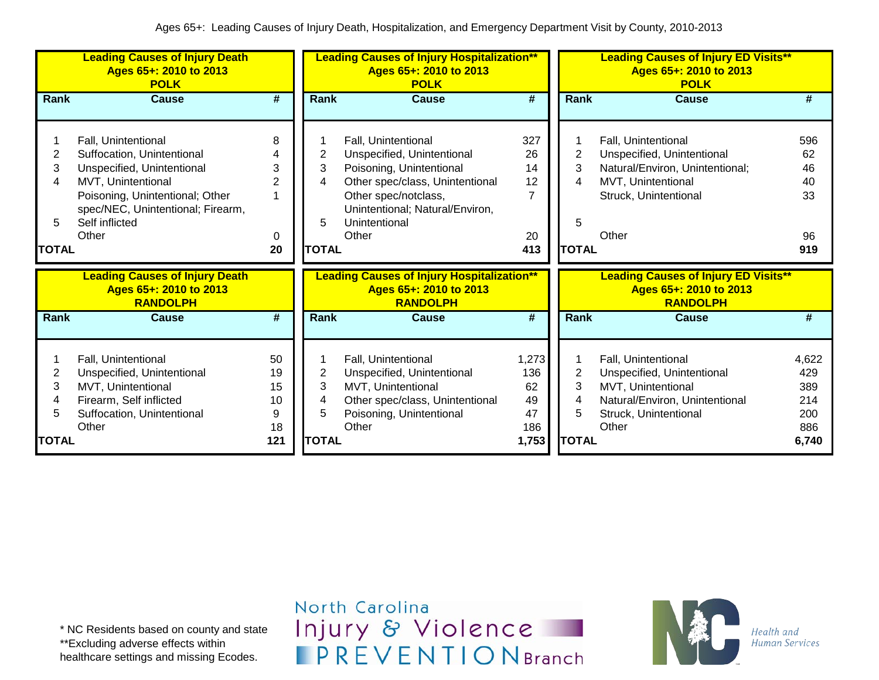|                                  | <b>Leading Causes of Injury Death</b><br>Ages 65+: 2010 to 2013<br><b>POLK</b>                                                                                                                           |                                        |                                  | <b>Leading Causes of Injury Hospitalization**</b><br>Ages 65+: 2010 to 2013<br><b>POLK</b>                                                                                                            |                                                      |                                  | <b>Leading Causes of Injury ED Visits**</b><br>Ages 65+: 2010 to 2013<br><b>POLK</b>                                                         |                                                   |
|----------------------------------|----------------------------------------------------------------------------------------------------------------------------------------------------------------------------------------------------------|----------------------------------------|----------------------------------|-------------------------------------------------------------------------------------------------------------------------------------------------------------------------------------------------------|------------------------------------------------------|----------------------------------|----------------------------------------------------------------------------------------------------------------------------------------------|---------------------------------------------------|
| Rank                             | <b>Cause</b>                                                                                                                                                                                             | #                                      | Rank                             | <b>Cause</b>                                                                                                                                                                                          | $\overline{\boldsymbol{t}}$                          | Rank                             | <b>Cause</b>                                                                                                                                 | #                                                 |
| 2<br>3<br>4<br>5<br><b>TOTAL</b> | Fall, Unintentional<br>Suffocation, Unintentional<br>Unspecified, Unintentional<br>MVT, Unintentional<br>Poisoning, Unintentional; Other<br>spec/NEC, Unintentional; Firearm,<br>Self inflicted<br>Other | 8<br>3<br>2<br>0<br>20                 | 2<br>3<br>4<br>5<br><b>TOTAL</b> | Fall, Unintentional<br>Unspecified, Unintentional<br>Poisoning, Unintentional<br>Other spec/class, Unintentional<br>Other spec/notclass,<br>Unintentional; Natural/Environ,<br>Unintentional<br>Other | 327<br>26<br>14<br>12<br>$\overline{7}$<br>20<br>413 | 2<br>3<br>4<br>5<br><b>TOTAL</b> | Fall, Unintentional<br>Unspecified, Unintentional<br>Natural/Environ, Unintentional;<br>MVT, Unintentional<br>Struck, Unintentional<br>Other | 596<br>62<br>46<br>40<br>33<br>96<br>919          |
|                                  | <b>Leading Causes of Injury Death</b><br>Ages 65+: 2010 to 2013<br><b>RANDOLPH</b>                                                                                                                       |                                        |                                  | <b>Leading Causes of Injury Hospitalization**</b><br>Ages 65+: 2010 to 2013<br><b>RANDOLPH</b>                                                                                                        |                                                      |                                  | <b>Leading Causes of Injury ED Visits**</b><br>Ages 65+: 2010 to 2013<br><b>RANDOLPH</b>                                                     |                                                   |
| Rank                             | <b>Cause</b>                                                                                                                                                                                             | #                                      | <b>Rank</b>                      | <b>Cause</b>                                                                                                                                                                                          | #                                                    | Rank                             | <b>Cause</b>                                                                                                                                 | #                                                 |
| 2<br>3<br>4<br>5<br><b>TOTAL</b> | Fall, Unintentional<br>Unspecified, Unintentional<br>MVT, Unintentional<br>Firearm, Self inflicted<br>Suffocation, Unintentional<br>Other                                                                | 50<br>19<br>15<br>10<br>9<br>18<br>121 | 2<br>3<br>4<br>5<br><b>TOTAL</b> | Fall, Unintentional<br>Unspecified, Unintentional<br>MVT, Unintentional<br>Other spec/class, Unintentional<br>Poisoning, Unintentional<br>Other                                                       | 1,273<br>136<br>62<br>49<br>47<br>186<br>1,753       | 2<br>3<br>4<br>5<br><b>TOTAL</b> | Fall, Unintentional<br>Unspecified, Unintentional<br>MVT, Unintentional<br>Natural/Environ, Unintentional<br>Struck, Unintentional<br>Other  | 4,622<br>429<br>389<br>214<br>200<br>886<br>6,740 |

\* NC Residents based on county and state \*\*Excluding adverse effects within healthcare settings and missing Ecodes.

North Carolina Injury & Violence **IPREVENTIONBranch** 

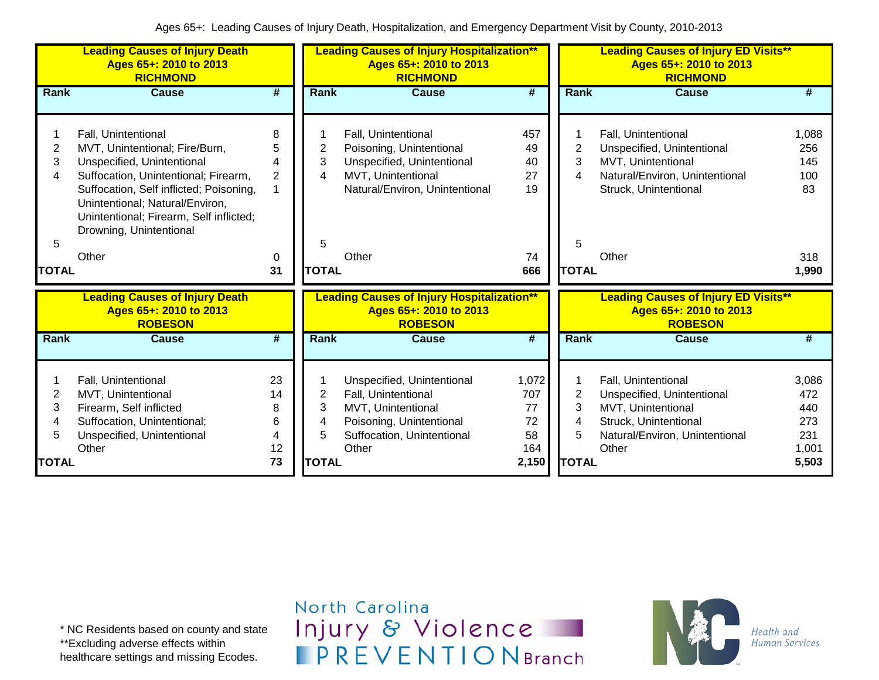|                                  | <b>Leading Causes of Injury Death</b><br>Ages 65+: 2010 to 2013<br><b>RICHMOND</b>                                                                                                                                                                                                       |                                          |                                  | <b>Leading Causes of Injury Hospitalization**</b><br>Ages 65+: 2010 to 2013<br><b>RICHMOND</b>                                                 |                                                |                                               | <b>Leading Causes of Injury ED Visits**</b><br>Ages 65+: 2010 to 2013<br><b>RICHMOND</b>                                                    |                                                     |
|----------------------------------|------------------------------------------------------------------------------------------------------------------------------------------------------------------------------------------------------------------------------------------------------------------------------------------|------------------------------------------|----------------------------------|------------------------------------------------------------------------------------------------------------------------------------------------|------------------------------------------------|-----------------------------------------------|---------------------------------------------------------------------------------------------------------------------------------------------|-----------------------------------------------------|
| Rank                             | <b>Cause</b>                                                                                                                                                                                                                                                                             | $\overline{\boldsymbol{t}}$              | <b>Rank</b>                      | <b>Cause</b>                                                                                                                                   | $\overline{\boldsymbol{t}}$                    | Rank                                          | <b>Cause</b>                                                                                                                                | #                                                   |
| 2<br>3<br>4<br>5<br><b>TOTAL</b> | Fall, Unintentional<br>MVT, Unintentional; Fire/Burn,<br>Unspecified, Unintentional<br>Suffocation, Unintentional; Firearm,<br>Suffocation, Self inflicted; Poisoning,<br>Unintentional; Natural/Environ,<br>Unintentional; Firearm, Self inflicted;<br>Drowning, Unintentional<br>Other | 8<br>5<br>4<br>$\overline{2}$<br>0<br>31 | 2<br>3<br>4<br>5<br><b>TOTAL</b> | Fall, Unintentional<br>Poisoning, Unintentional<br>Unspecified, Unintentional<br>MVT, Unintentional<br>Natural/Environ, Unintentional<br>Other | 457<br>49<br>40<br>27<br>19<br>74<br>666       | 2<br>3<br>4<br>5<br><b>TOTAL</b>              | Fall, Unintentional<br>Unspecified, Unintentional<br>MVT, Unintentional<br>Natural/Environ, Unintentional<br>Struck, Unintentional<br>Other | 1,088<br>256<br>145<br>100<br>83<br>318<br>1,990    |
|                                  | <b>Leading Causes of Injury Death</b><br>Ages 65+: 2010 to 2013<br><b>ROBESON</b>                                                                                                                                                                                                        |                                          |                                  | <b>Leading Causes of Injury Hospitalization**</b><br>Ages 65+: 2010 to 2013<br><b>ROBESON</b>                                                  |                                                |                                               | <b>Leading Causes of Injury ED Visits**</b><br>Ages 65+: 2010 to 2013<br><b>ROBESON</b>                                                     |                                                     |
| Rank                             | <b>Cause</b>                                                                                                                                                                                                                                                                             | #                                        | Rank                             | <b>Cause</b>                                                                                                                                   | #                                              | Rank                                          | <b>Cause</b>                                                                                                                                | #                                                   |
| 2<br>3<br>4<br>5<br><b>TOTAL</b> | Fall, Unintentional<br>MVT, Unintentional<br>Firearm, Self inflicted<br>Suffocation, Unintentional;<br>Unspecified, Unintentional<br>Other                                                                                                                                               | 23<br>14<br>8<br>6<br>4<br>12<br>73      | 2<br>3<br>4<br>5<br><b>TOTAL</b> | Unspecified, Unintentional<br>Fall, Unintentional<br>MVT, Unintentional<br>Poisoning, Unintentional<br>Suffocation, Unintentional<br>Other     | 1,072<br>707<br>77<br>72<br>58<br>164<br>2,150 | $\overline{2}$<br>3<br>4<br>5<br><b>TOTAL</b> | Fall, Unintentional<br>Unspecified, Unintentional<br>MVT, Unintentional<br>Struck, Unintentional<br>Natural/Environ, Unintentional<br>Other | 3,086<br>472<br>440<br>273<br>231<br>1,001<br>5,503 |

North Carolina Injury & Violence **IPREVENTIONBranch** 

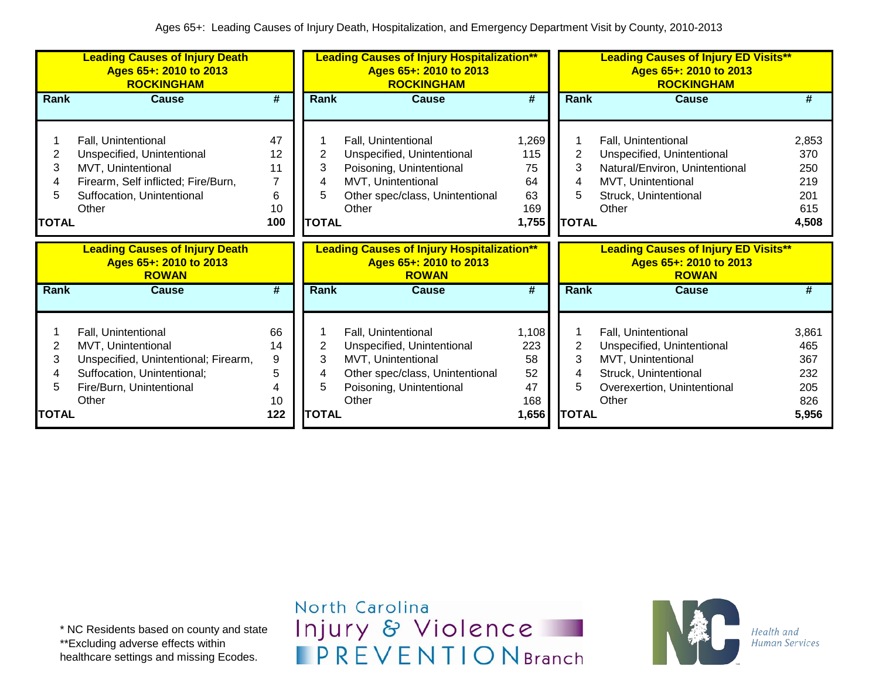|                                  | <b>Leading Causes of Injury Death</b><br>Ages 65+: 2010 to 2013<br><b>ROCKINGHAM</b>                                                                  |                                             |                                  | <b>Leading Causes of Injury Hospitalization**</b><br>Ages 65+: 2010 to 2013<br><b>ROCKINGHAM</b>                                                |                                                |                                  | <b>Leading Causes of Injury ED Visits**</b><br>Ages 65+: 2010 to 2013<br><b>ROCKINGHAM</b>                                                  |                                                   |
|----------------------------------|-------------------------------------------------------------------------------------------------------------------------------------------------------|---------------------------------------------|----------------------------------|-------------------------------------------------------------------------------------------------------------------------------------------------|------------------------------------------------|----------------------------------|---------------------------------------------------------------------------------------------------------------------------------------------|---------------------------------------------------|
| Rank                             | <b>Cause</b>                                                                                                                                          | #                                           | <b>Rank</b>                      | <b>Cause</b>                                                                                                                                    | #                                              | Rank                             | <b>Cause</b>                                                                                                                                | #                                                 |
| 2<br>3<br>4<br>5                 | Fall, Unintentional<br>Unspecified, Unintentional<br>MVT, Unintentional<br>Firearm, Self inflicted; Fire/Burn,<br>Suffocation, Unintentional<br>Other | 47<br>12<br>11<br>$\overline{7}$<br>6<br>10 | 3<br>4<br>5                      | Fall, Unintentional<br>Unspecified, Unintentional<br>Poisoning, Unintentional<br>MVT, Unintentional<br>Other spec/class, Unintentional<br>Other | 1,269<br>115<br>75<br>64<br>63<br>169          | $\overline{2}$<br>3<br>4<br>5    | Fall, Unintentional<br>Unspecified, Unintentional<br>Natural/Environ, Unintentional<br>MVT, Unintentional<br>Struck, Unintentional<br>Other | 2,853<br>370<br>250<br>219<br>201<br>615          |
| <b>TOTAL</b>                     |                                                                                                                                                       | 100                                         | <b>TOTAL</b>                     |                                                                                                                                                 | 1,755                                          | <b>TOTAL</b>                     |                                                                                                                                             | 4,508                                             |
|                                  |                                                                                                                                                       |                                             |                                  |                                                                                                                                                 |                                                |                                  |                                                                                                                                             |                                                   |
|                                  | <b>Leading Causes of Injury Death</b><br>Ages 65+: 2010 to 2013<br><b>ROWAN</b>                                                                       |                                             |                                  | <b>Leading Causes of Injury Hospitalization**</b><br>Ages 65+: 2010 to 2013<br><b>ROWAN</b>                                                     |                                                |                                  | <b>Leading Causes of Injury ED Visits**</b><br>Ages 65+: 2010 to 2013<br><b>ROWAN</b>                                                       |                                                   |
| <b>Rank</b>                      | <b>Cause</b>                                                                                                                                          | #                                           | <b>Rank</b>                      | <b>Cause</b>                                                                                                                                    | #                                              | Rank                             | Cause                                                                                                                                       | #                                                 |
| 2<br>3<br>4<br>5<br><b>TOTAL</b> | Fall, Unintentional<br>MVT, Unintentional<br>Unspecified, Unintentional; Firearm,<br>Suffocation, Unintentional;<br>Fire/Burn, Unintentional<br>Other | 66<br>14<br>9<br>5<br>4<br>10<br>122        | 2<br>3<br>4<br>5<br><b>TOTAL</b> | Fall, Unintentional<br>Unspecified, Unintentional<br>MVT, Unintentional<br>Other spec/class, Unintentional<br>Poisoning, Unintentional<br>Other | 1,108<br>223<br>58<br>52<br>47<br>168<br>1,656 | 2<br>3<br>4<br>5<br><b>TOTAL</b> | Fall, Unintentional<br>Unspecified, Unintentional<br>MVT, Unintentional<br>Struck, Unintentional<br>Overexertion, Unintentional<br>Other    | 3,861<br>465<br>367<br>232<br>205<br>826<br>5,956 |

\* NC Residents based on county and state \*\*Excluding adverse effects within healthcare settings and missing Ecodes.

North Carolina Injury & Violence **IPREVENTIONBranch** 

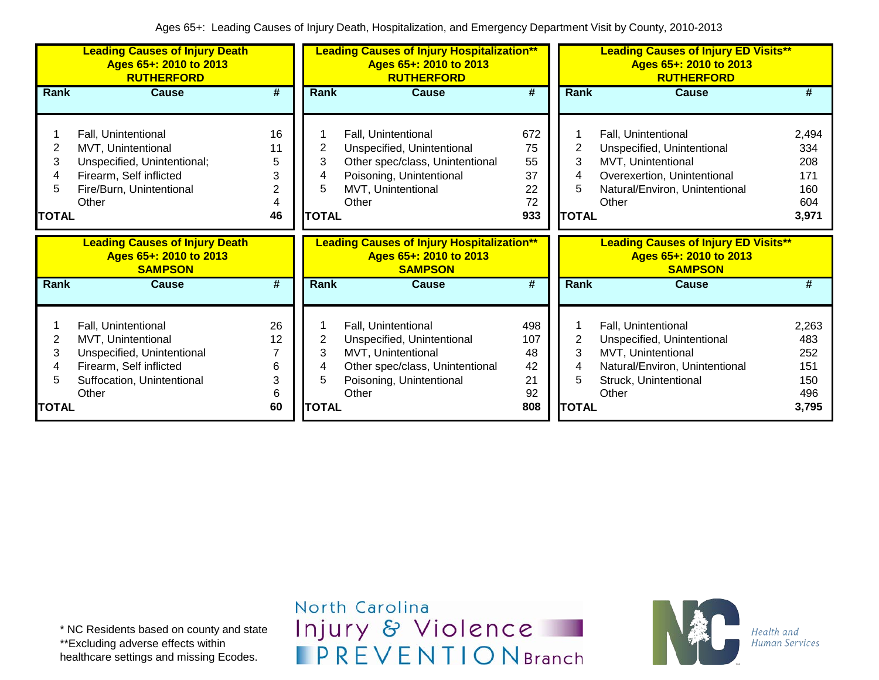|                                  | <b>Leading Causes of Injury Death</b><br>Ages 65+: 2010 to 2013<br><b>RUTHERFORD</b>                                                      |                                    | <b>Leading Causes of Injury Hospitalization**</b><br>Ages 65+: 2010 to 2013<br><b>RUTHERFORD</b> |                                                                                                                                                 |                                           |                                          | <b>Leading Causes of Injury ED Visits**</b><br>Ages 65+: 2010 to 2013<br><b>RUTHERFORD</b>                                                               |                                                   |  |  |
|----------------------------------|-------------------------------------------------------------------------------------------------------------------------------------------|------------------------------------|--------------------------------------------------------------------------------------------------|-------------------------------------------------------------------------------------------------------------------------------------------------|-------------------------------------------|------------------------------------------|----------------------------------------------------------------------------------------------------------------------------------------------------------|---------------------------------------------------|--|--|
| Rank                             | <b>Cause</b>                                                                                                                              | #                                  | Rank                                                                                             | <b>Cause</b>                                                                                                                                    | #                                         | Rank                                     | <b>Cause</b>                                                                                                                                             | #                                                 |  |  |
| 2<br>3<br>4<br>5<br><b>TOTAL</b> | Fall, Unintentional<br>MVT, Unintentional<br>Unspecified, Unintentional;<br>Firearm, Self inflicted<br>Fire/Burn, Unintentional<br>Other  | 16<br>11<br>5<br>3<br>2<br>4<br>46 | 2<br>3<br><b>TOTAL</b>                                                                           | Fall, Unintentional<br>Unspecified, Unintentional<br>Other spec/class, Unintentional<br>Poisoning, Unintentional<br>MVT, Unintentional<br>Other | 672<br>75<br>55<br>37<br>22<br>72<br>933  | 2<br>3<br><b>TOTAL</b>                   | <b>Fall, Unintentional</b><br>Unspecified, Unintentional<br>MVT, Unintentional<br>Overexertion, Unintentional<br>Natural/Environ, Unintentional<br>Other | 2,494<br>334<br>208<br>171<br>160<br>604<br>3,971 |  |  |
|                                  |                                                                                                                                           |                                    |                                                                                                  |                                                                                                                                                 |                                           |                                          |                                                                                                                                                          |                                                   |  |  |
|                                  | <b>Leading Causes of Injury Death</b><br>Ages 65+: 2010 to 2013<br><b>SAMPSON</b>                                                         |                                    |                                                                                                  | <b>Leading Causes of Injury Hospitalization**</b><br>Ages 65+: 2010 to 2013<br><b>SAMPSON</b>                                                   |                                           |                                          | <b>Leading Causes of Injury ED Visits**</b><br>Ages 65+: 2010 to 2013<br><b>SAMPSON</b>                                                                  |                                                   |  |  |
| <b>Rank</b>                      | <b>Cause</b>                                                                                                                              | $\overline{\boldsymbol{t}}$        | Rank                                                                                             | <b>Cause</b>                                                                                                                                    | #                                         | Rank                                     | <b>Cause</b>                                                                                                                                             | #                                                 |  |  |
| 2<br>3<br>4<br><b>TOTAL</b>      | Fall, Unintentional<br>MVT, Unintentional<br>Unspecified, Unintentional<br>Firearm, Self inflicted<br>Suffocation, Unintentional<br>Other | 26<br>12<br>6<br>3<br>6<br>60      | 2<br>3<br>4<br>5<br><b>TOTAL</b>                                                                 | Fall, Unintentional<br>Unspecified, Unintentional<br>MVT, Unintentional<br>Other spec/class, Unintentional<br>Poisoning, Unintentional<br>Other | 498<br>107<br>48<br>42<br>21<br>92<br>808 | $\overline{2}$<br>3<br>4<br><b>TOTAL</b> | Fall, Unintentional<br>Unspecified, Unintentional<br>MVT, Unintentional<br>Natural/Environ, Unintentional<br>Struck, Unintentional<br>Other              | 2,263<br>483<br>252<br>151<br>150<br>496<br>3,795 |  |  |

North Carolina Injury & Violence **IPREVENTIONBranch** 

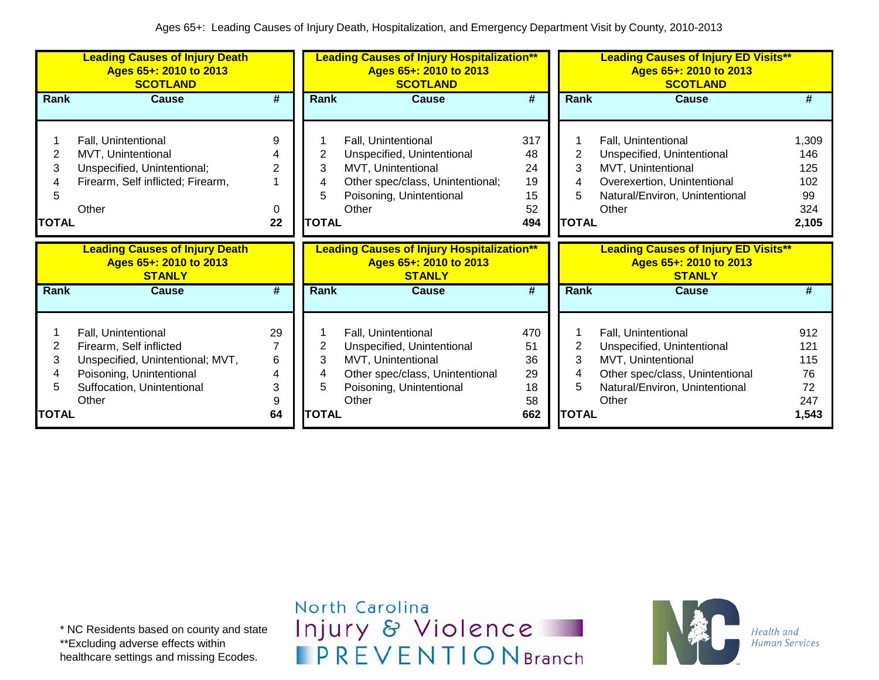|                             | <b>Leading Causes of Injury Death</b><br>Ages 65+: 2010 to 2013<br><b>SCOTLAND</b>                                                                    |                                |                             | <b>Leading Causes of Injury Hospitalization**</b><br>Ages 65+: 2010 to 2013<br><b>SCOTLAND</b>                                                   |                                          |                             | <b>Leading Causes of Injury ED Visits**</b><br>Ages 65+: 2010 to 2013<br><b>SCOTLAND</b>                                                              |                                                  |
|-----------------------------|-------------------------------------------------------------------------------------------------------------------------------------------------------|--------------------------------|-----------------------------|--------------------------------------------------------------------------------------------------------------------------------------------------|------------------------------------------|-----------------------------|-------------------------------------------------------------------------------------------------------------------------------------------------------|--------------------------------------------------|
| Rank                        | Cause                                                                                                                                                 | #                              | Rank                        | Cause                                                                                                                                            | #                                        | <b>Rank</b>                 | <b>Cause</b>                                                                                                                                          | #                                                |
| 2<br>3<br>5<br><b>TOTAL</b> | Fall, Unintentional<br>MVT, Unintentional<br>Unspecified, Unintentional;<br>Firearm, Self inflicted; Firearm,<br>Other                                | 9<br>$\overline{2}$<br>0<br>22 | 3<br>4<br>5<br><b>TOTAL</b> | Fall, Unintentional<br>Unspecified, Unintentional<br>MVT, Unintentional<br>Other spec/class, Unintentional;<br>Poisoning, Unintentional<br>Other | 317<br>48<br>24<br>19<br>15<br>52<br>494 | 2<br>3<br>5<br><b>TOTAL</b> | Fall, Unintentional<br>Unspecified, Unintentional<br>MVT, Unintentional<br>Overexertion, Unintentional<br>Natural/Environ, Unintentional<br>Other     | 1,309<br>146<br>125<br>102<br>99<br>324<br>2,105 |
|                             | <b>Leading Causes of Injury Death</b><br>Ages 65+: 2010 to 2013<br><b>STANLY</b>                                                                      |                                |                             | <b>Leading Causes of Injury Hospitalization**</b><br>Ages 65+: 2010 to 2013<br><b>STANLY</b>                                                     |                                          |                             | <b>Leading Causes of Injury ED Visits**</b><br>Ages 65+: 2010 to 2013<br><b>STANLY</b>                                                                |                                                  |
| Rank                        | Cause                                                                                                                                                 | #                              | <b>Rank</b>                 | Cause                                                                                                                                            | #                                        | Rank                        | Cause                                                                                                                                                 | #                                                |
| 2<br>3<br>4<br>5            | Fall, Unintentional<br>Firearm, Self inflicted<br>Unspecified, Unintentional; MVT,<br>Poisoning, Unintentional<br>Suffocation, Unintentional<br>Other | 29<br>7<br>6<br>4<br>3<br>9    | 2<br>3<br>4<br>5            | Fall, Unintentional<br>Unspecified, Unintentional<br>MVT, Unintentional<br>Other spec/class, Unintentional<br>Poisoning, Unintentional<br>Other  | 470<br>51<br>36<br>29<br>18<br>58        | 2<br>3<br>4<br>5            | Fall, Unintentional<br>Unspecified, Unintentional<br>MVT, Unintentional<br>Other spec/class, Unintentional<br>Natural/Environ, Unintentional<br>Other | 912<br>121<br>115<br>76<br>72<br>247             |

\* NC Residents based on county and state \*\*Excluding adverse effects within healthcare settings and missing Ecodes.

North Carolina Injury & Violence **IPREVENTIONBranch** 

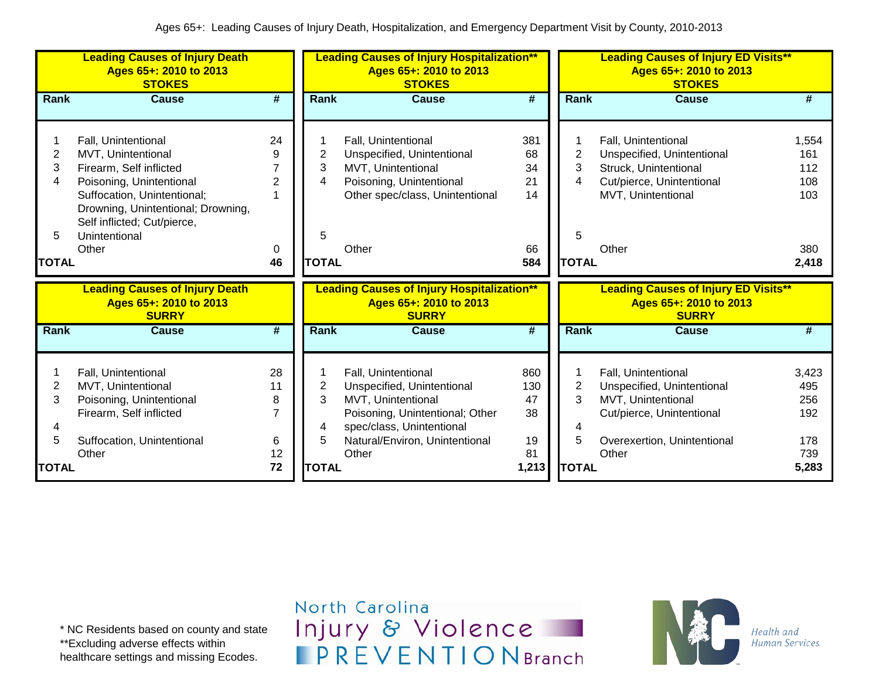|                                        | <b>Leading Causes of Injury Death</b><br>Ages 65+: 2010 to 2013<br><b>STOKES</b>                                                                                                                                      |                                      |                               | <b>Leading Causes of Injury Hospitalization**</b><br>Ages 65+: 2010 to 2013<br><b>STOKES</b>                                                                              |                              |                               | <b>Leading Causes of Injury ED Visits**</b><br>Ages 65+: 2010 to 2013<br><b>STOKES</b>                                              |                                   |
|----------------------------------------|-----------------------------------------------------------------------------------------------------------------------------------------------------------------------------------------------------------------------|--------------------------------------|-------------------------------|---------------------------------------------------------------------------------------------------------------------------------------------------------------------------|------------------------------|-------------------------------|-------------------------------------------------------------------------------------------------------------------------------------|-----------------------------------|
| <b>Rank</b>                            | <b>Cause</b>                                                                                                                                                                                                          | #                                    | <b>Rank</b>                   | <b>Cause</b>                                                                                                                                                              | $\overline{\boldsymbol{t}}$  | Rank                          | <b>Cause</b>                                                                                                                        | #                                 |
| 2<br>3<br>4<br>5                       | Fall, Unintentional<br>MVT, Unintentional<br>Firearm, Self inflicted<br>Poisoning, Unintentional<br>Suffocation, Unintentional;<br>Drowning, Unintentional; Drowning,<br>Self inflicted; Cut/pierce,<br>Unintentional | 24<br>9<br>$\overline{2}$            | 2<br>3<br>4<br>5              | Fall, Unintentional<br>Unspecified, Unintentional<br>MVT, Unintentional<br>Poisoning, Unintentional<br>Other spec/class, Unintentional                                    | 381<br>68<br>34<br>21<br>14  | $\overline{2}$<br>3<br>4<br>5 | Fall, Unintentional<br>Unspecified, Unintentional<br>Struck, Unintentional<br>Cut/pierce, Unintentional<br>MVT, Unintentional       | 1,554<br>161<br>112<br>108<br>103 |
|                                        | Other                                                                                                                                                                                                                 | 0                                    |                               | Other                                                                                                                                                                     | 66                           |                               | Other                                                                                                                               | 380                               |
| <b>TOTAL</b>                           |                                                                                                                                                                                                                       | 46                                   | <b>TOTAL</b>                  |                                                                                                                                                                           | 584                          | <b>TOTAL</b>                  |                                                                                                                                     | 2,418                             |
|                                        | <b>Leading Causes of Injury Death</b><br>Ages 65+: 2010 to 2013<br><b>SURRY</b>                                                                                                                                       |                                      |                               | <b>Leading Causes of Injury Hospitalization**</b><br>Ages 65+: 2010 to 2013<br><b>SURRY</b>                                                                               |                              |                               | <b>Leading Causes of Injury ED Visits**</b><br>Ages 65+: 2010 to 2013<br><b>SURRY</b>                                               |                                   |
| <b>Rank</b>                            | <b>Cause</b>                                                                                                                                                                                                          | #                                    | <b>Rank</b>                   | <b>Cause</b>                                                                                                                                                              | #                            | Rank                          | <b>Cause</b>                                                                                                                        | #                                 |
| $\overline{\mathbf{c}}$<br>3<br>4<br>5 | Fall, Unintentional<br>MVT, Unintentional<br>Poisoning, Unintentional<br>Firearm, Self inflicted<br>Suffocation, Unintentional                                                                                        | 28<br>11<br>8<br>$\overline{7}$<br>6 | $\overline{2}$<br>3<br>4<br>5 | Fall, Unintentional<br>Unspecified, Unintentional<br>MVT, Unintentional<br>Poisoning, Unintentional; Other<br>spec/class, Unintentional<br>Natural/Environ, Unintentional | 860<br>130<br>47<br>38<br>19 | $\overline{2}$<br>3<br>4<br>5 | Fall, Unintentional<br>Unspecified, Unintentional<br>MVT, Unintentional<br>Cut/pierce, Unintentional<br>Overexertion, Unintentional | 3,423<br>495<br>256<br>192<br>178 |
| <b>TOTAL</b>                           | Other                                                                                                                                                                                                                 | 12<br>72                             | <b>TOTAL</b>                  | Other                                                                                                                                                                     | 81<br>1,213                  | <b>TOTAL</b>                  | Other                                                                                                                               | 739<br>5,283                      |

\* NC Residents based on county and state \*\*Excluding adverse effects within healthcare settings and missing Ecodes.

North Carolina Injury & Violence **IPREVENTIONBranch** 

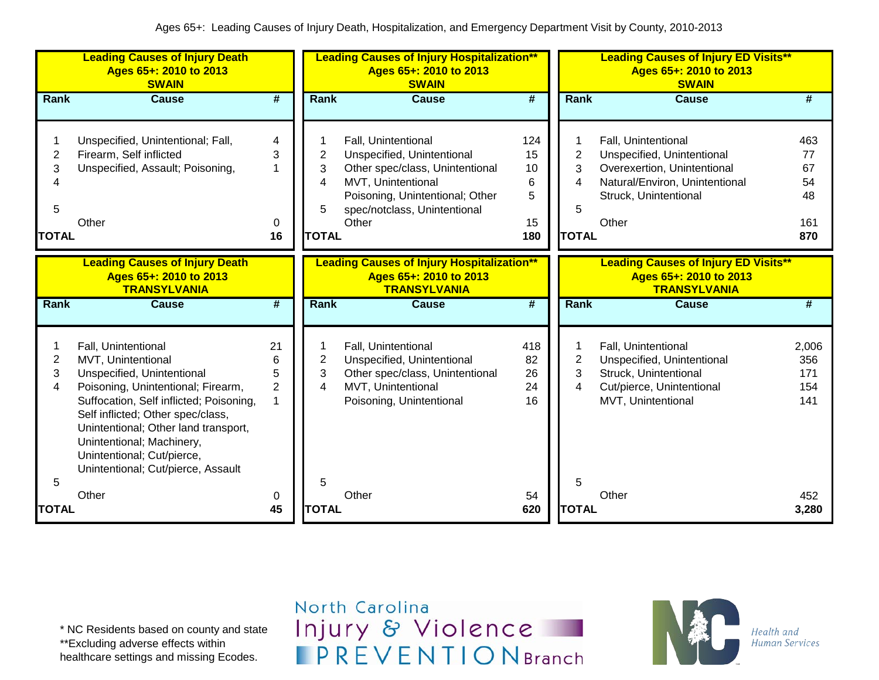|                                                    | <b>Leading Causes of Injury Death</b><br>Ages 65+: 2010 to 2013<br><b>SWAIN</b>                                                                                                                                                                                                                                                        |                                     |                                               | <b>Leading Causes of Injury Hospitalization**</b><br>Ages 65+: 2010 to 2013<br><b>SWAIN</b>                                                                                            |                                        |                                               | <b>Leading Causes of Injury ED Visits**</b><br>Ages 65+: 2010 to 2013<br><b>SWAIN</b>                                                                |                                           |
|----------------------------------------------------|----------------------------------------------------------------------------------------------------------------------------------------------------------------------------------------------------------------------------------------------------------------------------------------------------------------------------------------|-------------------------------------|-----------------------------------------------|----------------------------------------------------------------------------------------------------------------------------------------------------------------------------------------|----------------------------------------|-----------------------------------------------|------------------------------------------------------------------------------------------------------------------------------------------------------|-------------------------------------------|
| Rank                                               | <b>Cause</b>                                                                                                                                                                                                                                                                                                                           | $\overline{\boldsymbol{t}}$         | Rank                                          | <b>Cause</b>                                                                                                                                                                           | #                                      | Rank                                          | <b>Cause</b>                                                                                                                                         | #                                         |
| 1<br>$\overline{c}$<br>3<br>4<br>5<br><b>TOTAL</b> | Unspecified, Unintentional; Fall,<br>Firearm, Self inflicted<br>Unspecified, Assault; Poisoning,<br>Other                                                                                                                                                                                                                              | 4<br>3<br>1<br>0<br>16              | $\overline{2}$<br>3<br>4<br>5<br><b>TOTAL</b> | Fall, Unintentional<br>Unspecified, Unintentional<br>Other spec/class, Unintentional<br>MVT, Unintentional<br>Poisoning, Unintentional; Other<br>spec/notclass, Unintentional<br>Other | 124<br>15<br>10<br>6<br>5<br>15<br>180 | $\overline{2}$<br>3<br>4<br>5<br><b>TOTAL</b> | Fall, Unintentional<br>Unspecified, Unintentional<br>Overexertion, Unintentional<br>Natural/Environ, Unintentional<br>Struck, Unintentional<br>Other | 463<br>77<br>67<br>54<br>48<br>161<br>870 |
|                                                    | <b>Leading Causes of Injury Death</b><br>Ages 65+: 2010 to 2013<br><b>TRANSYLVANIA</b>                                                                                                                                                                                                                                                 |                                     |                                               | <b>Leading Causes of Injury Hospitalization**</b><br>Ages 65+: 2010 to 2013<br><b>TRANSYLVANIA</b>                                                                                     |                                        |                                               | <b>Leading Causes of Injury ED Visits**</b><br>Ages 65+: 2010 to 2013<br><b>TRANSYLVANIA</b>                                                         |                                           |
| Rank                                               | <b>Cause</b>                                                                                                                                                                                                                                                                                                                           | $\overline{\boldsymbol{t}}$         | Rank                                          | <b>Cause</b>                                                                                                                                                                           | #                                      | Rank                                          | <b>Cause</b>                                                                                                                                         | #                                         |
| 1<br>2<br>3<br>4<br>5                              | Fall, Unintentional<br>MVT, Unintentional<br>Unspecified, Unintentional<br>Poisoning, Unintentional; Firearm,<br>Suffocation, Self inflicted; Poisoning,<br>Self inflicted; Other spec/class,<br>Unintentional; Other land transport,<br>Unintentional; Machinery,<br>Unintentional; Cut/pierce,<br>Unintentional; Cut/pierce, Assault | 21<br>6<br>5<br>$\overline{2}$<br>1 | $\overline{2}$<br>3<br>4<br>5                 | Fall, Unintentional<br>Unspecified, Unintentional<br>Other spec/class, Unintentional<br>MVT, Unintentional<br>Poisoning, Unintentional                                                 | 418<br>82<br>26<br>24<br>16            | $\overline{2}$<br>3<br>4<br>5                 | Fall, Unintentional<br>Unspecified, Unintentional<br>Struck, Unintentional<br>Cut/pierce, Unintentional<br>MVT, Unintentional                        | 2,006<br>356<br>171<br>154<br>141         |
| <b>TOTAL</b>                                       | Other                                                                                                                                                                                                                                                                                                                                  | 0<br>45                             | <b>TOTAL</b>                                  | Other                                                                                                                                                                                  | 54<br>620                              | <b>TOTAL</b>                                  | Other                                                                                                                                                | 452<br>3,280                              |

\* NC Residents based on county and state \*\*Excluding adverse effects within

healthcare settings and missing Ecodes.

North Carolina Injury & Violence **IPREVENTIONBranch** 

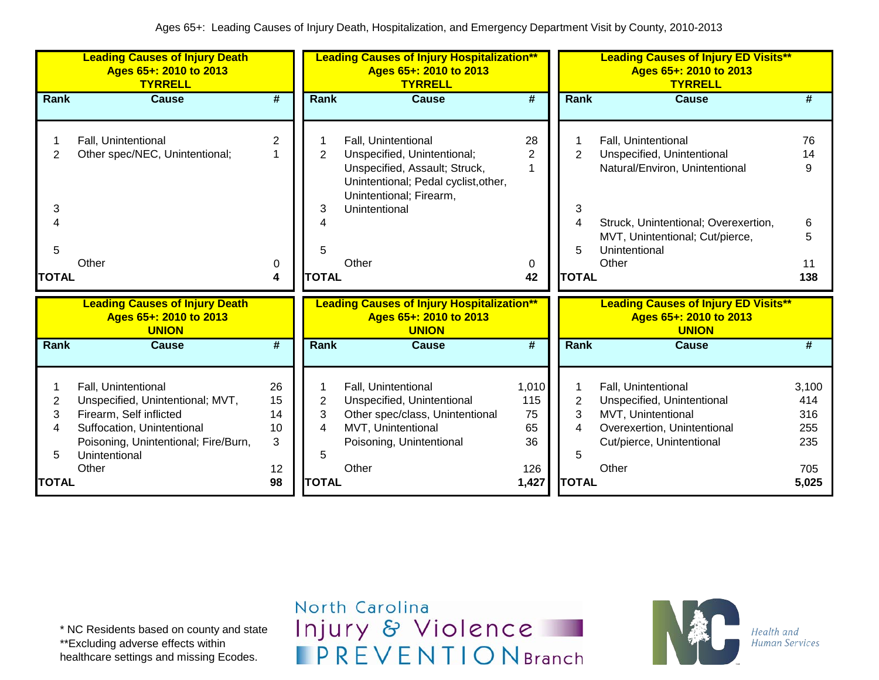| #<br>$\overline{2}$<br>$\mathbf 1$ | <b>Rank</b><br>$\overline{2}$                                                       | <b>Cause</b><br>Fall, Unintentional<br>Unspecified, Unintentional;                                                                              | #<br>28                               | <b>Rank</b>                                                | <b>Cause</b>                                                                                                                                                                             | #                                                 |
|------------------------------------|-------------------------------------------------------------------------------------|-------------------------------------------------------------------------------------------------------------------------------------------------|---------------------------------------|------------------------------------------------------------|------------------------------------------------------------------------------------------------------------------------------------------------------------------------------------------|---------------------------------------------------|
|                                    |                                                                                     |                                                                                                                                                 |                                       |                                                            |                                                                                                                                                                                          |                                                   |
| 0<br>4                             | 3                                                                                   | Unspecified, Assault; Struck,<br>Unintentional; Pedal cyclist, other,<br>Unintentional; Firearm,<br>Unintentional<br>Other                      | $\overline{2}$<br>1<br>0<br>42        | $\overline{2}$<br>3<br>4<br>5                              | Fall, Unintentional<br>Unspecified, Unintentional<br>Natural/Environ, Unintentional<br>Struck, Unintentional; Overexertion,<br>MVT, Unintentional; Cut/pierce,<br>Unintentional<br>Other | 76<br>14<br>9<br>6<br>5<br>11<br>138              |
|                                    |                                                                                     | Ages 65+: 2010 to 2013<br><b>UNION</b>                                                                                                          |                                       |                                                            | <b>Leading Causes of Injury ED Visits**</b><br>Ages 65+: 2010 to 2013<br><b>UNION</b>                                                                                                    |                                                   |
| #                                  | Rank                                                                                | <b>Cause</b>                                                                                                                                    | $\overline{\boldsymbol{H}}$           | Rank                                                       | <b>Cause</b>                                                                                                                                                                             | #                                                 |
| 26<br>15<br>14<br>10<br>3<br>12    | $\overline{2}$<br>3<br>4<br>5                                                       | Fall, Unintentional<br>Unspecified, Unintentional<br>Other spec/class, Unintentional<br>MVT, Unintentional<br>Poisoning, Unintentional<br>Other | 1,010<br>115<br>75<br>65<br>36<br>126 | $\overline{2}$<br>3<br>4<br>5                              | Fall, Unintentional<br>Unspecified, Unintentional<br>MVT, Unintentional<br>Overexertion, Unintentional<br>Cut/pierce, Unintentional<br>Other                                             | 3,100<br>414<br>316<br>255<br>235<br>705<br>5,025 |
|                                    | <b>Leading Causes of Injury Death</b><br>Poisoning, Unintentional; Fire/Burn,<br>98 |                                                                                                                                                 | <b>TOTAL</b><br><b>TOTAL</b>          | <b>Leading Causes of Injury Hospitalization**</b><br>1,427 |                                                                                                                                                                                          | <b>TOTAL</b><br><b>TOTAL</b>                      |

\* NC Residents based on county and state \*\*Excluding adverse effects within

healthcare settings and missing Ecodes.

North Carolina Injury & Violence **IPREVENTIONBranch** 

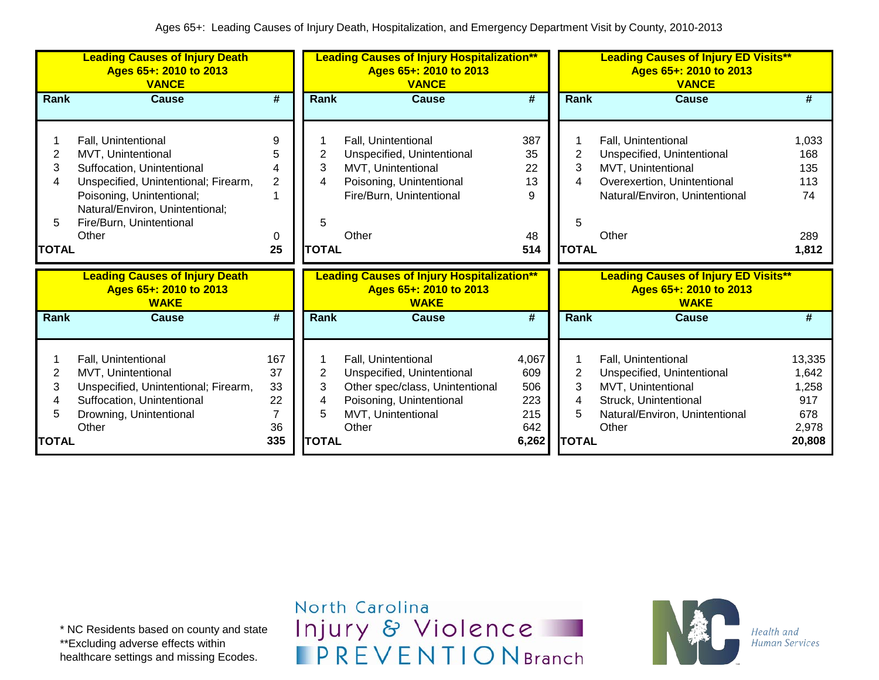|                                  | <b>Leading Causes of Injury Death</b><br>Ages 65+: 2010 to 2013<br><b>VANCE</b>                                                                                                                                      |                                                      |                                  | <b>Leading Causes of Injury Hospitalization**</b><br>Ages 65+: 2010 to 2013<br><b>VANCE</b>                                                     |                                                   |                                  | <b>Leading Causes of Injury ED Visits**</b><br>Ages 65+: 2010 to 2013<br><b>VANCE</b>                                                             |                                                           |
|----------------------------------|----------------------------------------------------------------------------------------------------------------------------------------------------------------------------------------------------------------------|------------------------------------------------------|----------------------------------|-------------------------------------------------------------------------------------------------------------------------------------------------|---------------------------------------------------|----------------------------------|---------------------------------------------------------------------------------------------------------------------------------------------------|-----------------------------------------------------------|
| Rank                             | <b>Cause</b>                                                                                                                                                                                                         | #                                                    | Rank                             | <b>Cause</b>                                                                                                                                    | $\overline{\boldsymbol{t}}$                       | Rank                             | <b>Cause</b>                                                                                                                                      | #                                                         |
| 2<br>3<br>4<br>5<br><b>TOTAL</b> | Fall, Unintentional<br>MVT, Unintentional<br>Suffocation, Unintentional<br>Unspecified, Unintentional; Firearm,<br>Poisoning, Unintentional;<br>Natural/Environ, Unintentional;<br>Fire/Burn, Unintentional<br>Other | 9<br>5<br>4<br>$\overline{2}$<br>0<br>25             | 2<br>3<br>4<br>5<br><b>TOTAL</b> | Fall, Unintentional<br>Unspecified, Unintentional<br>MVT, Unintentional<br>Poisoning, Unintentional<br>Fire/Burn, Unintentional<br>Other        | 387<br>35<br>22<br>13<br>9<br>48<br>514           | 2<br>3<br>4<br>5<br><b>TOTAL</b> | Fall, Unintentional<br>Unspecified, Unintentional<br>MVT, Unintentional<br>Overexertion, Unintentional<br>Natural/Environ, Unintentional<br>Other | 1,033<br>168<br>135<br>113<br>74<br>289<br>1,812          |
|                                  | <b>Leading Causes of Injury Death</b><br>Ages 65+: 2010 to 2013<br><b>WAKE</b>                                                                                                                                       |                                                      |                                  | <b>Leading Causes of Injury Hospitalization**</b><br>Ages 65+: 2010 to 2013<br><b>WAKE</b>                                                      |                                                   |                                  | <b>Leading Causes of Injury ED Visits**</b><br>Ages 65+: 2010 to 2013<br><b>WAKE</b>                                                              |                                                           |
| Rank                             | Cause                                                                                                                                                                                                                | #                                                    | Rank                             | <b>Cause</b>                                                                                                                                    | #                                                 | <b>Rank</b>                      | <b>Cause</b>                                                                                                                                      | #                                                         |
| 2<br>3<br>4<br>5<br><b>TOTAL</b> | Fall, Unintentional<br>MVT, Unintentional<br>Unspecified, Unintentional; Firearm,<br>Suffocation, Unintentional<br>Drowning, Unintentional<br>Other                                                                  | 167<br>37<br>33<br>22<br>$\overline{7}$<br>36<br>335 | 2<br>3<br>4<br>5<br><b>TOTAL</b> | Fall, Unintentional<br>Unspecified, Unintentional<br>Other spec/class, Unintentional<br>Poisoning, Unintentional<br>MVT, Unintentional<br>Other | 4,067<br>609<br>506<br>223<br>215<br>642<br>6,262 | 2<br>3<br>4<br>5<br><b>TOTAL</b> | Fall, Unintentional<br>Unspecified, Unintentional<br>MVT, Unintentional<br>Struck, Unintentional<br>Natural/Environ, Unintentional<br>Other       | 13,335<br>1,642<br>1,258<br>917<br>678<br>2,978<br>20,808 |

\* NC Residents based on county and state \*\*Excluding adverse effects within healthcare settings and missing Ecodes.

North Carolina Injury & Violence **IPREVENTIONBranch** 

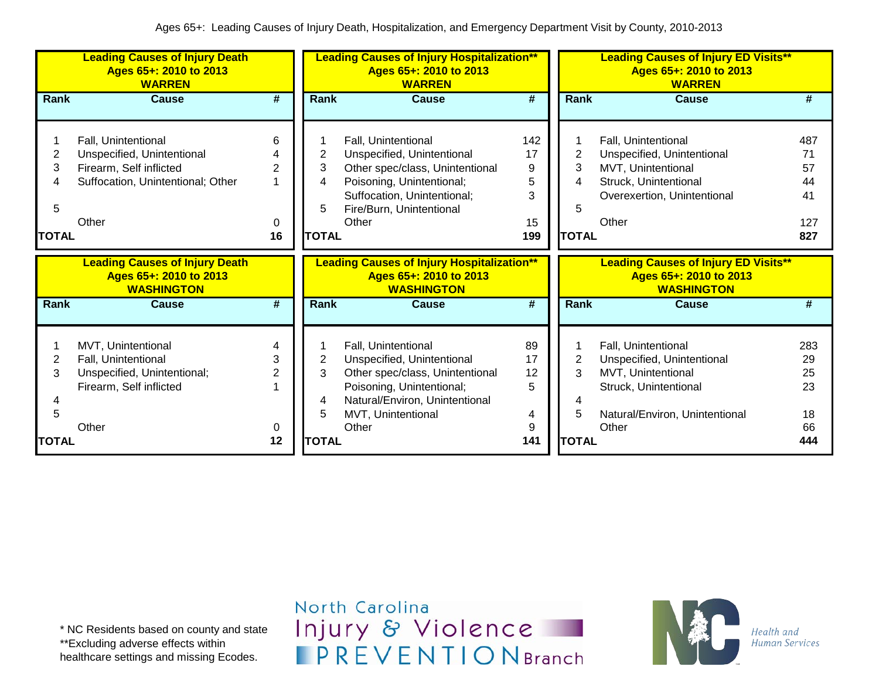|                                  | <b>Leading Causes of Injury Death</b><br>Ages 65+: 2010 to 2013<br><b>WARREN</b>                                           |                                     |                                  | <b>Leading Causes of Injury Hospitalization**</b><br>Ages 65+: 2010 to 2013<br><b>WARREN</b>                                                                                          |                                       |                             | <b>Leading Causes of Injury ED Visits**</b><br>Ages 65+: 2010 to 2013<br><b>WARREN</b>                                                      |                                           |
|----------------------------------|----------------------------------------------------------------------------------------------------------------------------|-------------------------------------|----------------------------------|---------------------------------------------------------------------------------------------------------------------------------------------------------------------------------------|---------------------------------------|-----------------------------|---------------------------------------------------------------------------------------------------------------------------------------------|-------------------------------------------|
| <b>Rank</b>                      | <b>Cause</b>                                                                                                               | #                                   | Rank                             | Cause                                                                                                                                                                                 | #                                     | Rank                        | Cause                                                                                                                                       | #                                         |
| 2<br>3<br>4<br>5<br><b>TOTAL</b> | Fall, Unintentional<br>Unspecified, Unintentional<br>Firearm, Self inflicted<br>Suffocation, Unintentional; Other<br>Other | 6<br>$\overline{2}$<br>0<br>16      | 2<br>3<br>4<br>5<br><b>TOTAL</b> | Fall, Unintentional<br>Unspecified, Unintentional<br>Other spec/class, Unintentional<br>Poisoning, Unintentional;<br>Suffocation, Unintentional;<br>Fire/Burn, Unintentional<br>Other | 142<br>17<br>9<br>5<br>3<br>15<br>199 | 2<br>3<br>5<br><b>TOTAL</b> | Fall, Unintentional<br>Unspecified, Unintentional<br>MVT, Unintentional<br>Struck, Unintentional<br>Overexertion, Unintentional<br>Other    | 487<br>71<br>57<br>44<br>41<br>127<br>827 |
|                                  |                                                                                                                            |                                     |                                  |                                                                                                                                                                                       |                                       |                             |                                                                                                                                             |                                           |
|                                  | <b>Leading Causes of Injury Death</b><br>Ages 65+: 2010 to 2013<br><b>WASHINGTON</b>                                       |                                     |                                  | <b>Leading Causes of Injury Hospitalization**</b><br>Ages 65+: 2010 to 2013<br><b>WASHINGTON</b>                                                                                      |                                       |                             | <b>Leading Causes of Injury ED Visits**</b><br>Ages 65+: 2010 to 2013<br><b>WASHINGTON</b>                                                  |                                           |
| <b>Rank</b>                      | <b>Cause</b>                                                                                                               | #                                   | <b>Rank</b>                      | <b>Cause</b>                                                                                                                                                                          | #                                     | <b>Rank</b>                 | <b>Cause</b>                                                                                                                                | #                                         |
| 2<br>3<br>5                      | MVT, Unintentional<br>Fall, Unintentional<br>Unspecified, Unintentional;<br>Firearm, Self inflicted<br>Other               | 4<br>3<br>$\overline{2}$<br>0<br>12 | 2<br>3<br>4<br>5<br><b>TOTAL</b> | Fall, Unintentional<br>Unspecified, Unintentional<br>Other spec/class, Unintentional<br>Poisoning, Unintentional;<br>Natural/Environ, Unintentional<br>MVT, Unintentional<br>Other    | 89<br>17<br>12<br>5<br>4<br>9<br>141  | 2<br>3<br>5<br><b>TOTAL</b> | Fall, Unintentional<br>Unspecified, Unintentional<br>MVT, Unintentional<br>Struck, Unintentional<br>Natural/Environ, Unintentional<br>Other | 283<br>29<br>25<br>23<br>18<br>66         |

\* NC Residents based on county and state \*\*Excluding adverse effects within healthcare settings and missing Ecodes.

North Carolina Injury & Violence **IPREVENTIONBranch** 

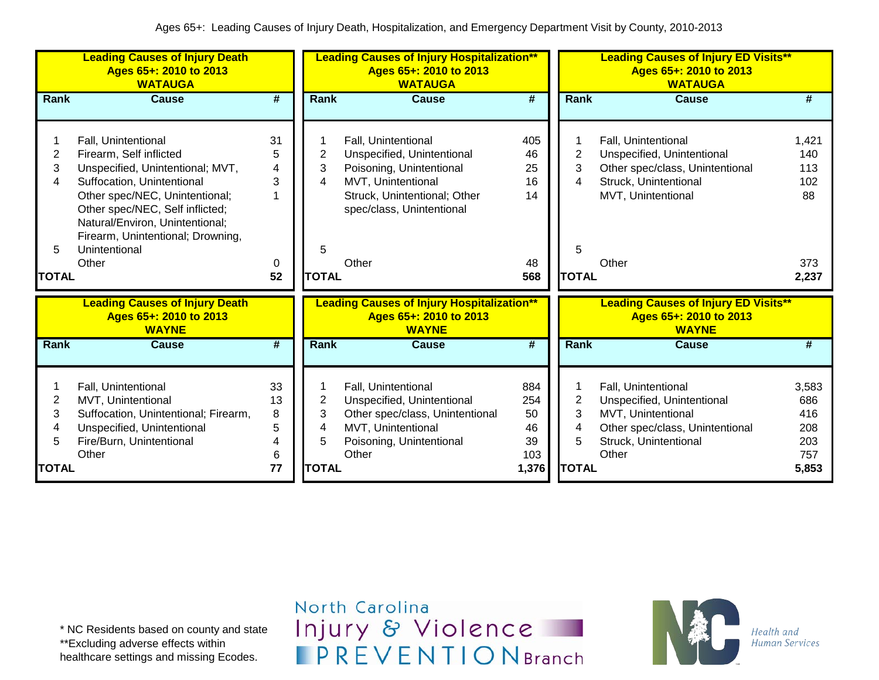|              | <b>Leading Causes of Injury Death</b><br>Ages 65+: 2010 to 2013<br><b>WATAUGA</b> |                             |                | <b>Leading Causes of Injury Hospitalization**</b><br>Ages 65+: 2010 to 2013<br><b>WATAUGA</b> |                             |                | <b>Leading Causes of Injury ED Visits**</b><br>Ages 65+: 2010 to 2013<br><b>WATAUGA</b> |       |
|--------------|-----------------------------------------------------------------------------------|-----------------------------|----------------|-----------------------------------------------------------------------------------------------|-----------------------------|----------------|-----------------------------------------------------------------------------------------|-------|
| <b>Rank</b>  | <b>Cause</b>                                                                      | $\overline{\boldsymbol{r}}$ | Rank           | <b>Cause</b>                                                                                  | $\overline{\boldsymbol{t}}$ | Rank           | <b>Cause</b>                                                                            | #     |
|              |                                                                                   |                             |                |                                                                                               |                             |                |                                                                                         |       |
|              | Fall, Unintentional                                                               | 31                          |                | Fall, Unintentional                                                                           | 405                         |                | Fall, Unintentional                                                                     | 1,421 |
| 2            | Firearm, Self inflicted                                                           | 5                           | 2              | Unspecified, Unintentional                                                                    | 46                          | 2              | Unspecified, Unintentional                                                              | 140   |
| 3            | Unspecified, Unintentional; MVT,                                                  | 4                           | 3              | Poisoning, Unintentional                                                                      | 25                          | 3              | Other spec/class, Unintentional                                                         | 113   |
| 4            | Suffocation, Unintentional                                                        | 3                           | 4              | MVT, Unintentional                                                                            | 16                          | 4              | Struck, Unintentional                                                                   | 102   |
|              | Other spec/NEC, Unintentional;                                                    |                             |                | Struck, Unintentional; Other                                                                  | 14                          |                | MVT, Unintentional                                                                      | 88    |
|              | Other spec/NEC, Self inflicted;                                                   |                             |                | spec/class, Unintentional                                                                     |                             |                |                                                                                         |       |
|              | Natural/Environ, Unintentional;                                                   |                             |                |                                                                                               |                             |                |                                                                                         |       |
|              | Firearm, Unintentional; Drowning,                                                 |                             |                |                                                                                               |                             |                |                                                                                         |       |
| 5            | Unintentional                                                                     |                             | 5              |                                                                                               |                             | 5              |                                                                                         |       |
|              | Other                                                                             | 0                           |                | Other                                                                                         | 48                          |                | Other                                                                                   | 373   |
| <b>TOTAL</b> |                                                                                   | 52                          | <b>TOTAL</b>   |                                                                                               | 568                         | <b>TOTAL</b>   |                                                                                         | 2,237 |
|              | <b>Leading Causes of Injury Death</b>                                             |                             |                | <b>Leading Causes of Injury Hospitalization**</b>                                             |                             |                | <b>Leading Causes of Injury ED Visits**</b>                                             |       |
|              | Ages 65+: 2010 to 2013                                                            |                             |                | Ages 65+: 2010 to 2013                                                                        |                             |                | Ages 65+: 2010 to 2013                                                                  |       |
| Rank         | <b>WAYNE</b><br>Cause                                                             | #                           | Rank           | <b>WAYNE</b><br><b>Cause</b>                                                                  | #                           | Rank           | <b>WAYNE</b><br>Cause                                                                   | #     |
|              |                                                                                   |                             |                |                                                                                               |                             |                |                                                                                         |       |
|              |                                                                                   |                             |                |                                                                                               |                             |                |                                                                                         |       |
| 1            | Fall, Unintentional                                                               | 33                          |                | Fall, Unintentional                                                                           | 884                         |                | Fall, Unintentional                                                                     | 3,583 |
| 2            | MVT, Unintentional                                                                | 13                          | $\overline{c}$ | Unspecified, Unintentional                                                                    | 254                         | $\overline{2}$ | Unspecified, Unintentional                                                              | 686   |
| 3            | Suffocation, Unintentional; Firearm,                                              | 8                           | 3              | Other spec/class, Unintentional                                                               | 50                          | 3              | MVT, Unintentional                                                                      | 416   |
| 4            | Unspecified, Unintentional                                                        | 5                           | 4              | MVT, Unintentional                                                                            | 46                          | 4              | Other spec/class, Unintentional                                                         | 208   |
| 5            | Fire/Burn, Unintentional                                                          | 4                           | 5              | Poisoning, Unintentional                                                                      | 39                          | 5              | Struck, Unintentional                                                                   | 203   |
|              | Other                                                                             | 6                           |                | Other                                                                                         | 103                         |                | Other                                                                                   | 757   |
| <b>TOTAL</b> |                                                                                   | 77                          | <b>TOTAL</b>   |                                                                                               | 1,376                       | <b>TOTAL</b>   |                                                                                         | 5,853 |

\* NC Residents based on county and state \*\*Excluding adverse effects within

healthcare settings and missing Ecodes.

North Carolina Injury & Violence **IPREVENTIONBranch** 

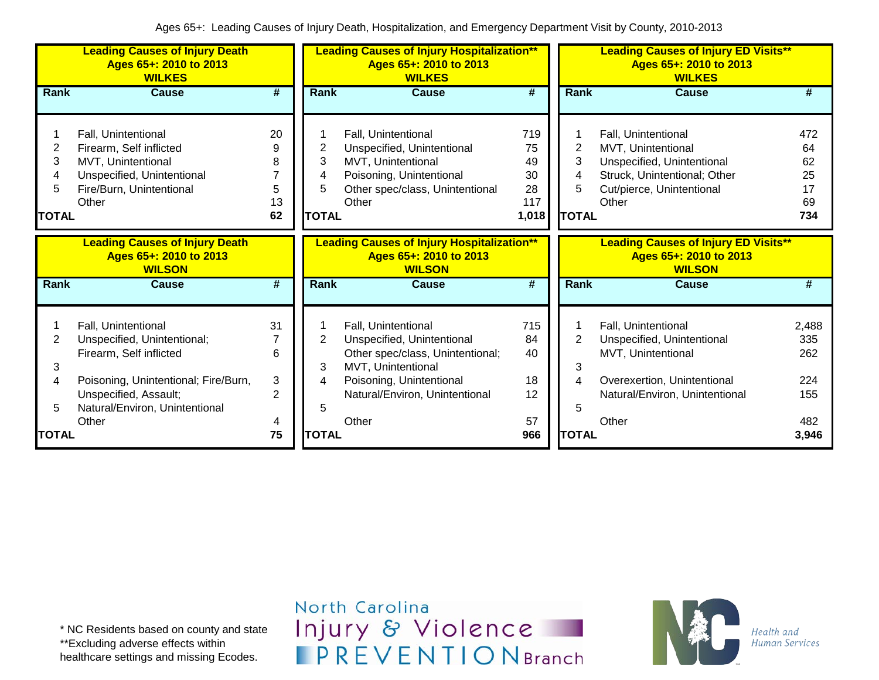|                                                                                  | <b>Leading Causes of Injury Death</b><br>Ages 65+: 2010 to 2013<br><b>WILKES</b>                                                        | <b>Leading Causes of Injury Hospitalization**</b><br>Ages 65+: 2010 to 2013<br><b>WILKES</b> |                                                                                              |                                                                                                                                                 | <b>Leading Causes of Injury ED Visits**</b><br>Ages 65+: 2010 to 2013<br><b>WILKES</b> |                                                                                        |                                                                                                                                               |                                          |  |
|----------------------------------------------------------------------------------|-----------------------------------------------------------------------------------------------------------------------------------------|----------------------------------------------------------------------------------------------|----------------------------------------------------------------------------------------------|-------------------------------------------------------------------------------------------------------------------------------------------------|----------------------------------------------------------------------------------------|----------------------------------------------------------------------------------------|-----------------------------------------------------------------------------------------------------------------------------------------------|------------------------------------------|--|
| <b>Rank</b>                                                                      | <b>Cause</b>                                                                                                                            | #                                                                                            | Rank                                                                                         | <b>Cause</b>                                                                                                                                    | #                                                                                      | Rank                                                                                   | <b>Cause</b>                                                                                                                                  | #                                        |  |
| 2<br>3<br>4<br>5<br><b>TOTAL</b>                                                 | Fall, Unintentional<br>Firearm, Self inflicted<br>MVT, Unintentional<br>Unspecified, Unintentional<br>Fire/Burn, Unintentional<br>Other | 20<br>9<br>8<br>7<br>5<br>13<br>62                                                           | 2<br>3<br>4<br>5<br><b>TOTAL</b>                                                             | Fall, Unintentional<br>Unspecified, Unintentional<br>MVT, Unintentional<br>Poisoning, Unintentional<br>Other spec/class, Unintentional<br>Other | 719<br>75<br>49<br>30<br>28<br>117<br>1,018                                            | 2<br>3<br>4<br>5<br><b>TOTAL</b>                                                       | Fall, Unintentional<br>MVT, Unintentional<br>Unspecified, Unintentional<br>Struck, Unintentional; Other<br>Cut/pierce, Unintentional<br>Other | 472<br>64<br>62<br>25<br>17<br>69<br>734 |  |
| <b>Leading Causes of Injury Death</b><br>Ages 65+: 2010 to 2013<br><b>WILSON</b> |                                                                                                                                         |                                                                                              | <b>Leading Causes of Injury Hospitalization**</b><br>Ages 65+: 2010 to 2013<br><b>WILSON</b> |                                                                                                                                                 |                                                                                        | <b>Leading Causes of Injury ED Visits**</b><br>Ages 65+: 2010 to 2013<br><b>WILSON</b> |                                                                                                                                               |                                          |  |
| Rank                                                                             | <b>Cause</b>                                                                                                                            | #                                                                                            | Rank                                                                                         | <b>Cause</b>                                                                                                                                    | #                                                                                      | <b>Rank</b>                                                                            | <b>Cause</b>                                                                                                                                  | #                                        |  |
| 2<br>3                                                                           | Fall, Unintentional<br>Unspecified, Unintentional;<br>Firearm, Self inflicted                                                           | 31<br>6                                                                                      | $\overline{2}$<br>3                                                                          | Fall, Unintentional<br>Unspecified, Unintentional<br>Other spec/class, Unintentional;<br>MVT, Unintentional                                     | 715<br>84<br>40                                                                        | 2<br>3                                                                                 | Fall, Unintentional<br>Unspecified, Unintentional<br>MVT, Unintentional                                                                       | 2,488<br>335<br>262                      |  |
| 4<br>5                                                                           | Poisoning, Unintentional; Fire/Burn,<br>Unspecified, Assault;<br>Natural/Environ, Unintentional<br>Other                                | 3<br>$\overline{2}$<br>4                                                                     | 4<br>5                                                                                       | Poisoning, Unintentional<br>Natural/Environ, Unintentional<br>Other                                                                             | 18<br>12<br>57                                                                         | 4<br>5                                                                                 | Overexertion, Unintentional<br>Natural/Environ, Unintentional<br>Other                                                                        | 224<br>155<br>482                        |  |
| <b>TOTAL</b>                                                                     |                                                                                                                                         | 75                                                                                           | <b>TOTAL</b>                                                                                 |                                                                                                                                                 | 966                                                                                    | <b>TOTAL</b>                                                                           |                                                                                                                                               | 3,946                                    |  |

North Carolina Injury & Violence **IPREVENTIONBranch**